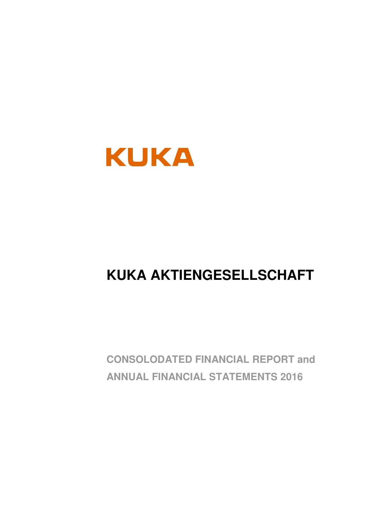

## **KUKA AKTIENGESELLSCHAFT**

**CONSOLODATED FINANCIAL REPORT and ANNUAL FINANCIAL STATEMENTS 2016**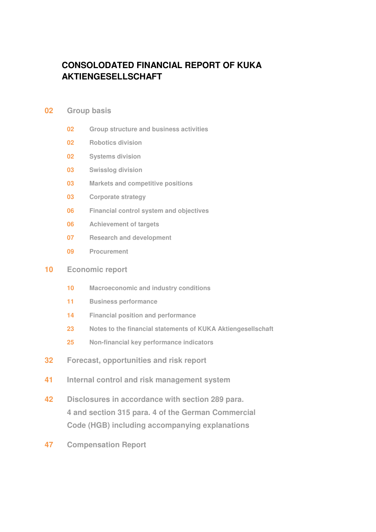## **CONSOLODATED FINANCIAL REPORT OF KUKA AKTIENGESELLSCHAFT**

## **02 Group basis**

- **02 Group structure and business activities**
- **02 Robotics division**
- **02 Systems division**
- **03 Swisslog division**
- **03 Markets and competitive positions**
- **03 Corporate strategy**
- **06 Financial control system and objectives**
- **06 Achievement of targets**
- **07 Research and development**
- **09 Procurement**

## **10 Economic report**

- **10 Macroeconomic and industry conditions**
- **11 Business performance**
- **14 Financial position and performance**
- **23 Notes to the financial statements of KUKA Aktiengesellschaft**
- **25 Non-financial key performance indicators**
- **32 Forecast, opportunities and risk report**
- **41 Internal control and risk management system**
- **42 Disclosures in accordance with section 289 para. 4 and section 315 para. 4 of the German Commercial Code (HGB) including accompanying explanations**
- **47 Compensation Report**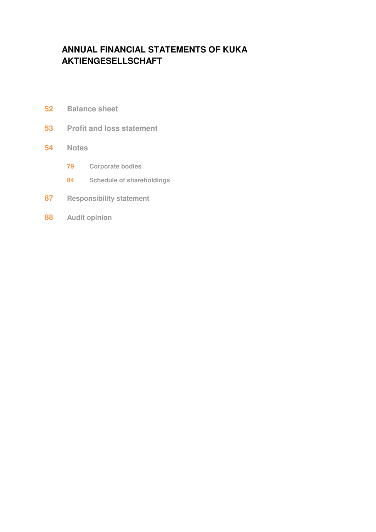## **ANNUAL FINANCIAL STATEMENTS OF KUKA AKTIENGESELLSCHAFT**

- **52 Balance sheet**
- **53 Profit and loss statement**

## **54 Notes**

- **79 Corporate bodies**
- **84 Schedule of shareholdings**
- **87 Responsibility statement**
- **88 Audit opinion**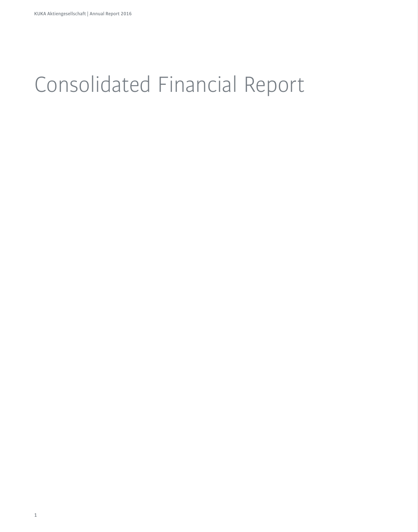# Consolidated Financial Report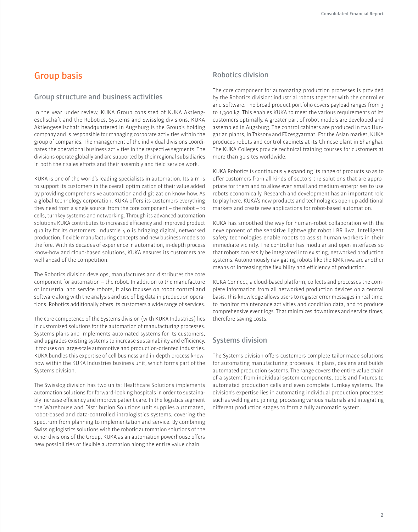## **Group basis**

## **Group structure and business activities**

In the year under review, KUKA Group consisted of KUKA Aktiengesellschaft and the Robotics, Systems and Swisslog divisions. KUKA Aktiengesellschaft headquartered in Augsburg is the Group's holding company and is responsible for managing corporate activities within the group of companies. The management of the individual divisions coordinates the operational business activities in the respective segments. The divisions operate globally and are supported by their regional subsidiaries in both their sales efforts and their assembly and field service work.

KUKA is one of the world's leading specialists in automation. Its aim is to support its customers in the overall optimization of their value added by providing comprehensive automation and digitization know-how. As a global technology corporation, KUKA offers its customers everything they need from a single source: from the core component – the robot – to cells, turnkey systems and networking. Through its advanced automation solutions KUKA contributes to increased efficiency and improved product quality for its customers. Industrie 4.0 is bringing digital, networked production, flexible manufacturing concepts and new business models to the fore. With its decades of experience in automation, in-depth process know-how and cloud-based solutions, KUKA ensures its customers are well ahead of the competition.

The Robotics division develops, manufactures and distributes the core component for automation – the robot. In addition to the manufacture of industrial and service robots, it also focuses on robot control and software along with the analysis and use of big data in production operations. Robotics additionally offers its customers a wide range of services.

The core competence of the Systems division (with KUKA Industries) lies in customized solutions for the automation of manufacturing processes. Systems plans and implements automated systems for its customers, and upgrades existing systems to increase sustainability and eficiency. It focuses on large-scale automotive and production-oriented industries. KUKA bundles this expertise of cell business and in-depth process knowhow within the KUKA Industries business unit, which forms part of the Systems division.

The Swisslog division has two units: Healthcare Solutions implements automation solutions for forward-looking hospitals in order to sustainably increase eficiency and improve patient care. In the logistics segment the Warehouse and Distribution Solutions unit supplies automated, robot-based and data-controlled intralogistics systems, covering the spectrum from planning to implementation and service. By combining Swisslog logistics solutions with the robotic automation solutions of the other divisions of the Group, KUKA as an automation powerhouse offers new possibilities of flexible automation along the entire value chain.

## **Robotics division**

The core component for automating production processes is provided by the Robotics division: industrial robots together with the controller and software. The broad product portfolio covers payload ranges from 3 to 1,300 kg. This enables KUKA to meet the various requirements of its customers optimally. A greater part of robot models are developed and assembled in Augsburg. The control cabinets are produced in two Hungarian plants, in Taksony and Füzesgyarmat. For the Asian market, KUKA produces robots and control cabinets at its Chinese plant in Shanghai. The KUKA Colleges provide technical training courses for customers at more than 30 sites worldwide.

KUKA Robotics is continuously expanding its range of products so as to ofer customers from all kinds of sectors the solutions that are appropriate for them and to allow even small and medium enterprises to use robots economically. Research and development has an important role to play here. KUKA's new products and technologies open up additional markets and create new applications for robot-based automation.

KUKA has smoothed the way for human-robot collaboration with the development of the sensitive lightweight robot LBR iiwa. Intelligent safety technologies enable robots to assist human workers in their immediate vicinity. The controller has modular and open interfaces so that robots can easily be integrated into existing, networked production systems. Autonomously navigating robots like the KMR iiwa are another means of increasing the flexibility and efficiency of production.

A Connect, a cloud-based platform, collects and processes the complete information from all networked production devices on a central basis. This knowledge allows users to register error messages in real time, to monitor maintenance activities and condition data, and to produce comprehensive event logs. That minimizes downtimes and service times, therefore saving costs.

## **Systems division**

The Systems division offers customers complete tailor-made solutions for automating manufacturing processes. It plans, designs and builds automated production systems. The range covers the entire value chain of a system: from individual system components, tools and fixtures to automated production cells and even complete turnkey systems. The division's expertise lies in automating individual production processes such as welding and joining, processing various materials and integrating diferent production stages to form a fully automatic system.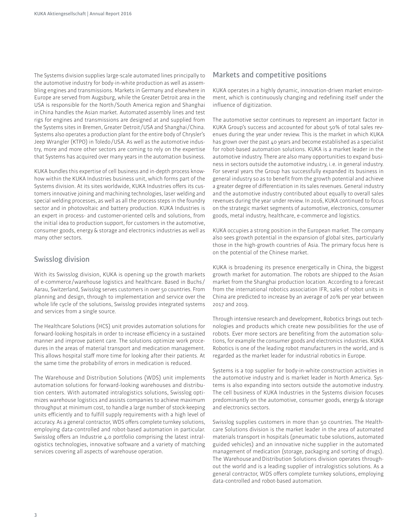The Systems division supplies large-scale automated lines principally to the automotive industry for body-in-white production as well as assembling engines and transmissions. Markets in Germany and elsewhere in Europe are served from Augsburg, while the Greater Detroit area in the USA is responsible for the North /South America region and Shanghai in China handles the Asian market. Automated assembly lines and test rigs for engines and transmissions are designed at and supplied from the Systems sites in Bremen, Greater Detroit /USA and Shanghai /China. Systems also operates a production plant for the entire body of Chrysler's Jeep Wrangler (KTPO) in Toledo /USA. As well as the automotive industry, more and more other sectors are coming to rely on the expertise that Systems has acquired over many years in the automation business.

A bundles this expertise of cell business and in-depth process knowhow within the KUKA Industries business unit, which forms part of the Systems division. At its sites worldwide, KUKA Industries offers its customers innovative joining and machining technologies, laser welding and special welding processes, as well as all the process steps in the foundry sector and in photovoltaic and battery production. KUKA Industries is an expert in process- and customer-oriented cells and solutions, from the initial idea to production support, for customers in the automotive, consumer goods, energy & storage and electronics industries as well as many other sectors.

## **Swisslog division**

With its Swisslog division, KUKA is opening up the growth markets of e-commerce /warehouse logistics and healthcare. Based in Buchs / Aarau, Switzerland, Swisslog serves customers in over 50 countries. From planning and design, through to implementation and service over the whole life cycle of the solutions, Swisslog provides integrated systems and services from a single source.

The Healthcare Solutions (HCS) unit provides automation solutions for forward-looking hospitals in order to increase eficiency in a sustained manner and improve patient care. The solutions optimize work procedures in the areas of material transport and medication management. This allows hospital staff more time for looking after their patients. At the same time the probability of errors in medication is reduced.

The Warehouse and Distribution Solutions (WDS) unit implements automation solutions for forward-looking warehouses and distribution centers. With automated intralogistics solutions, Swisslog optimizes warehouse logistics and assists companies to achieve maximum throughput at minimum cost, to handle a large number of stock-keeping units efficiently and to fulfill supply requirements with a high level of accuracy. As a general contractor, WDS offers complete turnkey solutions, employing data-controlled and robot-based automation in particular. Swisslog offers an Industrie 4.0 portfolio comprising the latest intralogistics technologies, innovative software and a variety of matching services covering all aspects of warehouse operation.

## **Markets and competitive positions**

KUKA operates in a highly dynamic, innovation-driven market environment, which is continuously changing and redefining itself under the influence of digitization.

The automotive sector continues to represent an important factor in KUKA Group's success and accounted for about 50% of total sales revenues during the year under review. This is the market in which KUKA has grown over the past 40 years and become established as a specialist for robot-based automation solutions. KUKA is a market leader in the automotive industry. There are also many opportunities to expand business in sectors outside the automotive industry, i. e. in general industry. For several years the Group has successfully expanded its business in general industry so as to benefit from the growth potential and achieve a greater degree of diferentiation in its sales revenues. General industry and the automotive industry contributed about equally to overall sales revenues during the year under review. In 2016, KUKA continued to focus on the strategic market segments of automotive, electronics, consumer goods, metal industry, healthcare, e-commerce and logistics.

KUKA occupies a strong position in the European market. The company also sees growth potential in the expansion of global sites, particularly those in the high-growth countries of Asia. The primary focus here is on the potential of the Chinese market.

KUKA is broadening its presence energetically in China, the biggest growth market for automation. The robots are shipped to the Asian market from the Shanghai production location. According to a forecast from the international robotics association IFR, sales of robot units in China are predicted to increase by an average of 20% per year between 2017 and 2019.

Through intensive research and development, Robotics brings out technologies and products which create new possibilities for the use of robots. Ever more sectors are benefiting from the automation solutions, for example the consumer goods and electronics industries. KUKA Robotics is one of the leading robot manufacturers in the world, and is regarded as the market leader for industrial robotics in Europe.

Systems is a top supplier for body-in-white construction activities in the automotive industry and is market leader in North America. Systems is also expanding into sectors outside the automotive industry. The cell business of KUKA Industries in the Systems division focuses predominantly on the automotive, consumer goods, energy & storage and electronics sectors.

Swisslog supplies customers in more than 50 countries. The Healthcare Solutions division is the market leader in the area of automated materials transport in hospitals (pneumatic tube solutions, automated guided vehicles) and an innovative niche supplier in the automated management of medication (storage, packaging and sorting of drugs). The Warehouse and Distribution Solutions division operates throughout the world and is a leading supplier of intralogistics solutions. As a general contractor, WDS offers complete turnkey solutions, employing data-controlled and robot-based automation.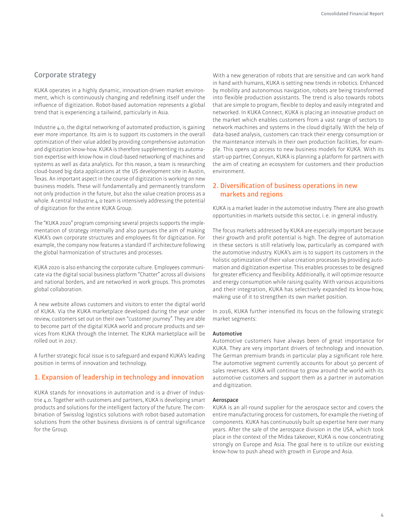## **Corporate strategy**

KUKA operates in a highly dynamic, innovation-driven market environment, which is continuously changing and redefining itself under the influence of digitization. Robot-based automation represents a global trend that is experiencing a tailwind, particularly in Asia.

Industrie 4.0, the digital networking of automated production, is gaining ever more importance. Its aim is to support its customers in the overall optimization of their value added by providing comprehensive automation and digitization know-how. KUKA is therefore supplementing its automation expertise with know-how in cloud-based networking of machines and systems as well as data analytics. For this reason, a team is researching cloud-based big data applications at the US development site in Austin, Texas. An important aspect in the course of digitization is working on new business models. These will fundamentally and permanently transform not only production in the future, but also the value creation process as a whole. A central Industrie 4.0 team is intensively addressing the potential of digitization for the entire KUKA Group.

The "KUKA 2020" program comprising several projects supports the implementation of strategy internally and also pursues the aim of making KUKA's own corporate structures and employees fit for digitization. For example, the company now features a standard IT architecture following the global harmonization of structures and processes.

A 2020 is also enhancing the corporate culture. Employees communicate via the digital social business platform "Chatter" across all divisions and national borders, and are networked in work groups. This promotes global collaboration.

A new website allows customers and visitors to enter the digital world of KUKA. Via the KUKA marketplace developed during the year under review, customers set out on their own "customer journey". They are able to become part of the digital KUKA world and procure products and services from KUKA through the Internet. The KUKA marketplace will be rolled out in 2017.

A further strategic focal issue is to safeguard and expand KUKA's leading position in terms of innovation and technology.

## **1. Expansion of leadership in technology and innovation**

KUKA stands for innovations in automation and is a driver of Industrie 4.0. Together with customers and partners, KUKA is developing smart products and solutions for the intelligent factory of the future. The combination of Swisslog logistics solutions with robot-based automation solutions from the other business divisions is of central significance for the Group.

With a new generation of robots that are sensitive and can work hand in hand with humans, KUKA is setting new trends in robotics. Enhanced by mobility and autonomous navigation, robots are being transformed into flexible production assistants. The trend is also towards robots that are simple to program, flexible to deploy and easily integrated and networked. In KUKA Connect, KUKA is placing an innovative product on the market which enables customers from a vast range of sectors to network machines and systems in the cloud digitally. With the help of data-based analysis, customers can track their energy consumption or the maintenance intervals in their own production facilities, for example. This opens up access to new business models for KUKA. With its start-up partner, Connyun, KUKA is planning a platform for partners with the aim of creating an ecosystem for customers and their production environment.

## **2. Diversiication of business operations in new markets and regions**

KUKA is a market leader in the automotive industry. There are also growth opportunities in markets outside this sector, i. e. in general industry.

The focus markets addressed by KUKA are especially important because their growth and profit potential is high. The degree of automation in these sectors is still relatively low, particularly as compared with the automotive industry. KUKA's aim is to support its customers in the holistic optimization of their value creation processes by providing automation and digitization expertise. This enables processes to be designed for greater efficiency and flexibility. Additionally, it will optimize resource and energy consumption while raising quality. With various acquisitions and their integration, KUKA has selectively expanded its know-how, making use of it to strengthen its own market position.

In 2016, KUKA further intensified its focus on the following strategic market segments:

#### **Automotive**

Automotive customers have always been of great importance for KUKA. They are very important drivers of technology and innovation. The German premium brands in particular play a significant role here. The automotive segment currently accounts for about 50 percent of sales revenues. KUKA will continue to grow around the world with its automotive customers and support them as a partner in automation and digitization.

#### **Aerospace**

KUKA is an all-round supplier for the aerospace sector and covers the entire manufacturing process for customers, for example the riveting of components. KUKA has continuously built up expertise here over many years. After the sale of the aerospace division in the USA, which took place in the context of the Midea takeover, KUKA is now concentrating strongly on Europe and Asia. The goal here is to utilize our existing know-how to push ahead with growth in Europe and Asia.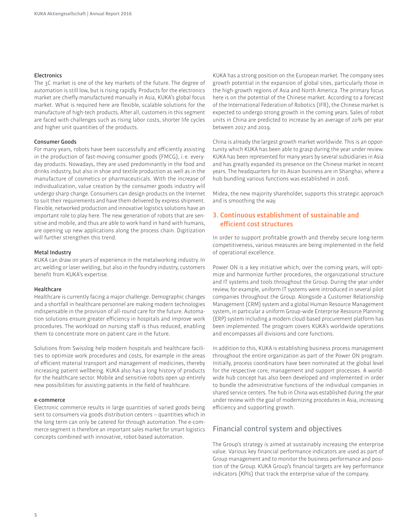#### **Electronics**

The 3C market is one of the key markets of the future. The degree of automation is still low, but is rising rapidly. Products for the electronics market are chiefly manufactured manually in Asia, KUKA's global focus market. What is required here are flexible, scalable solutions for the manufacture of high-tech products. After all, customers in this segment are faced with challenges such as rising labor costs, shorter life cycles and higher unit quantities of the products.

#### **Consumer Goods**

For many years, robots have been successfully and eficiently assisting in the production of fast-moving consumer goods (FMCG), i. e. everyday products. Nowadays, they are used predominantly in the food and drinks industry, but also in shoe and textile production as well as in the manufacture of cosmetics or pharmaceuticals. With the increase of individualization, value creation by the consumer goods industry will undergo sharp change. Consumers can design products on the Internet to suit their requirements and have them delivered by express shipment. Flexible, networked production and innovative logistics solutions have an important role to play here. The new generation of robots that are sensitive and mobile, and thus are able to work hand in hand with humans, are opening up new applications along the process chain. Digitization will further strengthen this trend.

#### **Metal Industry**

KUKA can draw on years of experience in the metalworking industry. In arc welding or laser welding, but also in the foundry industry, customers benefit from KUKA's expertise.

#### **Healthcare**

Healthcare is currently facing a major challenge. Demographic changes and a shortfall in healthcare personnel are making modern technologies indispensable in the provision of all-round care for the future. Automation solutions ensure greater eficiency in hospitals and improve work procedures. The workload on nursing staff is thus reduced, enabling them to concentrate more on patient care in the future.

Solutions from Swisslog help modern hospitals and healthcare facilities to optimize work procedures and costs, for example in the areas of eficient material transport and management of medicines, thereby increasing patient wellbeing. KUKA also has a long history of products for the healthcare sector. Mobile and sensitive robots open up entirely new possibilities for assisting patients in the field of healthcare.

#### **e-commerce**

Electronic commerce results in large quantities of varied goods being sent to consumers via goods distribution centers – quantities which in the long term can only be catered for through automation. The e-commerce segment is therefore an important sales market for smart logistics concepts combined with innovative, robot-based automation.

KUKA has a strong position on the European market. The company sees growth potential in the expansion of global sites, particularly those in the high-growth regions of Asia and North America. The primary focus here is on the potential of the Chinese market. According to a forecast of the International Federation of Robotics (IFR), the Chinese market is expected to undergo strong growth in the coming years. Sales of robot units in China are predicted to increase by an average of 20% per year between 2017 and 2019.

China is already the largest growth market worldwide. This is an opportunity which KUKA has been able to grasp during the year under review. KUKA has been represented for many years by several subsidiaries in Asia and has greatly expanded its presence on the Chinese market in recent years. The headquarters for its Asian business are in Shanghai, where a hub bundling various functions was established in 2016.

Midea, the new majority shareholder, supports this strategic approach and is smoothing the way.

## **3. Continuous establishment of sustainable and eficient cost structures**

In order to support profitable growth and thereby secure long-term competitiveness, various measures are being implemented in the ield of operational excellence.

Power ON is a key initiative which, over the coming years, will optimize and harmonize further procedures, the organizational structure and IT systems and tools throughout the Group. During the year under review, for example, uniform IT systems were introduced in several pilot companies throughout the Group. Alongside a Customer Relationship Management (CRM) system and a global Human Resource Management system, in particular a uniform Group-wide Enterprise Resource Planning (ERP) system including a modern cloud-based procurement platform has been implemented. The program covers KUKA's worldwide operations and encompasses all divisions and core functions.

In addition to this, KUKA is establishing business process management throughout the entire organization as part of the Power ON program. Initially, process coordinators have been nominated at the global level for the respective core, management and support processes. A worldwide hub concept has also been developed and implemented in order to bundle the administrative functions of the individual companies in shared service centers. The hub in China was established during the year under review with the goal of modernizing procedures in Asia, increasing eficiency and supporting growth.

## **Financial control system and objectives**

The Group's strategy is aimed at sustainably increasing the enterprise value. Various key financial performance indicators are used as part of Group management and to monitor the business performance and position of the Group. KUKA Group's financial targets are key performance indicators (KPIs) that track the enterprise value of the company.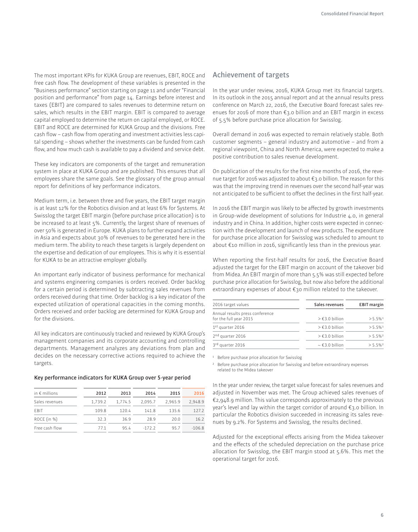The most important KPIs for KUKA Group are revenues, EBIT, ROCE and free cash flow. The development of these variables is presented in the "Business performance" section starting on page 11 and under "Financial position and performance" from page 14. Earnings before interest and taxes (EBIT) are compared to sales revenues to determine return on sales, which results in the EBIT margin. EBIT is compared to average capital employed to determine the return on capital employed, or ROCE. EBIT and ROCE are determined for KUKA Group and the divisions. Free cash flow – cash flow from operating and investment activities less capital spending – shows whether the investments can be funded from cash flow, and how much cash is available to pay a dividend and service debt.

These key indicators are components of the target and remuneration system in place at KUKA Group and are published. This ensures that all employees share the same goals. See the glossary of the group annual report for definitions of key performance indicators.

Medium term, i.e. between three and five years, the EBIT target margin is at least 12% for the Robotics division and at least 6% for Systems. At Swisslog the target EBIT margin (before purchase price allocation) is to be increased to at least 5%. Currently, the largest share of revenues of over 50% is generated in Europe. KUKA plans to further expand activities in Asia and expects about 30% of revenues to be generated here in the medium term. The ability to reach these targets is largely dependent on the expertise and dedication of our employees. This is why it is essential for KUKA to be an attractive employer globally.

An important early indicator of business performance for mechanical and systems engineering companies is orders received. Order backlog for a certain period is determined by subtracting sales revenues from orders received during that time. Order backlog is a key indicator of the expected utilization of operational capacities in the coming months. Orders received and order backlog are determined for KUKA Group and for the divisions.

All key indicators are continuously tracked and reviewed by KUKA Group's management companies and its corporate accounting and controlling departments. Management analyzes any deviations from plan and decides on the necessary corrective actions required to achieve the targets.

#### **Key performance indicators for A Group over 5-year period**

| 2012    | 2013    | 2014    | 2015    | 2016     |
|---------|---------|---------|---------|----------|
| 1.739.2 | 1.774.5 | 2.095.7 | 2.965.9 | 2.948.9  |
| 109.8   | 120.4   | 141.8   | 135.6   | 127.2    |
| 323     | 369     | 289     | 20.0    | 16.2     |
| 771     | 95 4    | $-1722$ | 957     | $-106.8$ |
|         |         |         |         |          |

## **Achievement of targets**

In the year under review, 2016, KUKA Group met its financial targets. In its outlook in the 2015 annual report and at the annual results press conference on March 22, 2016, the Executive Board forecast sales revenues for 2016 of more than €3.0 billion and an EBIT margin in excess of 5.5% before purchase price allocation for Swisslog.

Overall demand in 2016 was expected to remain relatively stable. Both customer segments – general industry and automotive – and from a regional viewpoint, China and North America, were expected to make a positive contribution to sales revenue development.

On publication of the results for the first nine months of 2016, the revenue target for 2016 was adjusted to about €3.0 billion. The reason for this was that the improving trend in revenues over the second half-year was not anticipated to be sufficient to offset the declines in the first half-year.

In 2016 the EBIT margin was likely to be afected by growth investments in Group-wide development of solutions for Industrie 4.0, in general industry and in China. In addition, higher costs were expected in connection with the development and launch of new products. The expenditure for purchase price allocation for Swisslog was scheduled to amount to about €10 million in 2016, significantly less than in the previous year.

When reporting the first-half results for 2016, the Executive Board adjusted the target for the EBIT margin on account of the takeover bid from Midea. An EBIT margin of more than 5.5% was still expected before purchase price allocation for Swisslog, but now also before the additional extraordinary expenses of about €30 million related to the takeover.

| 2016 target values              | Sales revenues      | <b>EBIT</b> margin     |
|---------------------------------|---------------------|------------------------|
| Annual results press conference |                     | $> 5.5\%1$             |
| for the full year 2015          | $\geq 63.0$ billion |                        |
| $1st$ quarter 2016              | $\geq 63.0$ billion | $> 5.5\%$ <sup>1</sup> |
| 2 <sup>nd</sup> quarter 2016    | $\geq 63.0$ billion | $> 5.5\%$ <sup>2</sup> |
| 3rd quarter 2016                | $\sim$ €3.0 billion | $> 5.5\%$ <sup>2</sup> |

1 Before purchase price allocation for Swisslog

2 Before purchase price allocation for Swisslog and before extraordinary expenses related to the Midea takeover

In the year under review, the target value forecast for sales revenues and adjusted in November was met. The Group achieved sales revenues of €2,948.9 million. This value corresponds approximately to the previous year's level and lay within the target corridor of around €3.0 billion. In particular the Robotics division succeeded in increasing its sales revenues by 9.2%. For Systems and Swisslog, the results declined.

Adjusted for the exceptional efects arising from the Midea takeover and the effects of the scheduled depreciation on the purchase price allocation for Swisslog, the EBIT margin stood at 5.6%. This met the operational target for 2016.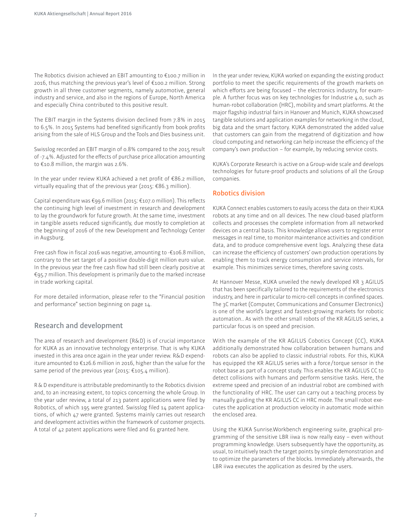The Robotics division achieved an EBIT amounting to €100.7 million in 2016, thus matching the previous year's level of €100.2 million. Strong growth in all three customer segments, namely automotive, general industry and service, and also in the regions of Europe, North America and especially China contributed to this positive result.

The EBIT margin in the Systems division declined from 7.8% in 2015 to 6.5%. In 2015 Systems had benefited significantly from book profits arising from the sale of HLS Group and the Tools and Dies business unit.

Swisslog recorded an EBIT margin of 0.8% compared to the 2015 result of -7.4%. Adjusted for the efects of purchase price allocation amounting to €10.8 million, the margin was 2.6%.

In the year under review KUKA achieved a net profit of  $\epsilon$ 86.2 million, virtually equaling that of the previous year (2015: €86.3 million).

Capital expenditure was €99.6 million (2015: €107.0 million). This reflects the continuing high level of investment in research and development to lay the groundwork for future growth. At the same time, investment in tangible assets reduced significantly, due mostly to completion at the beginning of 2016 of the new Development and Technology Center in Augsburg.

Free cash flow in fiscal 2016 was negative, amounting to -€106.8 million, contrary to the set target of a positive double-digit million euro value. In the previous year the free cash flow had still been clearly positive at €95.7 million. This development is primarily due to the marked increase in trade working capital.

For more detailed information, please refer to the "Financial position and performance" section beginning on page 14.

## **Research and development**

The area of research and development (R&D) is of crucial importance for KUKA as an innovative technology enterprise. That is why KUKA invested in this area once again in the year under review. R&D expenditure amounted to €126.6 million in 2016, higher than the value for the same period of the previous year (2015: €105.4 million).

R & D expenditure is attributable predominantly to the Robotics division and, to an increasing extent, to topics concerning the whole Group. In the year uder review, a total of 213 patent applications were filed by Robotics, of which 195 were granted. Swisslog filed 14 patent applications, of which 47 were granted. Systems mainly carries out research and development activities within the framework of customer projects. A total of 42 patent applications were filed and 61 granted here.

In the year under review, KUKA worked on expanding the existing product portfolio to meet the specific requirements of the growth markets on which efforts are being focused – the electronics industry, for example. A further focus was on key technologies for Industrie 4.0, such as human-robot collaboration (HRC), mobility and smart platforms. At the major flagship industrial fairs in Hanover and Munich, KUKA showcased tangible solutions and application examples for networking in the cloud, big data and the smart factory. KUKA demonstrated the added value that customers can gain from the megatrend of digitization and how cloud computing and networking can help increase the eficiency of the company's own production – for example, by reducing service costs.

KUKA's Corporate Research is active on a Group-wide scale and develops technologies for future-proof products and solutions of all the Group companies.

## **Robotics division**

KUKA Connect enables customers to easily access the data on their KUKA robots at any time and on all devices. The new cloud-based platform collects and processes the complete information from all networked devices on a central basis. This knowledge allows users to register error messages in real time, to monitor maintenance activities and condition data, and to produce comprehensive event logs. Analyzing these data can increase the eficiency of customers' own production operations by enabling them to track energy consumption and service intervals, for example. This minimizes service times, therefore saving costs.

At Hannover Messe, KUKA unveiled the newly developed KR 3 AGILUS that has been specifically tailored to the requirements of the electronics industry, and here in particular to micro-cell concepts in confined spaces. The 3C market (Computer, Communications and Consumer Electronics) is one of the world's largest and fastest-growing markets for robotic automation.. As with the other small robots of the KR AGILUS series, a particular focus is on speed and precision.

With the example of the KR AGILUS Cobotics Concept (CC), KUKA additionally demonstrated how collaboration between humans and robots can also be applied to classic industrial robots. For this, KUKA has equipped the KR AGILUS series with a force /torque sensor in the robot base as part of a concept study. This enables the KR AGILUS CC to detect collisions with humans and perform sensitive tasks. Here, the extreme speed and precision of an industrial robot are combined with the functionality of HRC. The user can carry out a teaching process by manually guiding the KR AGILUS CC in HRC mode. The small robot executes the application at production velocity in automatic mode within the enclosed area.

Using the KUKA Sunrise.Workbench engineering suite, graphical programming of the sensitive LBR iiwa is now really easy – even without programming knowledge. Users subsequently have the opportunity, as usual, to intuitively teach the target points by simple demonstration and to optimize the parameters of the blocks. Immediately afterwards, the LBR iiwa executes the application as desired by the users.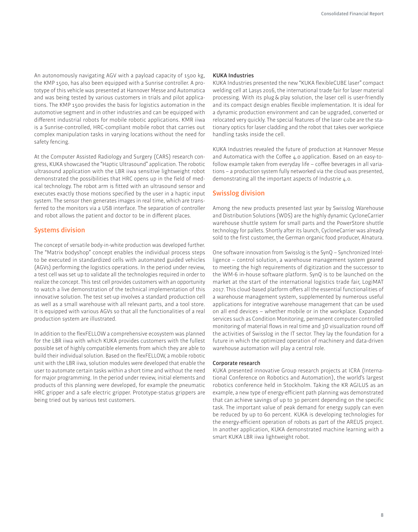An autonomously navigating AGV with a payload capacity of 1500 kg, the KMP 1500, has also been equipped with a Sunrise controller. A prototype of this vehicle was presented at Hannover Messe and Automatica and was being tested by various customers in trials and pilot applications. The KMP 1500 provides the basis for logistics automation in the automotive segment and in other industries and can be equipped with diferent industrial robots for mobile robotic applications. KMR iiwa is a Sunrise-controlled, HRC-compliant mobile robot that carries out complex manipulation tasks in varying locations without the need for safety fencing.

At the Computer Assisted Radiology and Surgery (CARS) research congress, KUKA showcased the "Haptic Ultrasound" application. The robotic ultrasound application with the LBR iiwa sensitive lightweight robot demonstrated the possibilities that HRC opens up in the field of medical technology. The robot arm is fitted with an ultrasound sensor and executes exactly those motions specified by the user in a haptic input system. The sensor then generates images in real time, which are transferred to the monitors via a USB interface. The separation of controller and robot allows the patient and doctor to be in diferent places.

## **Systems division**

The concept of versatile body-in-white production was developed further. The "Matrix bodyshop" concept enables the individual process steps to be executed in standardized cells with automated guided vehicles (AGVs) performing the logistics operations. In the period under review, a test cell was set up to validate all the technologies required in order to realize the concept. This test cell provides customers with an opportunity to watch a live demonstration of the technical implementation of this innovative solution. The test set-up involves a standard production cell as well as a small warehouse with all relevant parts, and a tool store. It is equipped with various AGVs so that all the functionalities of a real production system are illustrated.

In addition to the flexFELLOW a comprehensive ecosystem was planned for the LBR iiwa with which KUKA provides customers with the fullest possible set of highly compatible elements from which they are able to build their individual solution. Based on the flexFELLOW, a mobile robotic unit with the LBR iiwa, solution modules were developed that enable the user to automate certain tasks within a short time and without the need for major programming. In the period under review, initial elements and products of this planning were developed, for example the pneumatic HRC gripper and a safe electric gripper. Prototype-status grippers are being tried out by various test customers.

#### **KUKA Industries**

KUKA Industries presented the new "KUKA flexibleCUBE laser" compact welding cell at Lasys 2016, the international trade fair for laser material processing. With its plug & play solution, the laser cell is user-friendly and its compact design enables flexible implementation. It is ideal for a dynamic production environment and can be upgraded, converted or relocated very quickly. The special features of the laser cube are the stationary optics for laser cladding and the robot that takes over workpiece handling tasks inside the cell.

KUKA Industries revealed the future of production at Hannover Messe and Automatica with the Coffee 4.0 application. Based on an easy-tofollow example taken from everyday life – coffee beverages in all variations – a production system fully networked via the cloud was presented, demonstrating all the important aspects of Industrie 4.0.

## **Swisslog division**

Among the new products presented last year by Swisslog Warehouse and Distribution Solutions (WDS) are the highly dynamic CycloneCarrier warehouse shuttle system for small parts and the PowerStore shuttle technology for pallets. Shortly after its launch, CycloneCarrier was already sold to the first customer, the German organic food producer, Alnatura.

One software innovation from Swisslog is the SynQ – Synchronized Intelligence – control solution, a warehouse management system geared to meeting the high requirements of digitization and the successor to the WM-6 in-house software platform. SynQ is to be launched on the market at the start of the international logistics trade fair, LogiMAT 2017. This cloud-based platform offers all the essential functionalities of a warehouse management system, supplemented by numerous useful applications for integrative warehouse management that can be used on all end devices – whether mobile or in the workplace. Expanded services such as Condition Monitoring, permanent computer-controlled monitoring of material flows in real time and 3D visualization round off the activities of Swisslog in the IT sector. They lay the foundation for a future in which the optimized operation of machinery and data-driven warehouse automation will play a central role.

#### **Corporate research**

KUKA presented innovative Group research projects at ICRA (International Conference on Robotics and Automation), the world's largest robotics conference held in Stockholm. Taking the KR AGILUS as an example, a new type of energy-eficient path planning was demonstrated that can achieve savings of up to 30 percent depending on the specific task. The important value of peak demand for energy supply can even be reduced by up to 60 percent. KUKA is developing technologies for the energy-eficient operation of robots as part of the AREUS project. In another application, KUKA demonstrated machine learning with a smart KUKA LBR iiwa lightweight robot.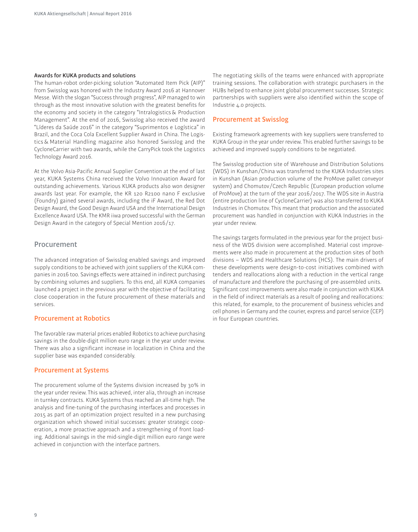#### **Awards for KUKA products and solutions**

The human-robot order-picking solution "Automated Item Pick (AIP)" from Swisslog was honored with the Industry Award 2016 at Hannover Messe. With the slogan "Success through progress", AIP managed to win through as the most innovative solution with the greatest beneits for the economy and society in the category "Intralogistics & Production Management". At the end of 2016, Swisslog also received the award "Líderes da Saúde 2016" in the category "Suprimentos e Logística" in Brazil, and the Coca Cola Excellent Supplier Award in China. The Logistics & Material Handling magazine also honored Swisslog and the CycloneCarrier with two awards, while the CarryPick took the Logistics Technology Award 2016.

At the Volvo Asia-Pacific Annual Supplier Convention at the end of last year, KUKA Systems China received the Volvo Innovation Award for outstanding achievements. Various KUKA products also won designer awards last year. For example, the KR 120 R2100 nano F exclusive (Foundry) gained several awards, including the iF Award, the Red Dot Design Award, the Good Design Award USA and the International Design Excellence Award USA. The KMR iiwa proved successful with the German Design Award in the category of Special Mention 2016 /17.

## **Procurement**

The advanced integration of Swisslog enabled savings and improved supply conditions to be achieved with joint suppliers of the KUKA companies in 2016 too. Savings efects were attained in indirect purchasing by combining volumes and suppliers. To this end, all KUKA companies launched a project in the previous year with the objective of facilitating close cooperation in the future procurement of these materials and services.

#### **Procurement at Robotics**

The favorable raw material prices enabled Robotics to achieve purchasing savings in the double-digit million euro range in the year under review. There was also a significant increase in localization in China and the supplier base was expanded considerably.

#### **Procurement at Systems**

The procurement volume of the Systems division increased by 30% in the year under review. This was achieved, inter alia, through an increase in turnkey contracts. KUKA Systems thus reached an all-time high. The analysis and fine-tuning of the purchasing interfaces and processes in 2015 as part of an optimization project resulted in a new purchasing organization which showed initial successes: greater strategic cooperation, a more proactive approach and a strengthening of front loading. Additional savings in the mid-single-digit million euro range were achieved in conjunction with the interface partners.

The negotiating skills of the teams were enhanced with appropriate training sessions. The collaboration with strategic purchasers in the HUBs helped to enhance joint global procurement successes. Strategic partnerships with suppliers were also identified within the scope of Industrie 4.0 projects.

#### **Procurement at Swisslog**

Existing framework agreements with key suppliers were transferred to KUKA Group in the year under review. This enabled further savings to be achieved and improved supply conditions to be negotiated.

The Swisslog production site of Warehouse and Distribution Solutions (WDS) in Kunshan/China was transferred to the KUKA Industries sites in Kunshan (Asian production volume of the ProMove pallet conveyor system) and Chomutov /Czech Republic (European production volume of ProMove) at the turn of the year 2016 /2017. The WDS site in Austria (entire production line of CycloneCarrier) was also transferred to KUKA Industries in Chomutov. This meant that production and the associated procurement was handled in conjunction with KUKA Industries in the year under review.

The savings targets formulated in the previous year for the project business of the WDS division were accomplished. Material cost improvements were also made in procurement at the production sites of both divisions – WDS and Healthcare Solutions (HCS). The main drivers of these developments were design-to-cost initiatives combined with tenders and reallocations along with a reduction in the vertical range of manufacture and therefore the purchasing of pre-assembled units. Significant cost improvements were also made in conjunction with KUKA in the field of indirect materials as a result of pooling and reallocations: this related, for example, to the procurement of business vehicles and cell phones in Germany and the courier, express and parcel service (CEP) in four European countries.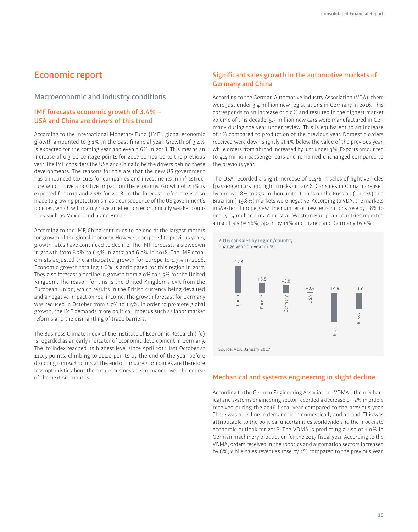## **Economic report**

## **Macroeconomic and industry conditions**

## **IMF forecasts economic growth of 3.4% – USA and China are drivers of this trend**

According to the International Monetary Fund (IMF), global economic growth amounted to 3.1% in the past inancial year. Growth of 3.4% is expected for the coming year and even 3.6% in 2018. This means an increase of 0.3 percentage points for 2017 compared to the previous year. The IMF considers the USA and China to be the drivers behind these developments. The reasons for this are that the new US government has announced tax cuts for companies and investments in infrastructure which have a positive impact on the economy. Growth of 2.3% is expected for 2017 and 2.5% for 2018. In the forecast, reference is also made to growing protectionism as a consequence of the US government's policies, which will mainly have an efect on economically weaker countries such as Mexico, India and Brazil.

According to the IMF, China continues to be one of the largest motors for growth of the global economy. However, compared to previous years, growth rates have continued to decline. The IMF forecasts a slowdown in growth from 6.7% to 6.5% in 2017 and 6.0% in 2018. The IMF economists adjusted the anticipated growth for Europe to 1.7% in 2016. Economic growth totaling 1.6% is anticipated for this region in 2017. They also forecast a decline in growth from 2.0% to 1.5% for the United Kingdom. The reason for this is the United Kingdom's exit from the European Union, which results in the British currency being devalued and a negative impact on real income. The growth forecast for Germany was reduced in October from 1.7% to 1.5%. In order to promote global growth, the IMF demands more political impetus such as labor market reforms and the dismantling of trade barriers.

The Business Climate Index of the Institute of Economic Research (ifo) is regarded as an early indicator of economic development in Germany. The ifo index reached its highest level since April 2014 last October at 110.5 points, climbing to 111.0 points by the end of the year before dropping to 109.8 points at the end of January. Companies are therefore less optimistic about the future business performance over the course of the next six months.

## **Signiicant sales growth in the automotive markets of Germany and China**

According to the German Automotive Industry Association (VDA), there were just under 3.4 million new registrations in Germany in 2016. This corresponds to an increase of 5.0% and resulted in the highest market volume of this decade. 5.7 million new cars were manufactured in Germany during the year under review. This is equivalent to an increase of 1% compared to production of the previous year. Domestic orders received were down slightly at 1% below the value of the previous year, while orders from abroad increased by just under 3%. Exports amounted to 4.4 million passenger cars and remained unchanged compared to the previous year.

The USA recorded a slight increase of 0.4% in sales of light vehicles (passenger cars and light trucks) in 2016. Car sales in China increased by almost 18% to 23.7 million units. Trends on the Russian (-11.0%) and Brazilian (-19.8%) markets were negative. According to VDA, the markets in Western Europe grew. The number of new registrations rose by 5.8% to nearly 14 million cars. Almost all Western European countries reported a rise: Italy by 16%, Spain by 11% and France and Germany by 5%.



#### **Mechanical and systems engineering in slight decline**

According to the German Engineering Association (VDMA), the mechanical and systems engineering sector recorded a decrease of -2% in orders received during the 2016 fiscal year compared to the previous year. There was a decline in demand both domestically and abroad. This was attributable to the political uncertainties worldwide and the moderate economic outlook for 2016. The VDMA is predicting a rise of 1.0% in German machinery production for the 2017 iscal year. According to the VDMA, orders received in the robotics and automation sectors increased by 6%, while sales revenues rose by 2% compared to the previous year.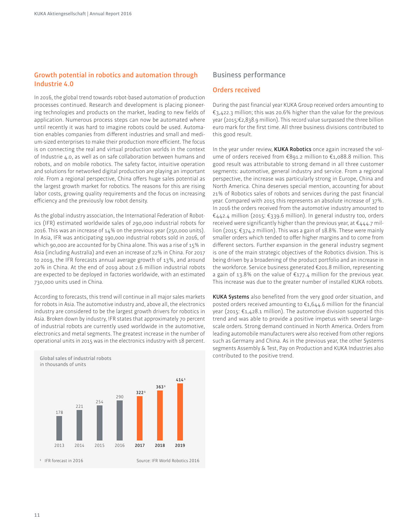## **Growth potential in robotics and automation through Industrie 4.0**

In 2016, the global trend towards robot-based automation of production processes continued. Research and development is placing pioneering technologies and products on the market, leading to new fields of application. Numerous process steps can now be automated where until recently it was hard to imagine robots could be used. Automation enables companies from diferent industries and small and medium-sized enterprises to make their production more eficient. The focus is on connecting the real and virtual production worlds in the context of Industrie 4.0, as well as on safe collaboration between humans and robots, and on mobile robotics. The safety factor, intuitive operation and solutions for networked digital production are playing an important role. From a regional perspective, China offers huge sales potential as the largest growth market for robotics. The reasons for this are rising labor costs, growing quality requirements and the focus on increasing eficiency and the previously low robot density.

As the global industry association, the International Federation of Robotics (IFR) estimated worldwide sales of 290,000 industrial robots for 2016. This was an increase of 14% on the previous year (250,000 units). In Asia, IFR was anticipating 190,000 industrial robots sold in 2016, of which 90,000 are accounted for by China alone. This was a rise of 15% in Asia (including Australia) and even an increase of 22% in China. For 2017 to 2019, the IFR forecasts annual average growth of 13%, and around 20% in China. At the end of 2019 about 2.6 million industrial robots are expected to be deployed in factories worldwide, with an estimated 730,000 units used in China.

According to forecasts, this trend will continue in all major sales markets for robots in Asia. The automotive industry and, above all, the electronics industry are considered to be the largest growth drivers for robotics in Asia. Broken down by industry, IFR states that approximately 70 percent of industrial robots are currently used worldwide in the automotive, electronics and metal segments. The greatest increase in the number of operational units in 2015 was in the electronics industry with 18 percent.



## **Business performance**

#### **Orders received**

During the past financial year KUKA Group received orders amounting to €3,422.3 million; this was 20.6% higher than the value for the previous year (2015:€2,838.9 million). This record value surpassed the three billion euro mark for the first time. All three business divisions contributed to this good result.

In the year under review, **KUKA Robotics** once again increased the volume of orders received from €891.2 million to €1,088.8 million. This good result was attributable to strong demand in all three customer segments: automotive, general industry and service. From a regional perspective, the increase was particularly strong in Europe, China and North America. China deserves special mention, accounting for about 21% of Robotics sales of robots and services during the past inancial year. Compared with 2015 this represents an absolute increase of 37%. In 2016 the orders received from the automotive industry amounted to €442.4 million (2015: €339.6 million). In general industry too, orders received were significantly higher than the previous year, at  $\epsilon$ 444.7 million (2015: €374.2 million). This was a gain of 18.8%. These were mainly smaller orders which tended to offer higher margins and to come from diferent sectors. Further expansion in the general industry segment is one of the main strategic objectives of the Robotics division. This is being driven by a broadening of the product portfolio and an increase in the workforce. Service business generated €201.8 million, representing a gain of 13.8% on the value of €177.4 million for the previous year. This increase was due to the greater number of installed KUKA robots.

KUKA Systems also benefited from the very good order situation, and posted orders received amounting to  $\epsilon_{1,644}$ .6 million for the financial year (2015:  $\epsilon$ 1,428.1 million). The automotive division supported this trend and was able to provide a positive impetus with several largescale orders. Strong demand continued in North America. Orders from leading automobile manufacturers were also received from other regions such as Germany and China. As in the previous year, the other Systems segments Assembly & Test, Pay on Production and KUKA Industries also contributed to the positive trend.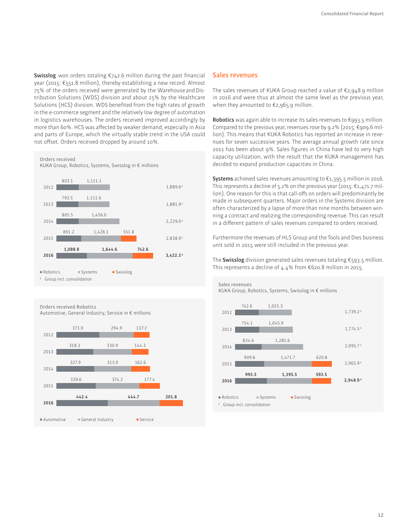**Swisslog** won orders totaling  $€742.6$  million during the past financial year (2015: €551.8 million), thereby establishing a new record. Almost 75% of the orders received were generated by the Warehouse and Distribution Solutions (WDS) division and about 25% by the Healthcare Solutions (HCS) division. WDS benefited from the high rates of growth in the e-commerce segment and the relatively low degree of automation in logistics warehouses. The orders received improved accordingly by more than 60%. HCS was afected by weaker demand, especially in Asia and parts of Europe, which the virtually stable trend in the USA could not offset. Orders received dropped by around 10%.

**Orders received**

KUKA Group, Robotics, Systems, Swisslog in € millions



**Orders received Robotics**

Automotive, General Industry, Service in € millions



#### **Sales revenues**

The sales revenues of KUKA Group reached a value of  $\epsilon$ 2,948.9 million in 2016 and were thus at almost the same level as the previous year, when they amounted to €2,965.9 million.

**Robotics** was again able to increase its sales revenues to €993.5 million. Compared to the previous year, revenues rose by 9.2% (2015:  $\epsilon$ 909.6 million). This means that KUKA Robotics has reported an increase in revenues for seven successive years. The average annual growth rate since 2011 has been about 9%. Sales figures in China have led to very high capacity utilization, with the result that the KUKA management has decided to expand production capacities in China.

**Systems** achieved sales revenues amounting to €1,395.5 million in 2016. This represents a decline of 5.2% on the previous year (2015:  $\epsilon$ 1.471.7 million). One reason for this is that call-ofs on orders will predominantly be made in subsequent quarters. Major orders in the Systems division are often characterized by a lapse of more than nine months between winning a contract and realizing the corresponding revenue. This can result in a diferent pattern of sales revenues compared to orders received.

Furthermore the revenues of HLS Group and the Tools and Dies business unit sold in 2015 were still included in the previous year.

The **Swisslog** division generated sales revenues totaling €593.5 million. This represents a decline of 4.4% from €620.8 million in 2015.

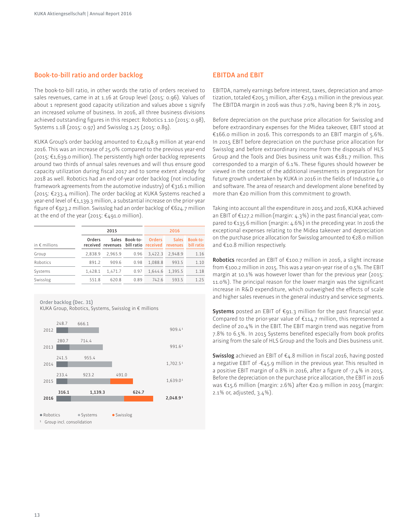## **Book-to-bill ratio and order backlog**

The book-to-bill ratio, in other words the ratio of orders received to sales revenues, came in at 1.16 at Group level (2015: 0.96). Values of about 1 represent good capacity utilization and values above 1 signify an increased volume of business. In 2016, all three business divisions achieved outstanding figures in this respect: Robotics 1.10 (2015: 0.98). Systems 1.18 (2015: 0.97) and Swisslog 1.25 (2015: 0.89).

KUKA Group's order backlog amounted to €2,048.9 million at year-end 2016. This was an increase of 25.0% compared to the previous year-end (2015: €1,639.0 million). The persistently high order backlog represents around two thirds of annual sales revenues and will thus ensure good capacity utilization during fiscal 2017 and to some extent already for 2018 as well. Robotics had an end-of-year order backlog (not including framework agreements from the automotive industry) of €316.1 million (2015: €233.4 million). The order backlog at A Systems reached a year-end level of €1,139.3 million, a substantial increase on the prior-year figure of €923.2 million. Swisslog had an order backlog of €624.7 million at the end of the year (2015: €491.0 million).

|                        |         | 2015                                           |                | 2016          |              |                        |  |
|------------------------|---------|------------------------------------------------|----------------|---------------|--------------|------------------------|--|
| in $\epsilon$ millions | Orders  | received revenues bill ratio received revenues | Sales Book-to- | <b>Orders</b> | <b>Sales</b> | Book-to-<br>bill ratio |  |
| Group                  | 2,838.9 | 2,965.9                                        | 0.96           | 3.422.3       | 2.948.9      | 1.16                   |  |
| Robotics               | 891.2   | 909.6                                          | 0.98           | 1.088.8       | 993.5        | 1.10                   |  |
| Systems                | 1,428.1 | 1,471.7                                        | 0.97           | 1.644.6       | 1,395.5      | 1.18                   |  |
| Swisslog               | 551.8   | 620.8                                          | 0.89           | 742.6         | 593.5        | 1.25                   |  |

A Group, Robotics, Systems, Swisslog in € millions **Order backlog (Dec. 31)**



## **EBITDA and EBIT**

EBITDA, namely earnings before interest, taxes, depreciation and amortization, totaled €205.3 million, after €259.1 million in the previous year. The EBITDA margin in 2016 was thus 7.0%, having been 8.7% in 2015.

Before depreciation on the purchase price allocation for Swisslog and before extraordinary expenses for the Midea takeover, EBIT stood at €166.0 million in 2016. This corresponds to an EBIT margin of 5.6%. In 2015 EBIT before depreciation on the purchase price allocation for Swisslog and before extraordinary income from the disposals of HLS Group and the Tools and Dies business unit was €181.7 million. This corresponded to a margin of 6.1%. These figures should however be viewed in the context of the additional investments in preparation for future growth undertaken by KUKA in 2016 in the fields of Industrie 4.0 and software. The area of research and development alone benefited by more than €20 million from this commitment to growth.

Taking into account all the expenditure in 2015 and 2016, KUKA achieved an EBIT of  $E$ 127.2 million (margin: 4.3%) in the past financial year, compared to €135.6 million (margin: 4.6%) in the preceding year. In 2016 the exceptional expenses relating to the Midea takeover and depreciation on the purchase price allocation for Swisslog amounted to €28.0 million and €10.8 million respectively.

**Robotics** recorded an EBIT of €100.7 million in 2016, a slight increase from €100.2 million in 2015. This was a year-on-year rise of 0.5%. The EBIT margin at 10.1% was however lower than for the previous year (2015: 11.0%). The principal reason for the lower margin was the significant increase in R&D expenditure, which outweighed the efects of scale and higher sales revenues in the general industry and service segments.

**Systems** posted an EBIT of €91.3 million for the past financial year. Compared to the prior-year value of  $\epsilon$ 114.7 million, this represented a decline of 20.4% in the EBIT. The EBIT margin trend was negative from 7.8% to 6.5%. In 2015 Systems benefited especially from book profits arising from the sale of HLS Group and the Tools and Dies business unit.

**Swisslog** achieved an EBIT of  $\epsilon_4$ .8 million in fiscal 2016, having posted a negative EBIT of  $-\epsilon_4$ 5.9 million in the previous year. This resulted in a positive EBIT margin of  $0.8\%$  in 2016, after a figure of  $-7.4\%$  in 2015. Before the depreciation on the purchase price allocation, the EBIT in 2016 was €15.6 million (margin: 2.6%) after €20.9 million in 2015 (margin: 2.1% or, adjusted, 3.4%).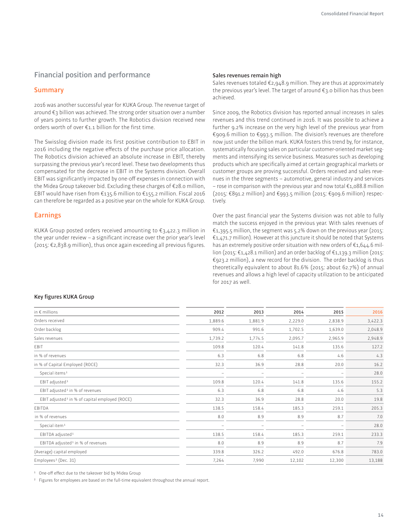## **Financial position and performance**

#### **Summary**

2016 was another successful year for KUKA Group. The revenue target of around €3 billion was achieved. The strong order situation over a number of years points to further growth. The Robotics division received new orders worth of over €1.1 billion for the first time.

The Swisslog division made its first positive contribution to EBIT in 2016 including the negative efects of the purchase price allocation. The Robotics division achieved an absolute increase in EBIT, thereby surpassing the previous year's record level. These two developments thus compensated for the decrease in EBIT in the Systems division. Overall EBIT was significantly impacted by one-off expenses in connection with the Midea Group takeover bid. Excluding these charges of €28.0 million, EBIT would have risen from €135.6 million to €155.2 million. Fiscal 2016 can therefore be regarded as a positive year on the whole for KUKA Group.

## **Earnings**

KUKA Group posted orders received amounting to  $\epsilon_{3,422.3}$  million in the year under review - a significant increase over the prior year's level (2015: €2,838.9 million), thus once again exceeding all previous igures.

#### **Sales revenues remain high**

Sales revenues totaled  $\epsilon_{2,94}$ 8.9 million. They are thus at approximately the previous year's level. The target of around €3.0 billion has thus been achieved.

Since 2009, the Robotics division has reported annual increases in sales revenues and this trend continued in 2016. It was possible to achieve a further 9.2% increase on the very high level of the previous year from €909.6 million to €993.5 million. The division's revenues are therefore now just under the billion mark. KUKA fosters this trend by, for instance, systematically focusing sales on particular customer-oriented market segments and intensifying its service business. Measures such as developing products which are specifically aimed at certain geographical markets or customer groups are proving successful. Orders received and sales revenues in the three segments – automotive, general industry and services – rose in comparison with the previous year and now total €1,088.8 million  $(2015: \text{\textsterling}891.2 \text{ million})$  and  $\text{\textsterling}993.5 \text{ million}$  (2015:  $\text{\textsterling}909.6 \text{ million}$ ) respectively.

Over the past financial year the Systems division was not able to fully match the success enjoyed in the previous year. With sales revenues of  $\epsilon$ 1,395.5 million, the segment was 5.2% down on the previous year (2015: €1,471.7 million). However at this juncture it should be noted that Systems has an extremely positive order situation with new orders of €1,644.6 million (2015: €1,428.1 million) and an order backlog of €1,139.3 million (2015: €923.2 million), a new record for the division. The order backlog is thus theoretically equivalent to about 81.6% (2015: about 62.7%) of annual revenues and allows a high level of capacity utilization to be anticipated for 2017 as well.

#### **Key figures KUKA Group**

| in $\epsilon$ millions                                     | 2012                     | 2013                     | 2014                     | 2015    | 2016    |
|------------------------------------------------------------|--------------------------|--------------------------|--------------------------|---------|---------|
| Orders received                                            | 1,889.6                  | 1,881.9                  | 2,229.0                  | 2,838.9 | 3,422.3 |
| Order backlog                                              | 909.4                    | 991.6                    | 1,702.5                  | 1,639.0 | 2,048.9 |
| Sales revenues                                             | 1,739.2                  | 1,774.5                  | 2,095.7                  | 2,965.9 | 2,948.9 |
| EBIT                                                       | 109.8                    | 120.4                    | 141.8                    | 135.6   | 127.2   |
| in % of revenues                                           | 6.3                      | 6.8                      | 6.8                      | 4.6     | 4.3     |
| in % of Capital Employed (ROCE)                            | 32.3                     | 36.9                     | 28.8                     | 20.0    | 16.2    |
| Special items <sup>1</sup>                                 |                          |                          |                          |         | 28.0    |
| EBIT adjusted <sup>1</sup>                                 | 109.8                    | 120.4                    | 141.8                    | 135.6   | 155.2   |
| EBIT adjusted <sup>1</sup> in % of revenues                | 6.3                      | 6.8                      | 6.8                      | 4.6     | 5.3     |
| EBIT adjusted <sup>1</sup> in % of capital employed (ROCE) | 32.3                     | 36.9                     | 28.8                     | 20.0    | 19.8    |
| EBITDA                                                     | 138.5                    | 158.4                    | 185.3                    | 259.1   | 205.3   |
| in % of revenues                                           | 8.0                      | 8.9                      | 8.9                      | 8.7     | 7.0     |
| Special item <sup>1</sup>                                  | $\overline{\phantom{m}}$ | $\overline{\phantom{0}}$ | $\overline{\phantom{0}}$ |         | 28.0    |
| EBITDA adjusted <sup>1</sup>                               | 138.5                    | 158.4                    | 185.3                    | 259.1   | 233.3   |
| EBITDA adjusted <sup>1</sup> in % of revenues              | 8.0                      | 8.9                      | 8.9                      | 8.7     | 7.9     |
| (Average) capital employed                                 | 339.8                    | 326.2                    | 492.0                    | 676.8   | 783.0   |
| Employees <sup>2</sup> (Dec. 31)                           | 7,264                    | 7,990                    | 12,102                   | 12,300  | 13,188  |
|                                                            |                          |                          |                          |         |         |

<sup>1</sup> One-off effect due to the takeover bid by Midea Group

<sup>2</sup> Figures for employees are based on the full-time equivalent throughout the annual report.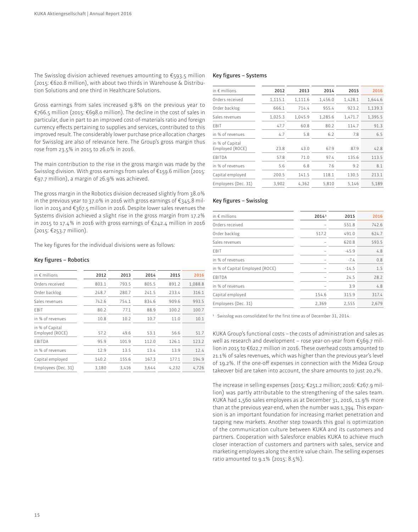The Swisslog division achieved revenues amounting to  $\epsilon$ 593.5 million (2015: €620.8 million), with about two thirds in Warehouse & Distribution Solutions and one third in Healthcare Solutions.

Gross earnings from sales increased 9.8% on the previous year to €766.5 million (2015: €698.0 million). The decline in the cost of sales in particular, due in part to an improved cost-of-materials ratio and foreign currency efects pertaining to supplies and services, contributed to this improved result. The considerably lower purchase price allocation charges for Swisslog are also of relevance here. The Group's gross margin thus rose from 23.5% in 2015 to 26.0% in 2016.

The main contribution to the rise in the gross margin was made by the Swisslog division. With gross earnings from sales of €159.6 million (2015: €97.7 million), a margin of 26.9% was achieved.

The gross margin in the Robotics division decreased slightly from 38.0% in the previous year to 37.0% in 2016 with gross earnings of €345.8 million in 2015 and €367.5 million in 2016. Despite lower sales revenues the Systems division achieved a slight rise in the gross margin from 17.2% in 2015 to 17.4% in 2016 with gross earnings of €242.4 million in 2016 (2015: €253.7 million).

The key figures for the individual divisions were as follows:

#### **Key igures – Robotics**

| in $\epsilon$ millions             | 2012  | 2013  | 2014  | 2015  | 2016    |
|------------------------------------|-------|-------|-------|-------|---------|
| Orders received                    | 803.1 | 793.5 | 805.5 | 891.2 | 1,088.8 |
| Order backlog                      | 248.7 | 280.7 | 241.5 | 233.4 | 316.1   |
| Sales revenues                     | 742.6 | 754.1 | 834.6 | 909.6 | 993.5   |
| FBIT                               | 80.2  | 77.1  | 88.9  | 100.2 | 100.7   |
| in % of revenues                   | 10.8  | 10.2  | 10.7  | 11.0  | 10.1    |
| in % of Capital<br>Employed (ROCE) | 57.2  | 49.6  | 53.1  | 56.6  | 51.7    |
| EBITDA                             | 95.9  | 101.9 | 112.0 | 126.1 | 123.2   |
| in % of revenues                   | 12.9  | 13.5  | 13.4  | 13.9  | 12.4    |
| Capital employed                   | 140.2 | 155.6 | 167.3 | 177.1 | 194.9   |
| Employees (Dec. 31)                | 3,180 | 3,416 | 3,644 | 4,232 | 4,726   |

#### Key figures - Systems

| in $\epsilon$ millions             | 2012    | 2013    | 2014    | 2015    | 2016    |
|------------------------------------|---------|---------|---------|---------|---------|
| Orders received                    | 1,115.1 | 1,111.6 | 1,456.0 | 1,428.1 | 1,644.6 |
| Order backlog                      | 666.1   | 714.4   | 955.4   | 923.2   | 1,139.3 |
| Sales revenues                     | 1,025.3 | 1,045.9 | 1,285.6 | 1,471.7 | 1,395.5 |
| EBIT                               | 47.7    | 60.8    | 80.2    | 114.7   | 91.3    |
| in % of revenues                   | 4.7     | 5.8     | 6.2     | 7.8     | 6.5     |
| in % of Capital<br>Employed (ROCE) | 23.8    | 43.0    | 67.9    | 87.9    | 42.8    |
| EBITDA                             | 57.8    | 71.0    | 97.4    | 135.6   | 113.5   |
| in % of revenues                   | 5.6     | 6.8     | 7.6     | 9.2     | 8.1     |
| Capital employed                   | 200.5   | 141.5   | 118.1   | 130.5   | 213.1   |
| Employees (Dec. 31)                | 3,902   | 4,362   | 5,810   | 5,146   | 5,189   |
|                                    |         |         |         |         |         |

#### **Key igures – Swisslog**

| in $\epsilon$ millions          | 20141 | 2015    | 2016  |
|---------------------------------|-------|---------|-------|
| Orders received                 |       | 551.8   | 742.6 |
| Order backlog                   | 517.2 | 491.0   | 624.7 |
| Sales revenues                  |       | 620.8   | 593.5 |
| EBIT                            |       | $-45.9$ | 4.8   |
| in % of revenues                |       | $-7.4$  | 0.8   |
| in % of Capital Employed (ROCE) |       | $-14.5$ | 1.5   |
| EBITDA                          |       | 24.5    | 28.2  |
| in % of revenues                |       | 3.9     | 4.8   |
| Capital employed                | 154.6 | 315.9   | 317.4 |
| Employees (Dec. 31)             | 2,369 | 2,555   | 2,679 |
|                                 |       |         |       |

<sup>1</sup> Swisslog was consolidated for the first time as of December 31, 2014.

KUKA Group's functional costs – the costs of administration and sales as well as research and development – rose year-on-year from €569.7 million in 2015 to €622.7 million in 2016. These overhead costs amounted to 21.1% of sales revenues, which was higher than the previous year's level of 19.2%. If the one-off expenses in connection with the Midea Group takeover bid are taken into account, the share amounts to just 20.2%.

The increase in selling expenses (2015: €251.2 million; 2016: €267.9 million) was partly attributable to the strengthening of the sales team. KUKA had 1,560 sales employees as at December 31, 2016, 11.9% more than at the previous year-end, when the number was 1,394. This expansion is an important foundation for increasing market penetration and tapping new markets. Another step towards this goal is optimization of the communication culture between KUKA and its customers and partners. Cooperation with Salesforce enables KUKA to achieve much closer interaction of customers and partners with sales, service and marketing employees along the entire value chain. The selling expenses ratio amounted to 9.1% (2015: 8.5%).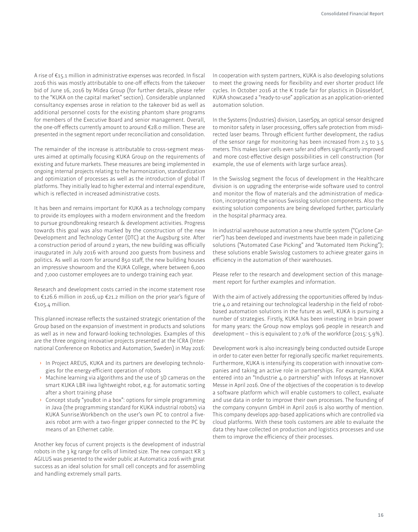A rise of  $E_1$ 5.1 million in administrative expenses was recorded. In fiscal 2016 this was mostly attributable to one-off effects from the takeover bid of June 16, 2016 by Midea Group (for further details, please refer to the "KUKA on the capital market" section). Considerable unplanned consultancy expenses arose in relation to the takeover bid as well as additional personnel costs for the existing phantom share programs for members of the Executive Board and senior management. Overall, the one-off effects currently amount to around €28.0 million. These are presented in the segment report under reconciliation and consolidation.

The remainder of the increase is attributable to cross-segment measures aimed at optimally focusing KUKA Group on the requirements of existing and future markets. These measures are being implemented in ongoing internal projects relating to the harmonization, standardization and optimization of processes as well as the introduction of global IT platforms. They initially lead to higher external and internal expenditure, which is reflected in increased administrative costs.

It has been and remains important for KUKA as a technology company to provide its employees with a modern environment and the freedom to pursue groundbreaking research & development activities. Progress towards this goal was also marked by the construction of the new Development and Technology Center (DTC) at the Augsburg site. After a construction period of around 2 years, the new building was oficially inaugurated in July 2016 with around 200 guests from business and politics. As well as room for around 850 staf, the new building houses an impressive showroom and the KUKA College, where between 6,000 and 7,000 customer employees are to undergo training each year.

Research and development costs carried in the income statement rose to €126.6 million in 2016, up €21.2 million on the prior year's figure of €105.4 million.

This planned increase reflects the sustained strategic orientation of the Group based on the expansion of investment in products and solutions as well as in new and forward-looking technologies. Examples of this are the three ongoing innovative projects presented at the ICRA (International Conference on Robotics and Automation, Sweden) in May 2016:

- **In Project AREUS, KUKA and its partners are developing technolo**gies for the energy-eficient operation of robots
- **›** Machine learning via algorithms and the use of 3D cameras on the smart KUKA LBR iiwa lightweight robot, e.g. for automatic sorting after a short training phase
- **›** Concept study "youBot in a box": options for simple programming in Java (the programming standard for KUKA industrial robots) via KUKA Sunrise.Workbench on the user's own PC to control a fiveaxis robot arm with a two-finger gripper connected to the PC by means of an Ethernet cable.

Another key focus of current projects is the development of industrial robots in the 3 kg range for cells of limited size. The new compact KR 3 AGILUS was presented to the wider public at Automatica 2016 with great success as an ideal solution for small cell concepts and for assembling and handling extremely small parts.

In cooperation with system partners, KUKA is also developing solutions to meet the growing needs for flexibility and ever shorter product life cycles. In October 2016 at the K trade fair for plastics in Düsseldorf, A showcased a "ready-to-use" application as an application-oriented automation solution.

In the Systems (Industries) division, LaserSpy, an optical sensor designed to monitor safety in laser processing, offers safe protection from misdirected laser beams. Through eficient further development, the radius of the sensor range for monitoring has been increased from 2.5 to 3.5 meters. This makes laser cells even safer and offers significantly improved and more cost-efective design possibilities in cell construction (for example, the use of elements with large surface areas).

In the Swisslog segment the focus of development in the Healthcare division is on upgrading the enterprise-wide software used to control and monitor the flow of materials and the administration of medication, incorporating the various Swisslog solution components. Also the existing solution components are being developed further, particularly in the hospital pharmacy area.

In industrial warehouse automation a new shuttle system ("Cyclone Carrier") has been developed and investments have been made in palletizing solutions ("Automated Case Picking" and "Automated Item Picking"); these solutions enable Swisslog customers to achieve greater gains in eficiency in the automation of their warehouses.

Please refer to the research and development section of this management report for further examples and information.

With the aim of actively addressing the opportunities offered by Industrie 4.0 and retaining our technological leadership in the field of robotbased automation solutions in the future as well, KUKA is pursuing a number of strategies. Firstly, KUKA has been investing in brain power for many years: the Group now employs 906 people in research and development – this is equivalent to 7.0% of the workforce (2015: 5.9%).

Development work is also increasingly being conducted outside Europe in order to cater even better for regionally specific market requirements. Furthermore, KUKA is intensifying its cooperation with innovative companies and taking an active role in partnerships. For example, KUKA entered into an "Industrie 4.0 partnership" with Infosys at Hannover Messe in April 2016. One of the objectives of the cooperation is to develop a software platform which will enable customers to collect, evaluate and use data in order to improve their own processes. The founding of the company conyunn GmbH in April 2016 is also worthy of mention. This company develops app-based applications which are controlled via cloud platforms. With these tools customers are able to evaluate the data they have collected on production and logistics processes and use them to improve the eficiency of their processes.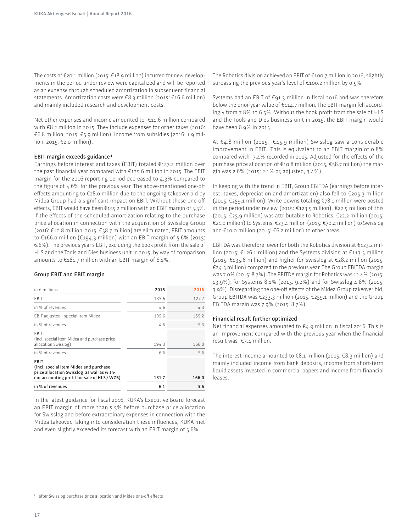The costs of €20.1 million (2015: €18.9 million) incurred for new developments in the period under review were capitalized and will be reported as an expense through scheduled amortization in subsequent financial statements. Amortization costs were €8.3 million (2015: €16.6 million) and mainly included research and development costs.

Net other expenses and income amounted to -€11.6 million compared with €8.2 million in 2015. They include expenses for other taxes (2016: €6.8 million; 2015: €5.9 million), income from subsidies (2016: 1.9 million; 2015: €2.0 million).

#### **EBIT margin exceeds guidance 1**

Earnings before interest and taxes (EBIT) totaled €127.2 million over the past financial year compared with  $\epsilon$ 135.6 million in 2015. The EBIT margin for the 2016 reporting period decreased to 4.3% compared to the figure of  $4.6\%$  for the previous year. The above-mentioned one-off efects amounting to €28.0 million due to the ongoing takeover bid by Midea Group had a significant impact on EBIT. Without these one-off efects, EBIT would have been €155.2 million with an EBIT margin of 5.3%. If the efects of the scheduled amortization relating to the purchase price allocation in connection with the acquisition of Swisslog Group (2016: €10.8 million; 2015: €58.7 million) are eliminated, EBIT amounts to €166.0 million (€194.3 million) with an EBIT margin of 5.6% (2015: 6.6%). The previous year's EBIT, excluding the book profit from the sale of HLS and the Tools and Dies business unit in 2015, by way of comparison amounts to €181.7 million with an EBIT margin of 6.1%.

#### **Group EBIT and EBIT margin**

| in $\epsilon$ millions                                                                                                                              | 2015  | 2016  |
|-----------------------------------------------------------------------------------------------------------------------------------------------------|-------|-------|
| <b>FBIT</b>                                                                                                                                         | 135.6 | 127.2 |
| in % of revenues                                                                                                                                    | 4.6   | 4.3   |
| EBIT adjusted - special item Midea                                                                                                                  | 135.6 | 155.2 |
| in % of revenues                                                                                                                                    | 4.6   | 5.3   |
| <b>FBIT</b><br>(incl. special item Midea and purchase price<br>allocation Swisslog)                                                                 | 194.3 | 166.0 |
| in % of revenues                                                                                                                                    | 6.6   | 5.6   |
| <b>EBIT</b><br>(incl. special item Midea and purchase<br>price allocation Swisslog as wall as with-<br>out accounting profit for sale of HLS / WZB) | 181.7 | 166.0 |
| in % of revenues                                                                                                                                    | 6.1   | 5.6   |

In the latest guidance for fiscal 2016, KUKA's Executive Board forecast an EBIT margin of more than 5.5% before purchase price allocation for Swisslog and before extraordinary expenses in connection with the Midea takeover. Taking into consideration these influences, KUKA met and even slightly exceeded its forecast with an EBIT margin of 5.6%.

The Robotics division achieved an EBIT of €100.7 million in 2016, slightly surpassing the previous year's level of €100.2 million by 0.5%.

Systems had an EBIT of €91.3 million in fiscal 2016 and was therefore below the prior-year value of €114.7 million. The EBIT margin fell accordingly from 7.8% to 6.5%. Without the book profit from the sale of HLS and the Tools and Dies business unit in 2015, the EBIT margin would have been 6.9% in 2015.

At €4.8 million (2015: -€45.9 million) Swisslog saw a considerable improvement in EBIT. This is equivalent to an EBIT margin of 0.8% compared with -7.4% recorded in 2015. Adjusted for the efects of the purchase price allocation of €10.8 million (2015, €58.7 million) the margin was 2.6% (2015: 2.1% or, adjusted, 3.4%).

In keeping with the trend in EBIT, Group EBITDA (earnings before interest, taxes, depreciation and amortization) also fell to €205.3 million (2015: €259.1 million). Write-downs totaling €78.1 million were posted in the period under review (2015: €123.5 million). €22.5 million of this (2015: €25.9 million) was attributable to Robotics, €22.2 million (2015: €21.0 million) to Systems, €23.4 million (2015: €70.4 million) to Swisslog and €10.0 million (2015: €6.2 million) to other areas.

EBITDA was therefore lower for both the Robotics division at  $\epsilon$ 123.2 million (2015: €126.1 million) and the Systems division at €113.5 million (2015: €135.6 million) and higher for Swisslog at €28.2 million (2015: €24.5 million) compared to the previous year. The Group EBITDA margin was 7.0% (2015: 8.7%). The EBITDA margin for Robotics was 12.4% (2015: 13.9%), for Systems 8.1% (2015: 9.2%) and for Swisslog 4.8% (2015: 3.9%). Disregarding the one-of efects of the Midea Group takeover bid, Group EBITDA was €233.3 million (2015: €259.1 million) and the Group EBITDA margin was 7.9% (2015: 8.7%).

#### **Financial result further optimized**

Net financial expenses amounted to  $\epsilon_4$ .9 million in fiscal 2016. This is an improvement compared with the previous year when the financial result was -€7.4 million.

The interest income amounted to €8.1 million (2015: €8.3 million) and mainly included income from bank deposits, income from short-term liquid assets invested in commercial papers and income from financial leases.

<sup>&</sup>lt;sup>1</sup> after Swisslog purchase price allocation and Midea one-off effects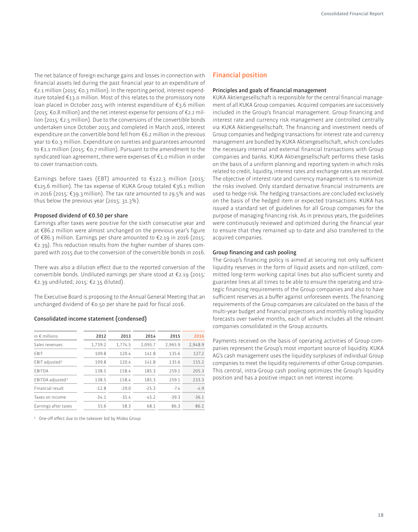The net balance of foreign exchange gains and losses in connection with financial assets led during the past financial year to an expenditure of €2.1 million (2015: €0.3 million). In the reporting period, interest expenditure totaled €13.0 million. Most of this relates to the promissory note loan placed in October 2015 with interest expenditure of €3.6 million (2015: €0.8 million) and the net interest expense for pensions of €2.2 million (2015: €2.5 million). Due to the conversions of the convertible bonds undertaken since October 2015 and completed in March 2016, interest expenditure on the convertible bond fell from €6.2 million in the previous year to €0.3 million. Expenditure on sureties and guarantees amounted to €1.1 million (2015: €0.7 million). Pursuant to the amendment to the syndicated loan agreement, there were expenses of €1.0 million in order to cover transaction costs.

Earnings before taxes (EBT) amounted to  $E$ 122.3 million (2015: €125.6 million). The tax expense of A Group totaled €36.1 million in 2016 (2015: €39.3 million). The tax rate amounted to 29.5% and was thus below the previous year (2015: 31.3%).

#### **Proposed dividend of €0.50 per share**

Earnings after taxes were positive for the sixth consecutive year and at €86.2 million were almost unchanged on the previous year's figure of €86.3 million. Earnings per share amounted to €2.19 in 2016 (2015: €2.39). This reduction results from the higher number of shares compared with 2015 due to the conversion of the convertible bonds in 2016.

There was also a dilution effect due to the reported conversion of the convertible bonds. Undiluted earnings per share stood at €2.19 (2015: €2.39 undiluted; 2015: €2.35 diluted).

The Executive Board is proposing to the Annual General Meeting that an unchanged dividend of €0.50 per share be paid for fiscal 2016.

#### **Consolidated income statement (condensed)**

| in $\epsilon$ millions       | 2012    | 2013    | 2014    | 2015    | 2016    |
|------------------------------|---------|---------|---------|---------|---------|
| Sales revenues               | 1,739.2 | 1,774.5 | 2,095.7 | 2,965.9 | 2,948.9 |
| FBIT                         | 109.8   | 120.4   | 141.8   | 135.6   | 127.2   |
| EBIT adjusted <sup>1</sup>   | 109.8   | 120.4   | 141.8   | 135.6   | 155.2   |
| <b>FBITDA</b>                | 138.5   | 158.4   | 185.3   | 259.1   | 205.3   |
| EBITDA adjusted <sup>1</sup> | 138.5   | 158.4   | 185.3   | 259.1   | 233.3   |
| Financial result             | $-12.8$ | $-20.0$ | $-25.3$ | $-7.4$  | $-4.9$  |
| Taxes on income              | $-34.1$ | $-35.4$ | $-45.2$ | $-39.3$ | $-36.1$ |
| Earnings after taxes         | 55.6    | 58.3    | 68.1    | 86.3    | 86.2    |

<sup>1</sup> One-off effect due to the takeover bid by Midea Group

## **Financial position**

#### **Principles and goals of inancial management**

KUKA Aktiengesellschaft is responsible for the central financial management of all KUKA Group companies. Acquired companies are successively included in the Group's financial management. Group financing and interest rate and currency risk management are controlled centrally via KUKA Aktiengesellschaft. The financing and investment needs of Group companies and hedging transactions for interest rate and currency management are bundled by KUKA Aktiengesellschaft, which concludes the necessary internal and external financial transactions with Group companies and banks. KUKA Aktiengesellschaft performs these tasks on the basis of a uniform planning and reporting system in which risks related to credit, liquidity, interest rates and exchange rates are recorded. The objective of interest rate and currency management is to minimize the risks involved. Only standard derivative financial instruments are used to hedge risk. The hedging transactions are concluded exclusively on the basis of the hedged item or expected transactions. KUKA has issued a standard set of guidelines for all Group companies for the purpose of managing financing risk. As in previous years, the guidelines were continuously reviewed and optimized during the financial year to ensure that they remained up to date and also transferred to the acquired companies.

#### **Group inancing and cash pooling**

The Group's financing policy is aimed at securing not only sufficient liquidity reserves in the form of liquid assets and non-utilized, committed long-term working capital lines but also suficient surety and guarantee lines at all times to be able to ensure the operating and strategic financing requirements of the Group companies and also to have sufficient reserves as a buffer against unforeseen events. The financing requirements of the Group companies are calculated on the basis of the multi-year budget and financial projections and monthly rolling liquidity forecasts over twelve months, each of which includes all the relevant companies consolidated in the Group accounts.

Payments received on the basis of operating activities of Group companies represent the Group's most important source of liquidity. KUKA AG's cash management uses the liquidity surpluses of individual Group companies to meet the liquidity requirements of other Group companies. This central, intra-Group cash pooling optimizes the Group's liquidity position and has a positive impact on net interest income.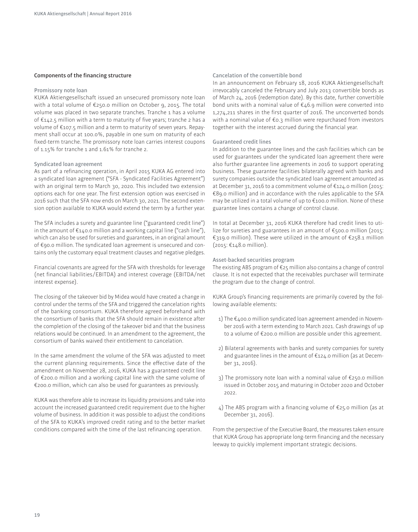#### **Components of the inancing structure**

#### **Promissory note loan**

A Aktiengesellschaft issued an unsecured promissory note loan with a total volume of €250.0 million on October 9, 2015. The total volume was placed in two separate tranches. Tranche 1 has a volume of €142.5 million with a term to maturity of ive years; tranche 2 has a volume of €107.5 million and a term to maturity of seven years. Repayment shall occur at 100.0%, payable in one sum on maturity of each fixed-term tranche. The promissory note loan carries interest coupons of 1.15% for tranche 1 and 1.61% for tranche 2.

#### **Syndicated loan agreement**

As part of a refinancing operation, in April 2015 KUKA AG entered into a syndicated loan agreement ("SFA - Syndicated Facilities Agreement") with an original term to March 30, 2020. This included two extension options each for one year. The first extension option was exercised in 2016 such that the SFA now ends on March 30, 2021. The second extension option available to KUKA would extend the term by a further year.

The SFA includes a surety and guarantee line ("guaranteed credit line") in the amount of  $\epsilon_{140.0}$  million and a working capital line ("cash line"), which can also be used for sureties and guarantees, in an original amount of €90.0 million. The syndicated loan agreement is unsecured and contains only the customary equal treatment clauses and negative pledges.

Financial covenants are agreed for the SFA with thresholds for leverage (net financial liabilities/EBITDA) and interest coverage (EBITDA/net interest expense).

The closing of the takeover bid by Midea would have created a change in control under the terms of the SFA and triggered the cancelation rights of the banking consortium. KUKA therefore agreed beforehand with the consortium of banks that the SFA should remain in existence after the completion of the closing of the takeover bid and that the business relations would be continued. In an amendment to the agreement, the consortium of banks waived their entitlement to cancelation.

In the same amendment the volume of the SFA was adjusted to meet the current planning requirements. Since the efective date of the amendment on November 28, 2016, KUKA has a guaranteed credit line of €200.0 million and a working capital line with the same volume of €200.0 million, which can also be used for guarantees as previously.

KUKA was therefore able to increase its liquidity provisions and take into account the increased guaranteed credit requirement due to the higher volume of business. In addition it was possible to adjust the conditions of the SFA to KUKA's improved credit rating and to the better market conditions compared with the time of the last refinancing operation.

#### **Cancelation of the convertible bond**

In an announcement on February 18, 2016 KUKA Aktiengesellschaft irrevocably canceled the February and July 2013 convertible bonds as of March 24, 2016 (redemption date). By this date, further convertible bond units with a nominal value of €46.9 million were converted into 1,274,211 shares in the first quarter of 2016. The unconverted bonds with a nominal value of €0.3 million were repurchased from investors together with the interest accrued during the financial year.

#### **Guaranteed credit lines**

In addition to the guarantee lines and the cash facilities which can be used for guarantees under the syndicated loan agreement there were also further guarantee line agreements in 2016 to support operating business. These guarantee facilities bilaterally agreed with banks and surety companies outside the syndicated loan agreement amounted as at December 31, 2016 to a commitment volume of €124.0 million (2015: €89.0 million) and in accordance with the rules applicable to the SFA may be utilized in a total volume of up to €100.0 million. None of these guarantee lines contains a change of control clause.

In total at December 31, 2016 KUKA therefore had credit lines to utilize for sureties and guarantees in an amount of €500.0 million (2015: €319.0 million). These were utilized in the amount of €258.1 million (2015: €148.0 million).

#### **Asset-backed securities program**

The existing ABS program of €25 million also contains a change of control clause. It is not expected that the receivables purchaser will terminate the program due to the change of control.

KUKA Group's financing requirements are primarily covered by the following available elements:

- $1)$  The  $\epsilon$ 400.0 million syndicated loan agreement amended in November 2016 with a term extending to March 2021. Cash drawings of up to a volume of €200.0 million are possible under this agreement.
- 2) Bilateral agreements with banks and surety companies for surety and guarantee lines in the amount of €124.0 million (as at December 31, 2016).
- 3) The promissory note loan with a nominal value of €250.0 million issued in October 2015 and maturing in October 2020 and October 2022.
- 4) The ABS program with a financing volume of  $E$ 25.0 million (as at December 31, 2016).

From the perspective of the Executive Board, the measures taken ensure that KUKA Group has appropriate long-term financing and the necessary leeway to quickly implement important strategic decisions.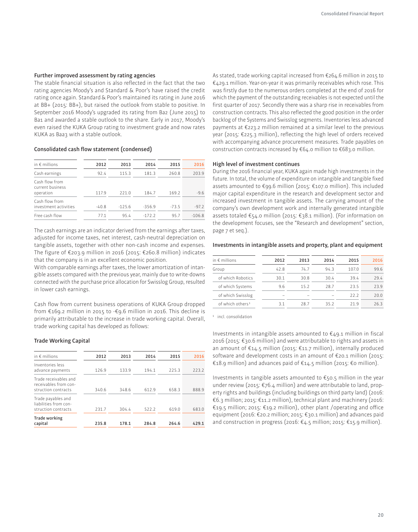#### **Further improved assessment by rating agencies**

The stable financial situation is also reflected in the fact that the two rating agencies Moody's and Standard & Poor's have raised the credit rating once again. Standard & Poor's maintained its rating in June 2016 at BB+ (2015: BB+), but raised the outlook from stable to positive. In September 2016 Moody's upgraded its rating from Ba2 (June 2015) to Ba1 and awarded a stable outlook to the share. Early in 2017, Moody's even raised the KUKA Group rating to investment grade and now rates KUKA as Baa3 with a stable outlook.

#### Consolidated cash flow statement (condensed)

| in $\epsilon$ millions                          | 2012    | 2013     | 2014     | 2015    | 2016     |
|-------------------------------------------------|---------|----------|----------|---------|----------|
| Cash earnings                                   | 92.4    | 115.3    | 181.3    | 260.8   | 203.9    |
| Cash flow from<br>current business<br>operation | 117.9   | 221.0    | 184.7    | 169.2   | $-9.6$   |
| Cash flow from<br>investment activities         | $-40.8$ | $-125.6$ | $-356.9$ | $-73.5$ | $-97.2$  |
| Free cash flow                                  | 77.1    | 95.4     | $-172.2$ | 95.7    | $-106.8$ |

The cash earnings are an indicator derived from the earnings after taxes, adjusted for income taxes, net interest, cash-neutral depreciation on tangible assets, together with other non-cash income and expenses. The igure of €203.9 million in 2016 (2015: €260.8 million) indicates that the company is in an excellent economic position.

With comparable earnings after taxes, the lower amortization of intangible assets compared with the previous year, mainly due to write-downs connected with the purchase price allocation for Swisslog Group, resulted in lower cash earnings.

Cash flow from current business operations of KUKA Group dropped from €169.2 million in 2015 to -€9.6 million in 2016. This decline is primarily attributable to the increase in trade working capital. Overall, trade working capital has developed as follows:

#### **Trade Working Capital**

| in $\notin$ millions                                                  | 2012  | 2013  | 2014  | 2015  | 2016  |
|-----------------------------------------------------------------------|-------|-------|-------|-------|-------|
| Inventories less<br>advance payments                                  | 126.9 | 133.9 | 194.1 | 225.3 | 223.2 |
| Trade receivables and<br>receivables from con-<br>struction contracts | 340.6 | 348.6 | 612.9 | 658.3 | 888.9 |
| Trade payables and<br>liabilities from con-<br>struction contracts    | 231.7 | 304.4 | 522.2 | 619.0 | 683.0 |
| Trade working<br>capital                                              | 235.8 | 178.1 | 284.8 | 264.6 | 429.1 |

As stated, trade working capital increased from €264.6 million in 2015 to €429.1 million. Year-on-year it was primarily receivables which rose. This was firstly due to the numerous orders completed at the end of 2016 for which the payment of the outstanding receivables is not expected until the first quarter of 2017. Secondly there was a sharp rise in receivables from construction contracts. This also reflected the good position in the order backlog of the Systems and Swisslog segments. Inventories less advanced payments at €223.2 million remained at a similar level to the previous year (2015: €225.3 million), reflecting the high level of orders received with accompanying advance procurement measures. Trade payables on construction contracts increased by €64.0 million to €683.0 million.

#### **High level of investment continues**

During the 2016 financial year, KUKA again made high investments in the future. In total, the volume of expenditure on intangible and tangible fixed assets amounted to €99.6 million (2015: €107.0 million). This included major capital expenditure in the research and development sector and increased investment in tangible assets. The carrying amount of the company's own development work and internally generated intangible assets totaled €54.0 million (2015: €38.1 million). (For information on the development focuses, see the "Research and development" section, page 7 et seq.).

#### **Investments in intangible assets and property, plant and equipment**

| in $\epsilon$ millions       | 2012 | 2013 | 2014 | 2015  | 2016 |
|------------------------------|------|------|------|-------|------|
| Group                        | 42.8 | 74.7 | 94.3 | 107.0 | 99.6 |
| of which Robotics            | 30.1 | 30.8 | 30.4 | 39.4  | 29.4 |
| of which Systems             | 9.6  | 15.2 | 28.7 | 235   | 739  |
| of which Swisslog            |      |      |      | 22.2  | 20.0 |
| of which others <sup>1</sup> | 31   | 28.7 | 352  | 21 Q  | 26.3 |

1 incl. consolidation

Investments in intangible assets amounted to  $\epsilon$ 49.1 million in fiscal 2016 (2015: €30.6 million) and were attributable to rights and assets in an amount of €14.5 million (2015: €11.7 million), internally produced software and development costs in an amount of €20.1 million (2015: €18.9 million) and advances paid of  $€14.5$  million (2015: €0 million).

Investments in tangible assets amounted to  $\epsilon$ 50.5 million in the year under review (2015: €76.4 million) and were attributable to land, property rights and buildings (including buildings on third party land) (2016: €6.3 million; 2015: €11.2 million), technical plant and machinery (2016: €19.5 million; 2015: €19.2 million), other plant /operating and ofice equipment (2016: €20.2 million; 2015: €30.1 million) and advances paid and construction in progress (2016: €4.5 million; 2015: €15.9 million).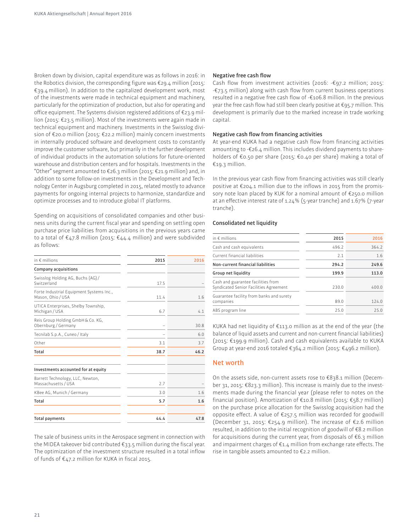Broken down by division, capital expenditure was as follows in 2016: in the Robotics division, the corresponding figure was  $\epsilon$ 29.4 million (2015: €39.4 million). In addition to the capitalized development work, most of the investments were made in technical equipment and machinery, particularly for the optimization of production, but also for operating and ofice equipment. The Systems division registered additions of €23.9 million (2015: €23.5 million). Most of the investments were again made in technical equipment and machinery. Investments in the Swisslog division of €20.0 million (2015: €22.2 million) mainly concern investments in internally produced software and development costs to constantly improve the customer software, but primarily in the further development of individual products in the automation solutions for future-oriented warehouse and distribution centers and for hospitals. Investments in the "Other" segment amounted to  $E$ 26.3 million (2015:  $E$ 21.9 million) and, in addition to some follow-on investments in the Development and Technology Center in Augsburg completed in 2015, related mostly to advance payments for ongoing internal projects to harmonize, standardize and optimize processes and to introduce global IT platforms.

Spending on acquisitions of consolidated companies and other business units during the current iscal year and spending on settling open purchase price liabilities from acquisitions in the previous years came to a total of  $\epsilon$ 47.8 million (2015:  $\epsilon$ 44.4 million) and were subdivided as follows:

| in $\epsilon$ millions                                        | 2015 | 2016 |
|---------------------------------------------------------------|------|------|
| Company acquisitions                                          |      |      |
| Swisslog Holding AG, Buchs (AG)/<br>Switzerland               | 17.5 |      |
| Forte Industrial Equipment Systems Inc.,<br>Mason, Ohio / USA | 11.4 | 1.6  |
| UTICA Enterprises, Shelby Township,<br>Michigan / USA         | 6.7  | 4.1  |
| Reis Group Holding GmbH & Co. KG,<br>Obernburg / Germany      |      | 30.8 |
| Tecnilab S.p.A., Cuneo / Italy                                |      | 6.0  |
| Other                                                         | 3.1  | 3.7  |
| Total                                                         | 38.7 | 46.2 |
| Investments accounted for at equity                           |      |      |
| Barrett Technology, LLC, Newton,<br>Massachusetts / USA       | 2.7  |      |
| KBee AG, Munich / Germany                                     | 3.0  | 1.6  |
| Total                                                         | 5.7  | 1.6  |
| <b>Total payments</b>                                         | 44.4 | 47.8 |

The sale of business units in the Aerospace segment in connection with the MIDEA takeover bid contributed  $\epsilon_{33.5}$  million during the fiscal year. The optimization of the investment structure resulted in a total inflow of funds of  $\epsilon$ 47.2 million for KUKA in fiscal 2015.

#### **Negative free cash flow**

Cash flow from investment activities (2016:  $-\epsilon$ 97.2 million; 2015: -€73.5 million) along with cash low from current business operations resulted in a negative free cash flow of -€106.8 million. In the previous year the free cash flow had still been clearly positive at  $\epsilon$ 95.7 million. This development is primarily due to the marked increase in trade working capital.

#### **Negative cash flow from financing activities**

At year-end KUKA had a negative cash flow from financing activities amounting to -€26.4 million. This includes dividend payments to shareholders of €0.50 per share (2015: €0.40 per share) making a total of €19.3 million.

In the previous year cash flow from financing activities was still clearly positive at  $\epsilon_{204.1}$  million due to the inflows in 2015 from the promissory note loan placed by KUK for a nominal amount of €250.0 million at an efective interest rate of 1.24% (5-year tranche) and 1.67% (7-year tranche).

#### **Consolidated net liquidity**

| 2015  | 2016  |
|-------|-------|
| 496.2 | 364.2 |
| 2.1   | 1.6   |
| 294.2 | 249.6 |
| 199.9 | 113.0 |
| 230.0 | 400.0 |
| 89.0  | 124.0 |
| 25.0  | 75.0  |
|       |       |

KUKA had net liquidity of  $\epsilon$ 113.0 million as at the end of the year (the balance of liquid assets and current and non-current financial liabilities) (2015: €199.9 million). Cash and cash equivalents available to A Group at year-end 2016 totaled €364.2 million (2015: €496.2 million).

#### **Net worth**

On the assets side, non-current assets rose to €838.1 million (December 31, 2015: €823.3 million). This increase is mainly due to the investments made during the financial year (please refer to notes on the inancial position). Amortization of €10.8 million (2015: €58.7 million) on the purchase price allocation for the Swisslog acquisition had the opposite efect. A value of €257.5 million was recorded for goodwill (December 31, 2015: €254.9 million). The increase of €2.6 million resulted, in addition to the initial recognition of goodwill of €8.2 million for acquisitions during the current year, from disposals of €6.3 million and impairment charges of €1.4 million from exchange rate effects. The rise in tangible assets amounted to €2.2 million.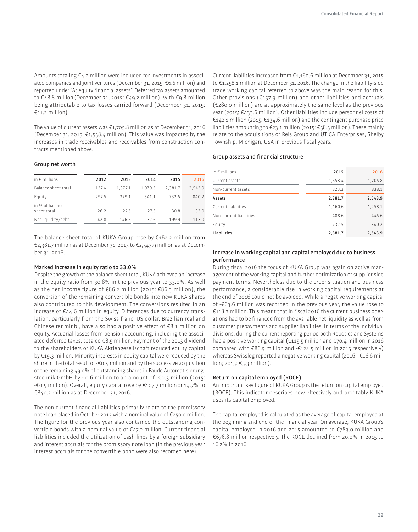Amounts totaling €4.2 million were included for investments in associated companies and joint ventures (December 31, 2015: €6.6 million) and reported under "At equity financial assets". Deferred tax assets amounted to €48.8 million (December 31, 2015: €49.2 million), with €9.8 million being attributable to tax losses carried forward (December 31, 2015: €11.2 million).

The value of current assets was €1,705.8 million as at December 31, 2016 (December 31, 2015:  $\epsilon$ 1,558.4 million). This value was impacted by the increases in trade receivables and receivables from construction contracts mentioned above.

#### **Group net worth**

| in $\epsilon$ millions         | 2012    | 2013    | 2014    | 2015    | 2016    |
|--------------------------------|---------|---------|---------|---------|---------|
| Balance sheet total            | 1.137.4 | 1.377.1 | 1.979.5 | 2.381.7 | 2.543.9 |
| Equity                         | 297.5   | 379.1   | 541.1   | 732.5   | 840.2   |
| in % of balance<br>sheet total | 26.2    | 275     | 27.3    | 30.8    | 33.0    |
| Net liquidity/debt             | 42.8    | 146.5   | 32.6    | 199.9   | 113.0   |

The balance sheet total of KUKA Group rose by  $E162.2$  million from €2,381.7 million as at December 31, 2015 to €2,543.9 million as at December 31, 2016.

#### **Marked increase in equity ratio to 33.0%**

Despite the growth of the balance sheet total, KUKA achieved an increase in the equity ratio from 30.8% in the previous year to 33.0%. As well as the net income figure of €86.2 million (2015: €86.3 million), the conversion of the remaining convertible bonds into new KUKA shares also contributed to this development. The conversions resulted in an increase of  $\epsilon$ 44.6 million in equity. Differences due to currency translation, particularly from the Swiss franc, US dollar, Brazilian real and Chinese renminbi, have also had a positive effect of  $\epsilon$ 8.1 million on equity. Actuarial losses from pension accounting, including the associated deferred taxes, totaled €8.5 million. Payment of the 2015 dividend to the shareholders of KUKA Aktiengesellschaft reduced equity capital by €19.3 million. Minority interests in equity capital were reduced by the share in the total result of  $-6.4$  million and by the successive acquisition of the remaining 49.0% of outstanding shares in Faude Automatisierungstechnik GmbH by €0.6 million to an amount of -€0.3 million (2015: -€0.5 million). Overall, equity capital rose by €107.7 million or 14.7% to €840.2 million as at December 31, 2016.

The non-current financial liabilities primarily relate to the promissory note loan placed in October 2015 with a nominal value of €250.0 million. The figure for the previous year also contained the outstanding convertible bonds with a nominal value of  $\epsilon$ 47.2 million. Current financial liabilities included the utilization of cash lines by a foreign subsidiary and interest accruals for the promissory note loan (in the previous year interest accruals for the convertible bond were also recorded here).

Current liabilities increased from €1,160.6 million at December 31, 2015 to €1,258.1 million at December 31, 2016. The change in the liability-side trade working capital referred to above was the main reason for this. Other provisions (€157.9 million) and other liabilities and accruals (€280.0 million) are at approximately the same level as the previous year (2015: €433.6 million). Other liabilities include personnel costs of €142.1 million (2015: €134.6 million) and the contingent purchase price liabilities amounting to €23.1 million (2015: €58.5 million). These mainly relate to the acquisitions of Reis Group and UTICA Enterprises, Shelby Township, Michigan, USA in previous fiscal years.

#### **Group assets and inancial structure**

| in $\epsilon$ millions  | 2015    | 2016    |
|-------------------------|---------|---------|
| Current assets          | 1,558.4 | 1,705.8 |
| Non-current assets      | 823.3   | 838.1   |
| Assets                  | 2,381.7 | 2,543.9 |
| Current liabilities     | 1,160.6 | 1,258.1 |
| Non-current liabilities | 488.6   | 445.6   |
| Equity                  | 732.5   | 840.2   |
| Liabilities             | 2,381.7 | 2,543.9 |
|                         |         |         |

#### **Increase in working capital and capital employed due to business performance**

During fiscal 2016 the focus of KUKA Group was again on active management of the working capital and further optimization of supplier-side payment terms. Nevertheless due to the order situation and business performance, a considerable rise in working capital requirements at the end of 2016 could not be avoided. While a negative working capital of -€63.6 million was recorded in the previous year, the value rose to  $£118.3$  million. This meant that in fiscal 2016 the current business operations had to be financed from the available net liquidity as well as from customer prepayments and supplier liabilities. In terms of the individual divisions, during the current reporting period both Robotics and Systems had a positive working capital (€115.5 million and €70.4 million in 2016 compared with €86.9 million and -€124.5 million in 2015 respectively) whereas Swisslog reported a negative working capital (2016: -€16.6 million; 2015: €5.3 million).

#### **Return on capital employed (ROCE)**

An important key figure of KUKA Group is the return on capital employed (ROCE). This indicator describes how effectively and profitably KUKA uses its capital employed.

The capital employed is calculated as the average of capital employed at the beginning and end of the financial year. On average, KUKA Group's capital employed in 2016 and 2015 amounted to €783.0 million and €676.8 million respectively. The ROCE declined from 20.0% in 2015 to 16.2% in 2016.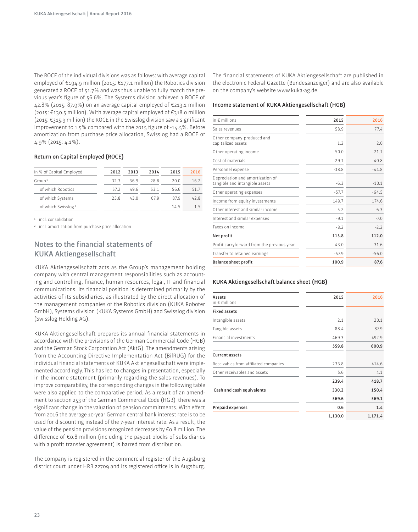The ROCE of the individual divisions was as follows: with average capital employed of €194.9 million (2015: €177.1 million) the Robotics division generated a ROCE of 51.7% and was thus unable to fully match the previous year's igure of 56.6%. The Systems division achieved a ROCE of 42.8% (2015: 87.9%) on an average capital employed of €213.1 million (2015: €130.5 million). With average capital employed of €318.0 million  $(2015: \text{E}315.9 \text{ million})$  the ROCE in the Swisslog division saw a significant improvement to 1.5% compared with the 2015 figure of -14.5%. Before amortization from purchase price allocation, Swisslog had a ROCE of 4.9% (2015: 4.1%).

#### **Return on Capital Employed (ROCE)**

| in % of Capital Employed       | 2012 | 2013 | 2014 | 2015 | 2016 |
|--------------------------------|------|------|------|------|------|
| Group <sup>1</sup>             | 323  | 369  | 288  | 20 Q | 16.2 |
| of which Robotics              | 572  | 496  | 531  | 56 6 | 517  |
| of which Systems               | 238  | 430  | 679  | 879  | 428  |
| of which Swisslog <sup>2</sup> |      |      |      | -145 | 15   |

1 incl. consolidation

2 incl. amortization from purchase price allocation

## **Notes to the inancial statements of A Aktiengesellschaft**

KUKA Aktiengesellschaft acts as the Group's management holding company with central management responsibilities such as accounting and controlling, finance, human resources, legal, IT and financial communications. Its financial position is determined primarily by the activities of its subsidiaries, as illustrated by the direct allocation of the management companies of the Robotics division (KUKA Roboter GmbH), Systems division (KUKA Systems GmbH) and Swisslog division (Swisslog Holding AG).

KUKA Aktiengesellschaft prepares its annual financial statements in accordance with the provisions of the German Commercial Code (HGB) and the German Stock Corporation Act (AktG). The amendments arising from the Accounting Directive Implementation Act (BilRUG) for the individual financial statements of KUKA Aktiengesellschaft were implemented accordingly. This has led to changes in presentation, especially in the income statement (primarily regarding the sales revenues). To improve comparability, the corresponding changes in the following table were also applied to the comparative period. As a result of an amendment to section 253 of the German Commercial Code (HGB) there was a significant change in the valuation of pension commitments. With effect from 2016 the average 10-year German central bank interest rate is to be used for discounting instead of the 7-year interest rate. As a result, the value of the pension provisions recognized decreases by €0.8 million. The diference of €0.8 million (including the payout blocks of subsidiaries with a profit transfer agreement) is barred from distribution.

The company is registered in the commercial register of the Augsburg district court under HRB 22709 and its registered ofice is in Augsburg.

The financial statements of KUKA Aktiengesellschaft are published in the electronic Federal Gazette (Bundesanzeiger) and are also available on the company's website www.kuka-ag.de.

#### **Income statement of KUKA Aktiengesellschaft (HGB)**

| in $\epsilon$ millions                                             | 2015    | 2016    |
|--------------------------------------------------------------------|---------|---------|
| Sales revenues                                                     | 58.9    | 77.4    |
| Other company-produced and<br>capitalized assets                   | 1.7     | 2.0     |
| Other operating income                                             | 50.0    | 21.1    |
| Cost of materials                                                  | $-29.1$ | $-40.8$ |
| Personnel expense                                                  | $-38.8$ | $-44.8$ |
| Depreciation and amortization of<br>tangible and intangible assets | $-6.3$  | $-10.1$ |
| Other operating expenses                                           | $-57.7$ | $-64.5$ |
| Income from equity investments                                     | 149.7   | 174.6   |
| Other interest and similar income                                  | 5.2     | 6.3     |
| Interest and similar expenses                                      | $-9.1$  | $-7.0$  |
| Taxes on income                                                    | $-8.2$  | $-2.2$  |
| Net profit                                                         | 115.8   | 112.0   |
| Profit carryforward from the previous year                         | 43.0    | 31.6    |
| Transfer to retained earnings                                      | $-57.9$ | $-56.0$ |
| <b>Balance sheet profit</b>                                        | 100.9   | 87.6    |
|                                                                    |         |         |

#### **A Aktiengesellschaft balance sheet (HGB)**

| Assets<br>in $\epsilon$ millions      | 2015    | 2016    |
|---------------------------------------|---------|---------|
| <b>Fixed assets</b>                   |         |         |
| Intangible assets                     | 2.1     | 20.1    |
| Tangible assets                       | 88.4    | 87.9    |
| Financial investments                 | 469.3   | 492.9   |
|                                       | 559.8   | 600.9   |
| <b>Current assets</b>                 |         |         |
| Receivables from affiliated companies | 233.8   | 414.6   |
| Other receivables and assets          | 5.6     | 4.1     |
|                                       | 239.4   | 418.7   |
| Cash and cash equivalents             | 330.2   | 150.4   |
|                                       | 569.6   | 569.1   |
| Prepaid expenses                      | 0.6     | 1.4     |
|                                       | 1,130.0 | 1,171.4 |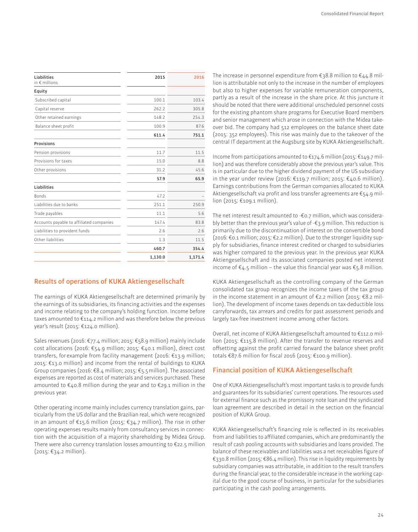| Liabilities<br>in € millions             | 2015    | 2016    |
|------------------------------------------|---------|---------|
| Equity                                   |         |         |
| Subscribed capital                       | 100.1   | 103.4   |
| Capital reserve                          | 262.2   | 305.8   |
| Other retained earnings                  | 148.2   | 254.3   |
| Balance sheet profit                     | 100.9   | 87.6    |
|                                          | 611.4   | 751.1   |
| <b>Provisions</b>                        |         |         |
| Pension provisions                       | 11.7    | 11.5    |
| Provisions for taxes                     | 15.0    | 8.8     |
| Other provisions                         | 31.2    | 45.6    |
|                                          | 57.9    | 65.9    |
| Liabilities                              |         |         |
| <b>Bonds</b>                             | 47.2    |         |
| Liabilities due to banks                 | 251.1   | 250.9   |
| Trade payables                           | 11.1    | 5.6     |
| Accounts payable to affiliated companies | 147.4   | 83.8    |
| Liabilities to provident funds           | 2.6     | 2.6     |
| Other liabilities                        | 1.3     | 11.5    |
|                                          | 460.7   | 354.4   |
|                                          | 1,130.0 | 1,171.4 |

## **Results of operations of KUKA Aktiengesellschaft**

The earnings of KUKA Aktiengesellschaft are determined primarily by the earnings of its subsidiaries, its financing activities and the expenses and income relating to the company's holding function. Income before taxes amounted to  $\epsilon$ 114.2 million and was therefore below the previous year's result (2015: €124.0 million).

Sales revenues (2016: €77.4 million; 2015: €58.9 million) mainly include cost allocations (2016: €54.9 million; 2015: €40.1 million), direct cost transfers, for example from facility management (2016: €13.9 million; 2015:  $\epsilon$ 13.0 million) and income from the rental of buildings to KUKA Group companies (2016: €8.4 million; 2015: €5.5 million). The associated expenses are reported as cost of materials and services purchased. These amounted to  $\epsilon$ 40.8 million during the year and to  $\epsilon$ 29.1 million in the previous year.

Other operating income mainly includes currency translation gains, particularly from the US dollar and the Brazilian real, which were recognized in an amount of €15.6 million (2015: €34.7 million). The rise in other operating expenses results mainly from consultancy services in connection with the acquisition of a majority shareholding by Midea Group. There were also currency translation losses amounting to €22.5 million (2015: €34.2 million).

The increase in personnel expenditure from  $\epsilon_3$ 8.8 million to  $\epsilon_4$ 4.8 million is attributable not only to the increase in the number of employees but also to higher expenses for variable remuneration components, partly as a result of the increase in the share price. At this juncture it should be noted that there were additional unscheduled personnel costs for the existing phantom share programs for Executive Board members and senior management which arose in connection with the Midea takeover bid. The company had 512 employees on the balance sheet date (2015: 352 employees). This rise was mainly due to the takeover of the central IT department at the Augsburg site by KUKA Aktiengesellschaft.

Income from participations amounted to  $\epsilon_{174}$ .6 million (2015:  $\epsilon_{149}$ .7 million) and was therefore considerably above the previous year's value. This is in particular due to the higher dividend payment of the US subsidiary in the year under review (2016: €119.7 million; 2015: €40.6 million). Earnings contributions from the German companies allocated to KUKA Aktiengesellschaft via profit and loss transfer agreements are  $\epsilon$ 54.9 million (2015: €109.1 million).

The net interest result amounted to -€0.7 million, which was considerably better than the previous year's value of -€3.9 million. This reduction is primarily due to the discontinuation of interest on the convertible bond (2016: €0.1 million; 2015: €2.2 million). Due to the stronger liquidity supply for subsidiaries, finance interest credited or charged to subsidiaries was higher compared to the previous year. In the previous year KUKA Aktiengesellschaft and its associated companies posted net interest income of €4.5 million – the value this financial year was €5.8 million.

KUKA Aktiengesellschaft as the controlling company of the German consolidated tax group recognizes the income taxes of the tax group in the income statement in an amount of €2.2 million (2015: €8.2 million). The development of income taxes depends on tax-deductible loss carryforwards, tax arrears and credits for past assessment periods and largely tax-free investment income among other factors.

Overall, net income of KUKA Aktiengesellschaft amounted to €112.0 million (2015: €115.8 million). After the transfer to revenue reserves and offsetting against the profit carried forward the balance sheet profit totals €87.6 million for fiscal 2016 (2015: €100.9 million).

## **Financial position of KUKA Aktiengesellschaft**

One of KUKA Aktiengesellschaft's most important tasks is to provide funds and guarantees for its subsidiaries' current operations. The resources used for external finance such as the promissory note loan and the syndicated loan agreement are described in detail in the section on the financial position of KUKA Group.

KUKA Aktiengesellschaft's financing role is reflected in its receivables from and liabilities to afiliated companies, which are predominantly the result of cash pooling accounts with subsidiaries and loans provided. The balance of these receivables and liabilities was a net receivables figure of €330.8 million (2015: €86.4 million). This rise in liquidity requirements by subsidiary companies was attributable, in addition to the result transfers during the financial year, to the considerable increase in the working capital due to the good course of business, in particular for the subsidiaries participating in the cash pooling arrangements.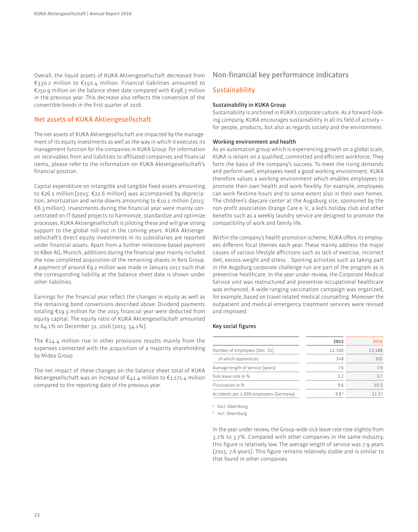Overall, the liquid assets of KUKA Aktiengesellschaft decreased from €330.2 million to €150.4 million. Financial liabilities amounted to €250.9 million on the balance sheet date compared with €298.3 million in the previous year. This decrease also reflects the conversion of the convertible bonds in the first quarter of 2016.

## **Net assets of KUKA Aktiengesellschaft**

The net assets of KUKA Aktiengesellschaft are impacted by the management of its equity investments as well as the way in which it executes its management function for the companies in KUKA Group. For information on receivables from and liabilities to affiliated companies and financial items, please refer to the information on KUKA Aktiengesellschaft's financial position.

Capital expenditure on intangible and tangible ixed assets amounting to €26.1 million (2015: €22.6 million) was accompanied by depreciation, amortization and write-downs amounting to €10.1 million (2015: €6.3 million). Investments during the inancial year were mainly concentrated on IT-based projects to harmonize, standardize and optimize processes. KUKA Aktiengesellschaft is piloting these and will give strong support to the global roll-out in the coming years. KUKA Aktiengesellschaft's direct equity investments in its subsidiaries are reported under financial assets. Apart from a further milestone-based payment to KBee AG, Munich, additions during the financial year mainly included the now completed acquisition of the remaining shares in Reis Group. A payment of around €9.2 million was made in January 2017 such that the corresponding liability at the balance sheet date is shown under other liabilities.

Earnings for the financial year reflect the changes in equity as well as the remaining bond conversions described above. Dividend payments totaling  $E_{19.3}$  million for the 2015 financial year were deducted from equity capital. The equity ratio of KUKA Aktiengesellschaft amounted to 64.1% on December 31, 2016 (2015: 54.1%).

The  $E14.4$  million rise in other provisions results mainly from the expenses connected with the acquisition of a majority shareholding by Midea Group.

The net impact of these changes on the balance sheet total of KUKA Aktiengesellschaft was an increase of €41.4 million to €1,171.4 million compared to the reporting date of the previous year.

## **Non-financial key performance indicators**

#### **Sustainability**

#### **Sustainability in KUKA Group**

Sustainability is anchored in KUKA's corporate culture. As a forward-looking company, KUKA encourages sustainability in all its field of activity  $$ for people, products, but also as regards society and the environment.

#### **Working environment and health**

As an automation group which is experiencing growth on a global scale, KUKA is reliant on a qualified, committed and efficient workforce. They form the basis of the company's success. To meet the rising demands and perform well, employees need a good working environment. KUKA therefore values a working environment which enables employees to promote their own health and work lexibly. For example, employees can work flextime hours and to some extent also in their own homes. The children's daycare center at the Augsburg site, sponsored by the non-profit association Orange Care e.V., a kid's holiday club and other benefits such as a weekly laundry service are designed to promote the compatibility of work and family life.

Within the company's health promotion scheme, KUKA offers its employees diferent focal themes each year. These mainly address the major causes of various lifestyle aflictions such as lack of exercise, incorrect diet, excess weight and stress. . Sporting activities such as taking part in the Augsburg corporate challenge run are part of the program as is preventive healthcare. In the year under review, the Corporate Medical Service unit was restructured and preventive occupational healthcare was enhanced. A wide-ranging vaccination campaign was organized, for example, based on travel-related medical counselling. Moreover the outpatient and medical emergency treatment services were revised and improved.

#### **Key social figures**

|                                         | 2015   | 2016   |
|-----------------------------------------|--------|--------|
| Number of employees (Dec. 31)           | 12,300 | 13,188 |
| of which apprentices                    | 348    | 305    |
| Average length of service (years)       | 7.6    | 79     |
| Sick leave rate in %                    | 3.2    | 37     |
| Fluctuation in %                        | 9.6    | 10.3   |
| Accidents per 1,000 employees (Germany) | 9.81   | 1152   |

1 Excl. Obernburg

2 Incl. Obernburg

In the year under review, the Group-wide sick leave rate rose slightly from 3.2% to 3.7%. Compared with other companies in the same industry, this figure is relatively low. The average length of service was 7.9 years (2015: 7.6 years). This figure remains relatively stable and is similar to that found in other companies.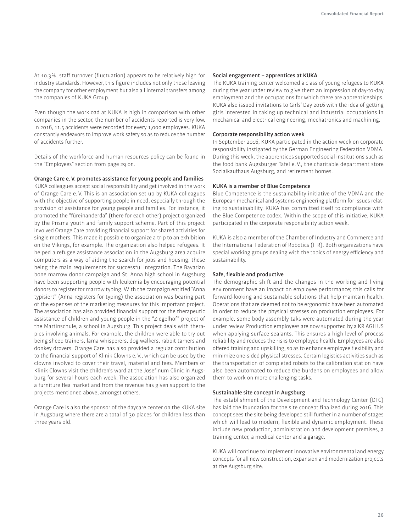At 10.3%, staff turnover (fluctuation) appears to be relatively high for industry standards. However, this figure includes not only those leaving the company for other employment but also all internal transfers among the companies of KUKA Group.

Even though the workload at KUKA is high in comparison with other companies in the sector, the number of accidents reported is very low. In 2016, 11.5 accidents were recorded for every 1,000 employees. KUKA constantly endeavors to improve work safety so as to reduce the number of accidents further.

Details of the workforce and human resources policy can be found in the "Employees" section from page 29 on.

#### **Orange Care e. V. promotes assistance for young people and families**

KUKA colleagues accept social responsibility and get involved in the work of Orange Care e.V. This is an association set up by KUKA colleagues with the objective of supporting people in need, especially through the provision of assistance for young people and families. For instance, it promoted the "füreinanderda" (there for each other) project organized by the Prisma youth and family support scheme. Part of this project involved Orange Care providing financial support for shared activities for single mothers. This made it possible to organize a trip to an exhibition on the Vikings, for example. The organization also helped refugees. It helped a refugee assistance association in the Augsburg area acquire computers as a way of aiding the search for jobs and housing, these being the main requirements for successful integration. The Bavarian bone marrow donor campaign and St. Anna high school in Augsburg have been supporting people with leukemia by encouraging potential donors to register for marrow typing. With the campaign entitled "Anna typisiert" (Anna registers for typing) the association was bearing part of the expenses of the marketing measures for this important project. The association has also provided financial support for the therapeutic assistance of children and young people in the "Ziegelhof" project of the Martinschule, a school in Augsburg. This project deals with therapies involving animals. For example, the children were able to try out being sheep trainers, lama whisperers, dog walkers, rabbit tamers and donkey drovers. Orange Care has also provided a regular contribution to the financial support of Klinik Clowns e. V., which can be used by the clowns involved to cover their travel, material and fees. Members of Klinik Clowns visit the children's ward at the Josefinum Clinic in Augsburg for several hours each week. The association has also organized a furniture flea market and from the revenue has given support to the projects mentioned above, amongst others.

Orange Care is also the sponsor of the daycare center on the KUKA site in Augsburg where there are a total of 30 places for children less than three years old.

#### **Social engagement – apprentices at A**

The KUKA training center welcomed a class of young refugees to KUKA during the year under review to give them an impression of day-to-day employment and the occupations for which there are apprenticeships. KUKA also issued invitations to Girls' Day 2016 with the idea of getting girls interested in taking up technical and industrial occupations in mechanical and electrical engineering, mechatronics and machining.

#### **Corporate responsibility action week**

In September 2016, KUKA participated in the action week on corporate responsibility instigated by the German Engineering Federation VDMA. During this week, the apprentices supported social institutions such as the food bank Augsburger Tafel e. V., the charitable department store Sozialkaufhaus Augsburg, and retirement homes.

#### **A is a member of Blue Competence**

Blue Competence is the sustainability initiative of the VDMA and the European mechanical and systems engineering platform for issues relating to sustainability. KUKA has committed itself to compliance with the Blue Competence codex. Within the scope of this initiative, KUKA participated in the corporate responsibility action week.

KUKA is also a member of the Chamber of Industry and Commerce and the International Federation of Robotics (IFR). Both organizations have special working groups dealing with the topics of energy eficiency and sustainability.

#### **Safe, flexible and productive**

The demographic shift and the changes in the working and living environment have an impact on employee performance; this calls for forward-looking and sustainable solutions that help maintain health. Operations that are deemed not to be ergonomic have been automated in order to reduce the physical stresses on production employees. For example, some body assembly taks were automated during the year under review. Production employees are now supported by a KR AGILUS when applying surface sealants. This ensures a high level of process reliability and reduces the risks to employee health. Employees are also offered training and upskilling, so as to enhance employee flexibility and minimize one-sided physical stresses. Certain logistics activities such as the transportation of completed robots to the calibration station have also been automated to reduce the burdens on employees and allow them to work on more challenging tasks.

#### **Sustainable site concept in Augsburg**

The establishment of the Development and Technology Center (DTC) has laid the foundation for the site concept finalized during 2016. This concept sees the site being developed still further in a number of stages which will lead to modern, flexible and dynamic employment. These include new production, administration and development premises, a training center, a medical center and a garage.

KUKA will continue to implement innovative environmental and energy concepts for all new construction, expansion and modernization projects at the Augsburg site.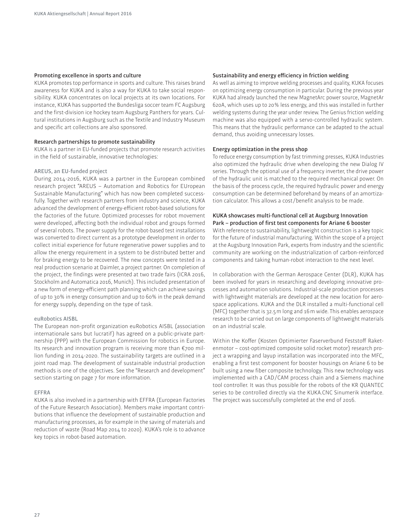#### **Promoting excellence in sports and culture**

KUKA promotes top performance in sports and culture. This raises brand awareness for KUKA and is also a way for KUKA to take social responsibility. KUKA concentrates on local projects at its own locations. For instance, KUKA has supported the Bundesliga soccer team FC Augsburg and the first-division ice hockey team Augsburg Panthers for years. Cultural institutions in Augsburg such as the Textile and Industry Museum and specific art collections are also sponsored.

#### **Research partnerships to promote sustainability**

KUKA is a partner in EU-funded projects that promote research activities in the field of sustainable, innovative technologies:

#### **AREUS, an EU-funded project**

During 2014-2016, KUKA was a partner in the European combined research project "AREUS – Automation and Robotics for EUropean Sustainable Manufacturing" which has now been completed successfully. Together with research partners from industry and science, KUKA advanced the development of energy-eficient robot-based solutions for the factories of the future. Optimized processes for robot movement were developed, affecting both the individual robot and groups formed of several robots. The power supply for the robot-based test installations was converted to direct current as a prototype development in order to collect initial experience for future regenerative power supplies and to allow the energy requirement in a system to be distributed better and for braking energy to be recovered. The new concepts were tested in a real production scenario at Daimler, a project partner. On completion of the project, the findings were presented at two trade fairs (ICRA 2016, Stockholm and Automatica 2016, Munich). This included presentation of a new form of energy-eficient path planning which can achieve savings of up to 30% in energy consumption and up to 60% in the peak demand for energy supply, depending on the type of task.

#### **euRobotics AISBL**

The European non-profit organization euRobotics AISBL (association internationale sans but lucratif) has agreed on a public-private partnership (PPP) with the European Commission for robotics in Europe. Its research and innovation program is receiving more than €700 million funding in 2014-2020. The sustainability targets are outlined in a joint road map. The development of sustainable industrial production methods is one of the objectives. See the "Research and development" section starting on page 7 for more information.

#### **EFFRA**

KUKA is also involved in a partnership with EFFRA (European Factories of the Future Research Association). Members make important contributions that influence the development of sustainable production and manufacturing processes, as for example in the saving of materials and reduction of waste (Road Map 2014 to 2020). KUKA's role is to advance key topics in robot-based automation.

#### **Sustainability and energy eficiency in friction welding**

As well as aiming to improve welding processes and quality, KUKA focuses on optimizing energy consumption in particular. During the previous year A had already launched the new MagnetArc power source, MagnetAr 620A, which uses up to 20 % less energy, and this was installed in further welding systems during the year under review. The Genius friction welding machine was also equipped with a servo-controlled hydraulic system. This means that the hydraulic performance can be adapted to the actual demand, thus avoiding unnecessary losses.

#### **Energy optimization in the press shop**

To reduce energy consumption by fast trimming presses, KUKA Industries also optimized the hydraulic drive when developing the new Dialog IV series. Through the optional use of a frequency inverter, the drive power of the hydraulic unit is matched to the required mechanical power. On the basis of the process cycle, the required hydraulic power and energy consumption can be determined beforehand by means of an amortization calculator. This allows a cost/benefit analysis to be made.

#### **A showcases multi-functional cell at Augsburg Innovation Park – production of irst test components for Ariane 6 booster**

With reference to sustainability, lightweight construction is a key topic for the future of industrial manufacturing. Within the scope of a project at the Augsburg Innovation Park, experts from industry and the scientific community are working on the industrialization of carbon-reinforced components and taking human-robot interaction to the next level.

In collaboration with the German Aerospace Center (DLR), KUKA has been involved for years in researching and developing innovative processes and automation solutions. Industrial-scale production processes with lightweight materials are developed at the new location for aerospace applications. KUKA and the DLR installed a multi-functional cell (MFC) together that is 32.5 m long and 16 m wide. This enables aerospace research to be carried out on large components of lightweight materials on an industrial scale.

Within the Koffer (Kosten Optimierter Faserverbund Feststoff Raketenmotor – cost-optimized composite solid rocket motor) research project a wrapping and layup installation was incorporated into the MFC, enabling a first test component for booster housings on Ariane 6 to be built using a new fiber composite technology. This new technology was implemented with a CAD/CAM process chain and a Siemens machine tool controller. It was thus possible for the robots of the KR QUANTEC series to be controlled directly via the KUKA.CNC Sinumerik interface. The project was successfully completed at the end of 2016.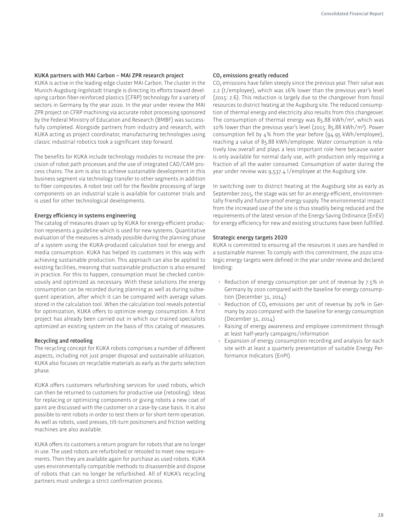#### **A partners with MAI Carbon – MAI ZPR research project**

KUKA is active in the leading-edge cluster MAI Carbon. The cluster in the Munich-Augsburg-Ingolstadt triangle is directing its efforts toward developing carbon iber-reinforced plastics (CFRP) technology for a variety of sectors in Germany by the year 2020. In the year under review the MAI ZPR project on CFRP machining via accurate robot processing sponsored by the Federal Ministry of Education and Research (BMBF) was successfully completed. Alongside partners from industry and research, with KUKA acting as project coordinator, manufacturing technologies using classic industrial robotics took a significant step forward.

The benefits for KUKA include technology modules to increase the precision of robot path processes and the use of integrated CAD /CAM process chains. The aim is also to achieve sustainable development in this business segment via technology transfer to other segments in addition to fiber composites. A robot test cell for the flexible processing of large components on an industrial scale is available for customer trials and is used for other technological developments.

#### **Energy eficiency in systems engineering**

The catalog of measures drawn up by KUKA for energy-efficient production represents a guideline which is used for new systems. Quantitative evaluation of the measures is already possible during the planning phase of a system using the KUKA-produced calculation tool for energy and media consumption. KUKA has helped its customers in this way with achieving sustainable production. This approach can also be applied to existing facilities, meaning that sustainable production is also ensured in practice. For this to happen, consumption must be checked continuously and optimized as necessary. With these solutions the energy consumption can be recorded during planning as well as during subsequent operation, after which it can be compared with average values stored in the calculation tool. When the calculation tool reveals potential for optimization, KUKA offers to optimize energy consumption. A first project has already been carried out in which our trained specialists optimized an existing system on the basis of this catalog of measures.

#### **Recycling and retooling**

The recycling concept for KUKA robots comprises a number of different aspects, including not just proper disposal and sustainable utilization. KUKA also focuses on recyclable materials as early as the parts selection phase.

KUKA offers customers refurbishing services for used robots, which can then be returned to customers for productive use (retooling). Ideas for replacing or optimizing components or giving robots a new coat of paint are discussed with the customer on a case-by-case basis. It is also possible to rent robots in order to test them or for short-term operation. As well as robots, used presses, tilt-turn positioners and friction welding machines are also available.

KUKA offers its customers a return program for robots that are no longer in use. The used robots are refurbished or retooled to meet new requirements. Then they are available again for purchase as used robots. KUKA uses environmentally compatible methods to disassemble and dispose of robots that can no longer be refurbished. All of KUKA's recycling partners must undergo a strict confirmation process.

#### **CO2 emissions greatly reduced**

CO<sub>2</sub> emissions have fallen steeply since the previous year. Their value was 2.2 (t /employee), which was 16% lower than the previous year's level (2015: 2.6). This reduction is largely due to the changeover from fossil resources to district heating at the Augsburg site. The reduced consumption of thermal energy and electricity also results from this changeover. The consumption of thermal energy was 85.88 kWh/m2, which was 10% lower than the previous year's level (2015: 85.88 kWh/ m2). Power consumption fell by 4% from the year before (94.95 kWh/employee), reaching a value of 85.88 kWh/employee. Water consumption is relatively low overall and plays a less important role here because water is only available for normal daily use, with production only requiring a fraction of all the water consumed. Consumption of water during the year under review was 9,537.4 l/employee at the Augsburg site.

In switching over to district heating at the Augsburg site as early as September 2015, the stage was set for an energy-eficient, environmentally friendly and future-proof energy supply. The environmental impact from the increased use of the site is thus steadily being reduced and the requirements of the latest version of the Energy Saving Ordinance (EnEV) for energy efficiency for new and existing structures have been fulfilled.

#### **Strategic energy targets 2020**

KUKA is committed to ensuring all the resources it uses are handled in a sustainable manner. To comply with this commitment, the 2020 strategic energy targets were defined in the year under review and declared binding:

- **›** Reduction of energy consumption per unit of revenue by 7.5% in Germany by 2020 compared with the baseline for energy consumption (December 31, 2014)
- Reduction of CO<sub>2</sub> emissions per unit of revenue by 20% in Germany by 2020 compared with the baseline for energy consumption (December 31, 2014)
- **›** Raising of energy awareness and employee commitment through at least half-yearly campaigns /information
- **›** Expansion of energy consumption recording and analysis for each site with at least a quarterly presentation of suitable Energy Performance Indicators (EnPI).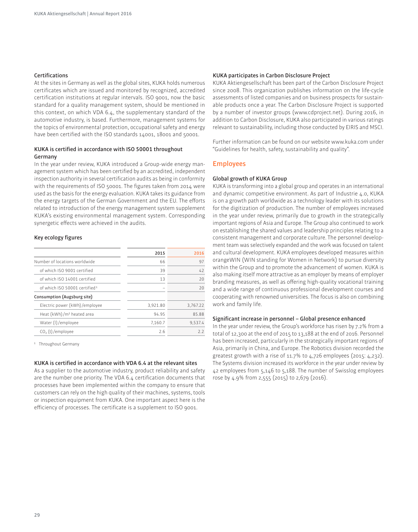#### **Certiications**

At the sites in Germany as well as the global sites, KUKA holds numerous certificates which are issued and monitored by recognized, accredited certification institutions at regular intervals. ISO 9001, now the basic standard for a quality management system, should be mentioned in this context, on which VDA 6.4, the supplementary standard of the automotive industry, is based. Furthermore, management systems for the topics of environmental protection, occupational safety and energy have been certified with the ISO standards 14001, 18001 and 50001.

#### **A is certiied in accordance with ISO 50001 throughout Germany**

In the year under review, KUKA introduced a Group-wide energy management system which has been certified by an accredited, independent inspection authority in several certification audits as being in conformity with the requirements of ISO 50001. The figures taken from 2014 were used as the basis for the energy evaluation. KUKA takes its guidance from the energy targets of the German Government and the EU. The efforts related to introduction of the energy management system supplement KUKA's existing environmental management system. Corresponding synergetic efects were achieved in the audits.

#### **Key ecology igures**

|                                           | 2015     | 2016     |
|-------------------------------------------|----------|----------|
| Number of locations worldwide             | 66       | 97       |
| of which ISO 9001 certified               | 39       | 47       |
| of which ISO 14001 certified              | 13       | 20       |
| of which ISO 50001 certified <sup>1</sup> | -        | 20       |
| Consumption (Augsburg site)               |          |          |
| Electric power (kWh)/employee             | 3,921.80 | 3.767.22 |
| Heat (kWh)/m <sup>2</sup> heated area     | 94.95    | 85.88    |
| Water (I)/employee                        | 7.160.7  | 9.537.4  |
| CO <sub>2</sub> (t)/employee              | 2.6      | 22       |

1 Throughout Germany

#### KUKA is certified in accordance with VDA 6.4 at the relevant sites

As a supplier to the automotive industry, product reliability and safety are the number one priority. The VDA 6.4 certification documents that processes have been implemented within the company to ensure that customers can rely on the high quality of their machines, systems, tools or inspection equipment from KUKA. One important aspect here is the efficiency of processes. The certificate is a supplement to ISO 9001.

#### **A participates in Carbon Disclosure Project**

A Aktiengesellschaft has been part of the Carbon Disclosure Project since 2008. This organization publishes information on the life-cycle assessments of listed companies and on business prospects for sustainable products once a year. The Carbon Disclosure Project is supported by a number of investor groups (www.cdproject.net). During 2016, in addition to Carbon Disclosure, KUKA also participated in various ratings relevant to sustainability, including those conducted by EIRIS and MSCI.

Further information can be found on our website www.kuka.com under "Guidelines for health, safety, sustainability and quality".

#### **Employees**

#### **Global growth of KUKA Group**

KUKA is transforming into a global group and operates in an international and dynamic competitive environment. As part of Industrie 4.0, KUKA is on a growth path worldwide as a technology leader with its solutions for the digitization of production. The number of employees increased in the year under review, primarily due to growth in the strategically important regions of Asia and Europe. The Group also continued to work on establishing the shared values and leadership principles relating to a consistent management and corporate culture. The personnel development team was selectively expanded and the work was focused on talent and cultural development. KUKA employees developed measures within orangeWIN (WIN standing for Women in Network) to pursue diversity within the Group and to promote the advancement of women. KUKA is also making itself more attractive as an employer by means of employer branding measures, as well as ofering high-quality vocational training and a wide range of continuous professional development courses and cooperating with renowned universities. The focus is also on combining work and family life.

#### **Signiicant increase in personnel – Global presence enhanced**

In the year under review, the Group's workforce has risen by 7.2% from a total of 12,300 at the end of 2015 to 13,188 at the end of 2016. Personnel has been increased, particularly in the strategically important regions of Asia, primarily in China, and Europe. The Robotics division recorded the greatest growth with a rise of 11.7% to 4,726 employees (2015: 4,232). The Systems division increased its workforce in the year under review by 42 employees from 5,146 to 5,188. The number of Swisslog employees rose by 4.9% from 2,555 (2015) to 2,679 (2016).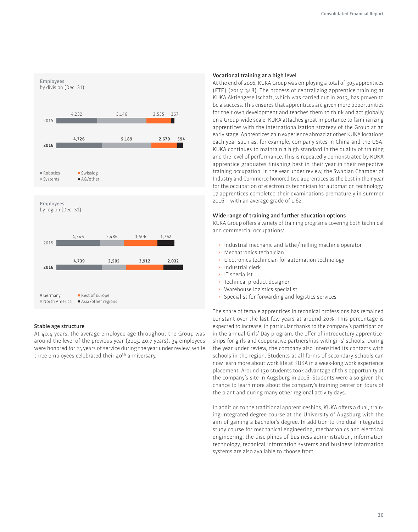

#### **Stable age structure**

At 40.4 years, the average employee age throughout the Group was around the level of the previous year (2015: 40.7 years). 34 employees were honored for 25 years of service during the year under review, while three employees celebrated their  $40<sup>th</sup>$  anniversary.

#### **Vocational training at a high level**

At the end of 2016, KUKA Group was employing a total of 305 apprentices (FTE) (2015: 348). The process of centralizing apprentice training at A Aktiengesellschaft, which was carried out in 2013, has proven to be a success. This ensures that apprentices are given more opportunities for their own development and teaches them to think and act globally on a Group-wide scale. KUKA attaches great importance to familiarizing apprentices with the internationalization strategy of the Group at an early stage. Apprentices gain experience abroad at other KUKA locations each year such as, for example, company sites in China and the USA. KUKA continues to maintain a high standard in the quality of training and the level of performance. This is repeatedly demonstrated by KUKA apprentice graduates finishing best in their year in their respective training occupation. In the year under review, the Swabian Chamber of Industry and Commerce honored two apprentices as the best in their year for the occupation of electronics technician for automation technology. 17 apprentices completed their examinations prematurely in summer 2016 – with an average grade of 1.62.

#### **Wide range of training and further education options**

KUKA Group offers a variety of training programs covering both technical and commercial occupations:

- **›** Industrial mechanic and lathe /milling machine operator
- **›** Mechatronics technician
- **›** Electronics technician for automation technology
- **›** Industrial clerk
- **›** IT specialist
- **›** Technical product designer
- **›** Warehouse logistics specialist
- **›** Specialist for forwarding and logistics services

The share of female apprentices in technical professions has remained constant over the last few years at around 20%. This percentage is expected to increase, in particular thanks to the company's participation in the annual Girls' Day program, the offer of introductory apprenticeships for girls and cooperative partnerships with girls' schools. During the year under review, the company also intensified its contacts with schools in the region. Students at all forms of secondary schools can now learn more about work life at KUKA in a week-long work experience placement. Around 130 students took advantage of this opportunity at the company's site in Augsburg in 2016. Students were also given the chance to learn more about the company's training center on tours of the plant and during many other regional activity days.

In addition to the traditional apprenticeships, KUKA offers a dual, training-integrated degree course at the University of Augsburg with the aim of gaining a Bachelor's degree. In addition to the dual integrated study course for mechanical engineering, mechatronics and electrical engineering, the disciplines of business administration, information technology, technical information systems and business information systems are also available to choose from.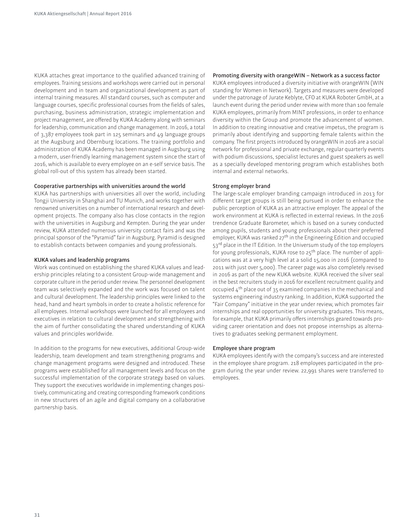KUKA attaches great importance to the qualified advanced training of employees. Training sessions and workshops were carried out in personal development and in team and organizational development as part of internal training measures. All standard courses, such as computer and language courses, specific professional courses from the fields of sales, purchasing, business administration, strategic implementation and project management, are offered by KUKA Academy along with seminars for leadership, communication and change management. In 2016, a total of 3,387 employees took part in 125 seminars and 49 language groups at the Augsburg and Obernburg locations. The training portfolio and administration of KUKA Academy has been managed in Augsburg using a modern, user-friendly learning management system since the start of 2016, which is available to every employee on an e-self service basis. The global roll-out of this system has already been started.

#### **Cooperative partnerships with universities around the world**

KUKA has partnerships with universities all over the world, including Tongji University in Shanghai and TU Munich, and works together with renowned universities on a number of international research and development projects. The company also has close contacts in the region with the universities in Augsburg and Kempten. During the year under review, KUKA attended numerous university contact fairs and was the principal sponsor of the "Pyramid" fair in Augsburg. Pyramid is designed to establish contacts between companies and young professionals.

#### **A values and leadership programs**

Work was continued on establishing the shared KUKA values and leadership principles relating to a consistent Group-wide management and corporate culture in the period under review. The personnel development team was selectively expanded and the work was focused on talent and cultural development. The leadership principles were linked to the head, hand and heart symbols in order to create a holistic reference for all employees. Internal workshops were launched for all employees and executives in relation to cultural development and strengthening with the aim of further consolidating the shared understanding of KUKA values and principles worldwide.

In addition to the programs for new executives, additional Group-wide leadership, team development and team strengthening programs and change management programs were designed and introduced. These programs were established for all management levels and focus on the successful implementation of the corporate strategy based on values. They support the executives worldwide in implementing changes positively, communicating and creating corresponding framework conditions in new structures of an agile and digital company on a collaborative partnership basis.

#### **Promoting diversity with orangeWIN – Network as a success factor**

KUKA employees introduced a diversity initiative with orangeWIN (WIN standing for Women in Network). Targets and measures were developed under the patronage of Jurate Keblyte, CFO at KUKA Roboter GmbH, at a launch event during the period under review with more than 100 female A employees, primarily from MINT professions, in order to enhance diversity within the Group and promote the advancement of women. In addition to creating innovative and creative impetus, the program is primarily about identifying and supporting female talents within the company. The first projects introduced by orangeWIN in 2016 are a social network for professional and private exchange, regular quarterly events with podium discussions, specialist lectures and guest speakers as well as a specially developed mentoring program which establishes both internal and external networks.

#### **Strong employer brand**

The large-scale employer branding campaign introduced in 2013 for diferent target groups is still being pursued in order to enhance the public perception of KUKA as an attractive employer. The appeal of the work environment at KUKA is reflected in external reviews. In the 2016 trendence Graduate Barometer, which is based on a survey conducted among pupils, students and young professionals about their preferred employer, KUKA was ranked 27<sup>th</sup> in the Engineering Edition and occupied 53<sup>rd</sup> place in the IT Edition. In the Universum study of the top employers for young professionals, KUKA rose to 25<sup>th</sup> place. The number of applications was at a very high level at a solid 15,000 in 2016 (compared to 2011 with just over 5,000). The career page was also completely revised in 2016 as part of the new KUKA website. KUKA received the silver seal in the best recruiters study in 2016 for excellent recruitment quality and occupied  $4<sup>th</sup>$  place out of 35 examined companies in the mechanical and systems engineering industry ranking. In addition, KUKA supported the "Fair Company" initiative in the year under review, which promotes fair internships and real opportunities for university graduates. This means, for example, that KUKA primarily offers internships geared towards providing career orientation and does not propose internships as alternatives to graduates seeking permanent employment.

#### **Employee share program**

KUKA employees identify with the company's success and are interested in the employee share program. 218 employees participated in the program during the year under review. 22,991 shares were transferred to employees.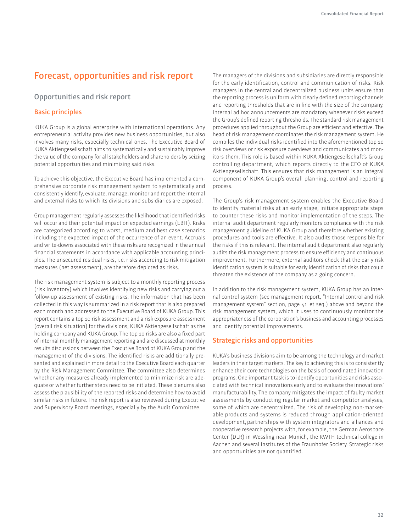## **Forecast, opportunities and risk report**

## **Opportunities and risk report**

## **Basic principles**

KUKA Group is a global enterprise with international operations. Any entrepreneurial activity provides new business opportunities, but also involves many risks, especially technical ones. The Executive Board of A Aktiengesellschaft aims to systematically and sustainably improve the value of the company for all stakeholders and shareholders by seizing potential opportunities and minimizing said risks.

To achieve this objective, the Executive Board has implemented a comprehensive corporate risk management system to systematically and consistently identify, evaluate, manage, monitor and report the internal and external risks to which its divisions and subsidiaries are exposed.

Group management regularly assesses the likelihood that identified risks will occur and their potential impact on expected earnings (EBIT). Risks are categorized according to worst, medium and best case scenarios including the expected impact of the occurrence of an event. Accruals and write-downs associated with these risks are recognized in the annual inancial statements in accordance with applicable accounting principles. The unsecured residual risks, i. e. risks according to risk mitigation measures (net assessment), are therefore depicted as risks.

The risk management system is subject to a monthly reporting process (risk inventory) which involves identifying new risks and carrying out a follow-up assessment of existing risks. The information that has been collected in this way is summarized in a risk report that is also prepared each month and addressed to the Executive Board of KUKA Group. This report contains a top 10 risk assessment and a risk exposure assessment (overall risk situation) for the divisions, KUKA Aktiengesellschaft as the holding company and KUKA Group. The top 10 risks are also a fixed part of internal monthly management reporting and are discussed at monthly results discussions between the Executive Board of KUKA Group and the management of the divisions. The identified risks are additionally presented and explained in more detail to the Executive Board each quarter by the Risk Management Committee. The committee also determines whether any measures already implemented to minimize risk are adequate or whether further steps need to be initiated. These plenums also assess the plausibility of the reported risks and determine how to avoid similar risks in future. The risk report is also reviewed during Executive and Supervisory Board meetings, especially by the Audit Committee.

The managers of the divisions and subsidiaries are directly responsible for the early identification, control and communication of risks. Risk managers in the central and decentralized business units ensure that the reporting process is uniform with clearly defined reporting channels and reporting thresholds that are in line with the size of the company. Internal ad hoc announcements are mandatory whenever risks exceed the Group's defined reporting thresholds. The standard risk management procedures applied throughout the Group are eficient and efective. The head of risk management coordinates the risk management system. He compiles the individual risks identified into the aforementioned top 10 risk overviews or risk exposure overviews and communicates and monitors them. This role is based within KUKA Aktiengesellschaft's Group controlling department, which reports directly to the CFO of KUKA Aktiengesellschaft. This ensures that risk management is an integral component of KUKA Group's overall planning, control and reporting process.

The Group's risk management system enables the Executive Board to identify material risks at an early stage, initiate appropriate steps to counter these risks and monitor implementation of the steps. The internal audit department regularly monitors compliance with the risk management guideline of KUKA Group and therefore whether existing procedures and tools are efective. It also audits those responsible for the risks if this is relevant. The internal audit department also regularly audits the risk management process to ensure eficiency and continuous improvement. Furthermore, external auditors check that the early risk identification system is suitable for early identification of risks that could threaten the existence of the company as a going concern.

In addition to the risk management system, KUKA Group has an internal control system (see management report, "Internal control and risk management system" section, page 41 et seq.) above and beyond the risk management system, which it uses to continuously monitor the appropriateness of the corporation's business and accounting processes and identify potential improvements.

## **Strategic risks and opportunities**

KUKA's business divisions aim to be among the technology and market leaders in their target markets. The key to achieving this is to consistently enhance their core technologies on the basis of coordinated innovation programs. One important task is to identify opportunities and risks associated with technical innovations early and to evaluate the innovations' manufacturability. The company mitigates the impact of faulty market assessments by conducting regular market and competitor analyses, some of which are decentralized. The risk of developing non-marketable products and systems is reduced through application-oriented development, partnerships with system integrators and alliances and cooperative research projects with, for example, the German Aerospace Center (DLR) in Wessling near Munich, the RWTH technical college in Aachen and several institutes of the Fraunhofer Society. Strategic risks and opportunities are not quantified.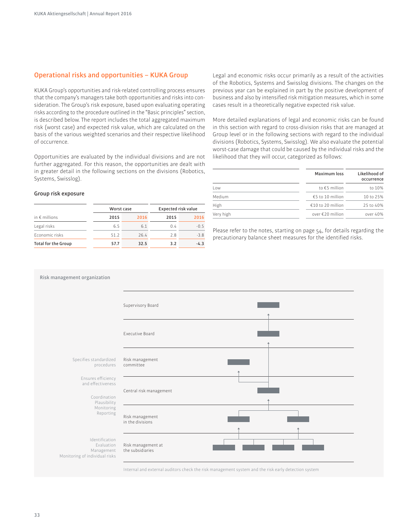## **Operational risks and opportunities - KUKA Group**

A Group's opportunities and risk-related controlling process ensures that the company's managers take both opportunities and risks into consideration. The Group's risk exposure, based upon evaluating operating risks according to the procedure outlined in the "Basic principles" section, is described below. The report includes the total aggregated maximum risk (worst case) and expected risk value, which are calculated on the basis of the various weighted scenarios and their respective likelihood of occurrence.

Opportunities are evaluated by the individual divisions and are not further aggregated. For this reason, the opportunities are dealt with in greater detail in the following sections on the divisions (Robotics, Systems, Swisslog).

Legal risks 6.5 6.1 0.4 -0.5 Economic risks 51.2 26.4 2.8 -3.8 **Total for the Group 57.7 32.5 3.2 -4.3**

**Worst case Expected risk value 2015 2016 2015 2016**

Legal and economic risks occur primarily as a result of the activities of the Robotics, Systems and Swisslog divisions. The changes on the previous year can be explained in part by the positive development of business and also by intensified risk mitigation measures, which in some cases result in a theoretically negative expected risk value.

More detailed explanations of legal and economic risks can be found in this section with regard to cross-division risks that are managed at Group level or in the following sections with regard to the individual divisions (Robotics, Systems, Swisslog). We also evaluate the potential worst-case damage that could be caused by the individual risks and the likelihood that they will occur, categorized as follows:

| Maximum loss        |                      |
|---------------------|----------------------|
| to €5 million       | occurrence<br>to 10% |
| €5 to 10 million    | 10 to 25%            |
| $€10$ to 20 million | 25 to 40%            |
| over €20 million    | over 40%             |
|                     |                      |

Please refer to the notes, starting on page 54, for details regarding the precautionary balance sheet measures for the identified risks.



#### **Risk management organization**

**Group risk exposure**

in € millions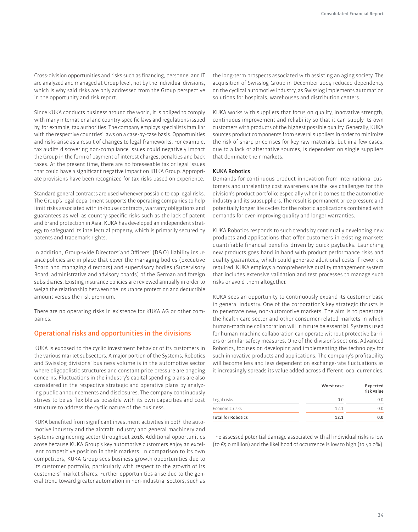Cross-division opportunities and risks such as financing, personnel and IT are analyzed and managed at Group level, not by the individual divisions, which is why said risks are only addressed from the Group perspective in the opportunity and risk report.

Since KUKA conducts business around the world, it is obliged to comply with many international and country-specific laws and regulations issued by, for example, tax authorities. The company employs specialists familiar with the respective countries' laws on a case-by-case basis. Opportunities and risks arise as a result of changes to legal frameworks. For example, tax audits discovering non-compliance issues could negatively impact the Group in the form of payment of interest charges, penalties and back taxes. At the present time, there are no foreseeable tax or legal issues that could have a significant negative impact on KUKA Group. Appropriate provisions have been recognized for tax risks based on experience.

Standard general contracts are used whenever possible to cap legal risks. The Group's legal department supports the operating companies to help limit risks associated with in-house contracts, warranty obligations and guarantees as well as country-specific risks such as the lack of patent and brand protection in Asia. KUKA has developed an independent strategy to safeguard its intellectual property, which is primarily secured by patents and trademark rights.

In addition, Group-wide Directors' and Oficers' (D&O) liability insurance policies are in place that cover the managing bodies (Executive Board and managing directors) and supervisory bodies (Supervisory Board, administrative and advisory boards) of the German and foreign subsidiaries. Existing insurance policies are reviewed annually in order to weigh the relationship between the insurance protection and deductible amount versus the risk premium.

There are no operating risks in existence for KUKA AG or other companies.

#### **Operational risks and opportunities in the divisions**

KUKA is exposed to the cyclic investment behavior of its customers in the various market subsectors. A major portion of the Systems, Robotics and Swisslog divisions' business volume is in the automotive sector where oligopolistic structures and constant price pressure are ongoing concerns. Fluctuations in the industry's capital spending plans are also considered in the respective strategic and operative plans by analyzing public announcements and disclosures. The company continuously strives to be as flexible as possible with its own capacities and cost structure to address the cyclic nature of the business.

KUKA benefited from significant investment activities in both the automotive industry and the aircraft industry and general machinery and systems engineering sector throughout 2016. Additional opportunities arose because KUKA Group's key automotive customers enjoy an excellent competitive position in their markets. In comparison to its own competitors, KUKA Group sees business growth opportunities due to its customer portfolio, particularly with respect to the growth of its customers' market shares. Further opportunities arise due to the general trend toward greater automation in non-industrial sectors, such as the long-term prospects associated with assisting an aging society. The acquisition of Swisslog Group in December 2014 reduced dependency on the cyclical automotive industry, as Swisslog implements automation solutions for hospitals, warehouses and distribution centers.

KUKA works with suppliers that focus on quality, innovative strength, continuous improvement and reliability so that it can supply its own customers with products of the highest possible quality. Generally, KUKA sources product components from several suppliers in order to minimize the risk of sharp price rises for key raw materials, but in a few cases, due to a lack of alternative sources, is dependent on single suppliers that dominate their markets.

#### **KUKA Robotics**

Demands for continuous product innovation from international customers and unrelenting cost awareness are the key challenges for this division's product portfolio; especially when it comes to the automotive industry and its subsuppliers. The result is permanent price pressure and potentially longer life cycles for the robotic applications combined with demands for ever-improving quality and longer warranties.

KUKA Robotics responds to such trends by continually developing new products and applications that offer customers in existing markets quantifiable financial benefits driven by quick paybacks. Launching new products goes hand in hand with product performance risks and quality guarantees, which could generate additional costs if rework is required. KUKA employs a comprehensive quality management system that includes extensive validation and test processes to manage such risks or avoid them altogether.

KUKA sees an opportunity to continuously expand its customer base in general industry. One of the corporation's key strategic thrusts is to penetrate new, non-automotive markets. The aim is to penetrate the health care sector and other consumer-related markets in which human-machine collaboration will in future be essential. Systems used for human-machine collaboration can operate without protective barriers or similar safety measures. One of the division's sections, Advanced Robotics, focuses on developing and implementing the technology for such innovative products and applications. The company's profitability will become less and less dependent on exchange-rate fluctuations as it increasingly spreads its value added across diferent local currencies.

|                           | Worst case | Expected<br>risk value |
|---------------------------|------------|------------------------|
| Legal risks               | 0.0        | 0.0                    |
| Economic risks            | 12.1       | 0.0                    |
| <b>Total for Robotics</b> | 12.1       | 0.0                    |

The assessed potential damage associated with all individual risks is low (to €5.0 million) and the likelihood of occurrence is low to high (to 40.0%).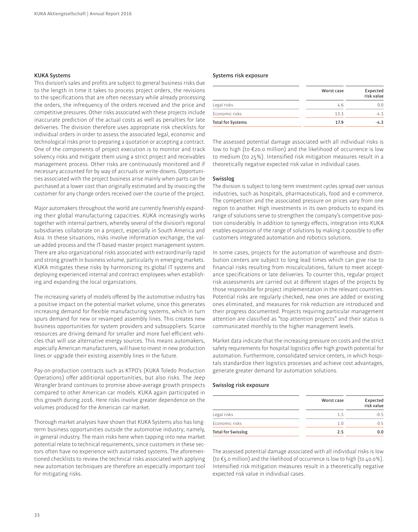#### **KUKA Systems**

This division's sales and profits are subject to general business risks due to the length in time it takes to process project orders, the revisions to the specifications that are often necessary while already processing the orders, the infrequency of the orders received and the price and competitive pressures. Other risks associated with these projects include inaccurate prediction of the actual costs as well as penalties for late deliveries. The division therefore uses appropriate risk checklists for individual orders in order to assess the associated legal, economic and technological risks prior to preparing a quotation or accepting a contract. One of the components of project execution is to monitor and track solvency risks and mitigate them using a strict project and receivables management process. Other risks are continuously monitored and if necessary accounted for by way of accruals or write-downs. Opportunities associated with the project business arise mainly when parts can be purchased at a lower cost than originally estimated and by invoicing the customer for any change orders received over the course of the project.

Major automakers throughout the world are currently feverishly expanding their global manufacturing capacities. KUKA increasingly works together with internal partners, whereby several of the division's regional subsidiaries collaborate on a project, especially in South America and Asia. In these situations, risks involve information exchange, the value-added process and the IT-based master project management system. There are also organizational risks associated with extraordinarily rapid and strong growth in business volume, particularly in emerging markets. KUKA mitigates these risks by harmonizing its global IT systems and deploying experienced internal and contract employees when establishing and expanding the local organizations.

The increasing variety of models offered by the automotive industry has a positive impact on the potential market volume, since this generates increasing demand for flexible manufacturing systems, which in turn spurs demand for new or revamped assembly lines. This creates new business opportunities for system providers and subsuppliers. Scarce resources are driving demand for smaller and more fuel-eficient vehicles that will use alternative energy sources. This means automakers, especially American manufacturers, will have to invest in new production lines or upgrade their existing assembly lines in the future.

Pay-on-production contracts such as KTPO's (KUKA Toledo Production Operations) offer additional opportunities, but also risks. The Jeep Wrangler brand continues to promise above-average growth prospects compared to other American car models. KUKA again participated in this growth during 2016. Here risks involve greater dependence on the volumes produced for the American car market.

Thorough market analyses have shown that KUKA Systems also has longterm business opportunities outside the automotive industry; namely, in general industry. The main risks here when tapping into new market potential relate to technical requirements, since customers in these sectors often have no experience with automated systems. The aforementioned checklists to review the technical risks associated with applying new automation techniques are therefore an especially important tool for mitigating risks.

#### **Systems risk exposure**

|                          | Worst case | Expected<br>risk value |
|--------------------------|------------|------------------------|
| Legal risks              | 4.6        | 0.0                    |
| Economic risks           | 13.3       | $-4.3$                 |
| <b>Total for Systems</b> | 17.9       | $-4.3$                 |

The assessed potential damage associated with all individual risks is low to high (to €20.0 million) and the likelihood of occurrence is low to medium (to 25%). Intensified risk mitigation measures result in a theoretically negative expected risk value in individual cases.

#### **Swisslog**

The division is subject to long-term investment cycles spread over various industries, such as hospitals, pharmaceuticals, food and e-commerce. The competition and the associated pressure on prices vary from one region to another. High investments in its own products to expand its range of solutions serve to strengthen the company's competitive position considerably. In addition to synergy effects, integration into KUKA enables expansion of the range of solutions by making it possible to ofer customers integrated automation and robotics solutions.

In some cases, projects for the automation of warehouse and distribution centers are subject to long lead times which can give rise to inancial risks resulting from miscalculations, failure to meet acceptance specifications or late deliveries. To counter this, regular project risk assessments are carried out at diferent stages of the projects by those responsible for project implementation in the relevant countries. Potential risks are regularly checked, new ones are added or existing ones eliminated, and measures for risk reduction are introduced and their progress documented. Projects requiring particular management attention are classified as "top attention projects" and their status is communicated monthly to the higher management levels.

Market data indicate that the increasing pressure on costs and the strict safety requirements for hospital logistics offer high growth potential for automation. Furthermore, consolidated service centers, in which hospitals standardize their logistics processes and achieve cost advantages, generate greater demand for automation solutions.

#### **Swisslog risk exposure**

|                           | Worst case | Expected<br>risk value |
|---------------------------|------------|------------------------|
| Legal risks               | 1.5        | $-0.5$                 |
| Fconomic risks            | 1.0        | 0 5                    |
| <b>Total for Swisslog</b> | 2.5        | 0.0                    |

The assessed potential damage associated with all individual risks is low (to €5.0 million) and the likelihood of occurrence is low to high (to 40.0%). Intensified risk mitigation measures result in a theoretically negative expected risk value in individual cases.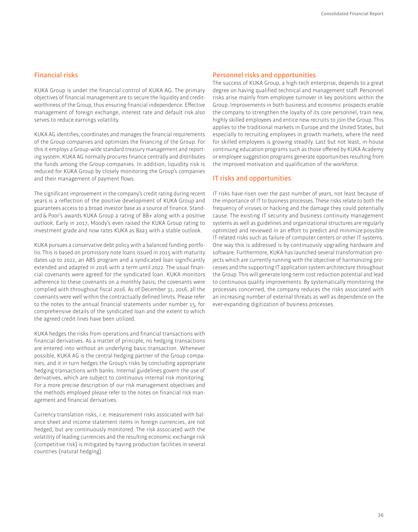#### **Financial risks**

KUKA Group is under the financial control of KUKA AG. The primary objectives of inancial management are to secure the liquidity and creditworthiness of the Group, thus ensuring financial independence. Effective management of foreign exchange, interest rate and default risk also serves to reduce earnings volatility.

KUKA AG identifies, coordinates and manages the financial requirements of the Group companies and optimizes the inancing of the Group. For this it employs a Group-wide standard treasury management and reporting system. KUKA AG normally procures finance centrally and distributes the funds among the Group companies. In addition, liquidity risk is reduced for KUKA Group by closely monitoring the Group's companies and their management of payment flows.

The significant improvement in the company's credit rating during recent years is a reflection of the positive development of KUKA Group and guarantees access to a broad investor base as a source of inance. Standard & Poor's awards KUKA Group a rating of BB+ along with a positive outlook. Early in 2017, Moody's even raised the KUKA Group rating to investment grade and now rates KUKA as Baa3 with a stable outlook.

KUKA pursues a conservative debt policy with a balanced funding portfolio. This is based on promissory note loans issued in 2015 with maturity dates up to 2022, an ABS program and a syndicated loan significantly extended and adapted in 2016 with a term until 2022. The usual financial covenants were agreed for the syndicated loan. KUKA monitors adherence to these covenants on a monthly basis; the covenants were complied with throughout fiscal 2016. As of December 31, 2016, all the covenants were well within the contractually defined limits. Please refer to the notes to the annual financial statements under number 15, for comprehensive details of the syndicated loan and the extent to which the agreed credit lines have been utilized.

KUKA hedges the risks from operations and financial transactions with inancial derivatives. As a matter of principle, no hedging transactions are entered into without an underlying basic transaction. Whenever possible, KUKA AG is the central hedging partner of the Group companies, and it in turn hedges the Group's risks by concluding appropriate hedging transactions with banks. Internal guidelines govern the use of derivatives, which are subject to continuous internal risk monitoring. For a more precise description of our risk management objectives and the methods employed please refer to the notes on financial risk management and financial derivatives.

Currency translation risks, i. e. measurement risks associated with balance sheet and income statement items in foreign currencies, are not hedged, but are continuously monitored. The risk associated with the volatility of leading currencies and the resulting economic exchange risk (competitive risk) is mitigated by having production facilities in several countries (natural hedging).

#### **Personnel risks and opportunities**

The success of KUKA Group, a high-tech enterprise, depends to a great degree on having qualified technical and management staff. Personnel risks arise mainly from employee turnover in key positions within the Group. Improvements in both business and economic prospects enable the company to strengthen the loyalty of its core personnel, train new, highly skilled employees and entice new recruits to join the Group. This applies to the traditional markets in Europe and the United States, but especially to recruiting employees in growth markets, where the need for skilled employees is growing steadily. Last but not least, in-house continuing education programs such as those offered by KUKA Academy or employee suggestion programs generate opportunities resulting from the improved motivation and qualification of the workforce.

#### **IT risks and opportunities**

IT risks have risen over the past number of years, not least because of the importance of IT to business processes. These risks relate to both the frequency of viruses or hacking and the damage they could potentially cause. The existing IT security and business continuity management systems as well as guidelines and organizational structures are regularly optimized and reviewed in an efort to predict and minimize possible IT-related risks such as failure of computer centers or other IT systems. One way this is addressed is by continuously upgrading hardware and software. Furthermore, KUKA has launched several transformation projects which are currently running with the objective of harmonizing processes and the supporting IT application system architecture throughout the Group. This will generate long-term cost reduction potential and lead to continuous quality improvements. By systematically monitoring the processes concerned, the company reduces the risks associated with an increasing number of external threats as well as dependence on the ever-expanding digitization of business processes.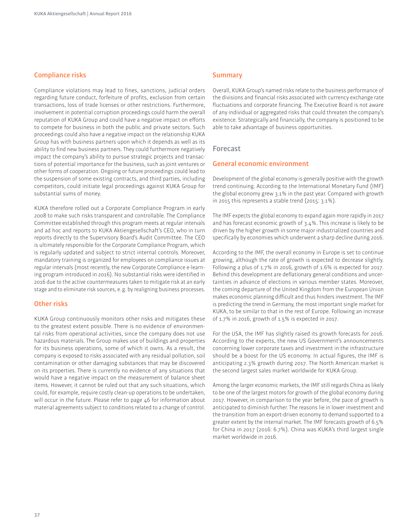## **Compliance risks**

Compliance violations may lead to fines, sanctions, judicial orders regarding future conduct, forfeiture of profits, exclusion from certain transactions, loss of trade licenses or other restrictions. Furthermore, involvement in potential corruption proceedings could harm the overall reputation of KUKA Group and could have a negative impact on efforts to compete for business in both the public and private sectors. Such proceedings could also have a negative impact on the relationship A Group has with business partners upon which it depends as well as its ability to find new business partners. They could furthermore negatively impact the company's ability to pursue strategic projects and transactions of potential importance for the business, such as joint ventures or other forms of cooperation. Ongoing or future proceedings could lead to the suspension of some existing contracts, and third parties, including competitors, could initiate legal proceedings against KUKA Group for substantial sums of money.

KUKA therefore rolled out a Corporate Compliance Program in early 2008 to make such risks transparent and controllable. The Compliance Committee established through this program meets at regular intervals and ad hoc and reports to KUKA Aktiengesellschaft's CEO, who in turn reports directly to the Supervisory Board's Audit Committee. The CEO is ultimately responsible for the Corporate Compliance Program, which is regularly updated and subject to strict internal controls. Moreover, mandatory training is organized for employees on compliance issues at regular intervals (most recently, the new Corporate Compliance e-learning program introduced in 2016). No substantial risks were identified in 2016 due to the active countermeasures taken to mitigate risk at an early stage and to eliminate risk sources, e. g. by realigning business processes.

#### **Other risks**

KUKA Group continuously monitors other risks and mitigates these to the greatest extent possible. There is no evidence of environmental risks from operational activities, since the company does not use hazardous materials. The Group makes use of buildings and properties for its business operations, some of which it owns. As a result, the company is exposed to risks associated with any residual pollution, soil contamination or other damaging substances that may be discovered on its properties. There is currently no evidence of any situations that would have a negative impact on the measurement of balance sheet items. However, it cannot be ruled out that any such situations, which could, for example, require costly clean-up operations to be undertaken, will occur in the future. Please refer to page 46 for information about material agreements subject to conditions related to a change of control.

#### **Summary**

Overall, KUKA Group's named risks relate to the business performance of the divisions and financial risks associated with currency exchange rate fluctuations and corporate financing. The Executive Board is not aware of any individual or aggregated risks that could threaten the company's existence. Strategically and financially, the company is positioned to be able to take advantage of business opportunities.

#### **Forecast**

#### **General economic environment**

Development of the global economy is generally positive with the growth trend continuing. According to the International Monetary Fund (IMF) the global economy grew 3.1% in the past year. Compared with growth in 2015 this represents a stable trend (2015: 3.1%).

The IMF expects the global economy to expand again more rapidly in 2017 and has forecast economic growth of 3.4%. This increase is likely to be driven by the higher growth in some major industrialized countries and specifically by economies which underwent a sharp decline during 2016.

According to the IMF, the overall economy in Europe is set to continue growing, although the rate of growth is expected to decrease slightly. Following a plus of 1.7% in 2016, growth of 1.6% is expected for 2017. Behind this development are deflationary general conditions and uncertainties in advance of elections in various member states. Moreover, the coming departure of the United Kingdom from the European Union makes economic planning dificult and thus hinders investment. The IMF is predicting the trend in Germany, the most important single market for KUKA, to be similar to that in the rest of Europe. Following an increase of 1.7% in 2016, growth of 1.5% is expected in 2017.

For the USA, the IMF has slightly raised its growth forecasts for 2016. According to the experts, the new US Government's announcements concerning lower corporate taxes and investment in the infrastructure should be a boost for the US economy. In actual figures, the IMF is anticipating 2.3% growth during 2017. The North American market is the second largest sales market worldwide for KUKA Group.

Among the larger economic markets, the IMF still regards China as likely to be one of the largest motors for growth of the global economy during 2017. However, in comparison to the year before, the pace of growth is anticipated to diminish further. The reasons lie in lower investment and the transition from an export-driven economy to demand supported to a greater extent by the internal market. The IMF forecasts growth of 6.5% for China in 2017 (2016: 6.7%). China was KUKA's third largest single market worldwide in 2016.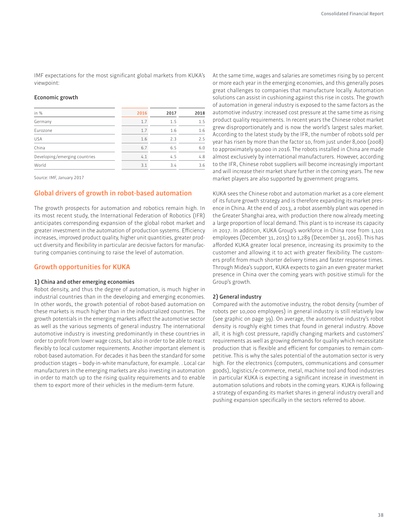IMF expectations for the most significant global markets from KUKA's viewpoint:

#### **Economic growth**

| in %                          | 2016 | 2017 | 2018 |
|-------------------------------|------|------|------|
| Germany                       | 1.7  | 1.5  | 1.5  |
| Eurozone                      | 1.7  | 1.6  | 1.6  |
| <b>USA</b>                    | 1.6  | 7.3  | 2.5  |
| China                         | 6.7  | 6.5  | 6.0  |
| Developing/emerging countries | 4.1  | 4.5  | 4.8  |
| World                         | 3.1  | 3.4  | 3.6  |
|                               |      |      |      |

Source: IMF, January 2017

#### **Global drivers of growth in robot-based automation**

The growth prospects for automation and robotics remain high. In its most recent study, the International Federation of Robotics (IFR) anticipates corresponding expansion of the global robot market and greater investment in the automation of production systems. Eficiency increases, improved product quality, higher unit quantities, greater product diversity and flexibility in particular are decisive factors for manufacturing companies continuing to raise the level of automation.

#### **Growth opportunities for KUKA**

#### **1) China and other emerging economies**

Robot density, and thus the degree of automation, is much higher in industrial countries than in the developing and emerging economies. In other words, the growth potential of robot-based automation on these markets is much higher than in the industrialized countries. The growth potentials in the emerging markets afect the automotive sector as well as the various segments of general industry. The international automotive industry is investing predominantly in these countries in order to profit from lower wage costs, but also in order to be able to react flexibly to local customer requirements. Another important element is robot-based automation. For decades it has been the standard for some production stages – body-in-white manufacture, for example. . Local car manufacturers in the emerging markets are also investing in automation in order to match up to the rising quality requirements and to enable them to export more of their vehicles in the medium-term future.

At the same time, wages and salaries are sometimes rising by 10 percent or more each year in the emerging economies, and this generally poses great challenges to companies that manufacture locally. Automation solutions can assist in cushioning against this rise in costs. The growth of automation in general industry is exposed to the same factors as the automotive industry: increased cost pressure at the same time as rising product quality requirements. In recent years the Chinese robot market grew disproportionately and is now the world's largest sales market. According to the latest study by the IFR, the number of robots sold per year has risen by more than the factor 10, from just under 8,000 (2008) to approximately 90,000 in 2016. The robots installed in China are made almost exclusively by international manufacturers. However, according to the IFR, Chinese robot suppliers will become increasingly important and will increase their market share further in the coming years. The new market players are also supported by government programs.

KUKA sees the Chinese robot and automation market as a core element of its future growth strategy and is therefore expanding its market presence in China. At the end of 2013, a robot assembly plant was opened in the Greater Shanghai area, with production there now already meeting a large proportion of local demand. This plant is to increase its capacity in 2017. In addition, KUKA Group's workforce in China rose from 1,101 employees (December 31, 2015) to 1,289 (December 31, 2016). This has afforded KUKA greater local presence, increasing its proximity to the customer and allowing it to act with greater flexibility. The customers profit from much shorter delivery times and faster response times. Through Midea's support, KUKA expects to gain an even greater market presence in China over the coming years with positive stimuli for the Group's growth.

#### **2) General industry**

Compared with the automotive industry, the robot density (number of robots per 10,000 employees) in general industry is still relatively low (see graphic on page 39). On average, the automotive industry's robot density is roughly eight times that found in general industry. Above all, it is high cost pressure, rapidly changing markets and customers' requirements as well as growing demands for quality which necessitate production that is flexible and efficient for companies to remain competitive. This is why the sales potential of the automation sector is very high. For the electronics (computers, communications and consumer goods), logistics /e-commerce, metal, machine tool and food industries in particular KUKA is expecting a significant increase in investment in automation solutions and robots in the coming years. KUKA is following a strategy of expanding its market shares in general industry overall and pushing expansion specifically in the sectors referred to above.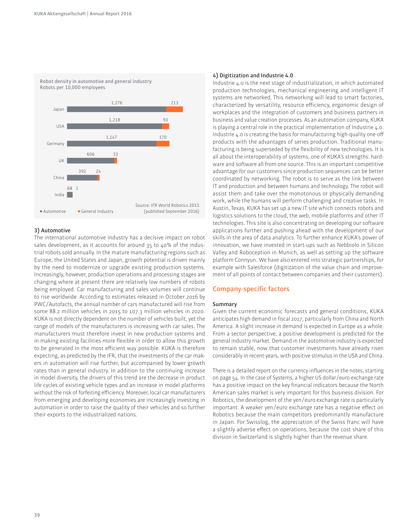

#### **3) Automotive**

The international automotive industry has a decisive impact on robot sales development, as it accounts for around 35 to 40% of the industrial robots sold annually. In the mature manufacturing regions such as Europe, the United States and Japan, growth potential is driven mainly by the need to modernize or upgrade existing production systems. Increasingly, however, production operations and processing stages are changing where at present there are relatively low numbers of robots being employed. Car manufacturing and sales volumes will continue to rise worldwide. According to estimates released in October 2016 by PWC /Autofacts, the annual number of cars manufactured will rise from some 88.2 million vehicles in 2015 to 107.3 million vehicles in 2020. KUKA is not directly dependent on the number of vehicles built, yet the range of models of the manufacturers is increasing with car sales. The manufacturers must therefore invest in new production systems and in making existing facilities more flexible in order to allow this growth to be generated in the most efficient way possible. KUKA is therefore expecting, as predicted by the IFR, that the investments of the car makers in automation will rise further, but accompanied by lower growth rates than in general industry. In addition to the continuing increase in model diversity, the drivers of this trend are the decrease in product life cycles of existing vehicle types and an increase in model platforms without the risk of forfeiting eficiency. Moreover, local car manufacturers from emerging and developing economies are increasingly investing in automation in order to raise the quality of their vehicles and so further their exports to the industrialized nations.

#### **4) Digitization and Industrie 4.0**

Industrie 4.0 is the next stage of industrialization, in which automated production technologies, mechanical engineering and intelligent IT systems are networked. This networking will lead to smart factories, characterized by versatility, resource eficiency, ergonomic design of workplaces and the integration of customers and business partners in business and value creation processes. As an automation company, A is playing a central role in the practical implementation of Industrie 4.0. Industrie 4.0 is creating the basis for manufacturing high-quality one-of products with the advantages of series production. Traditional manufacturing is being superseded by the flexibility of new technologies. It is all about the interoperability of systems, one of KUKA's strengths: hardware and software all from one source. This is an important competitive advantage for our customers since production sequences can be better coordinated by networking. The robot is to serve as the link between IT and production and between humans and technology. The robot will assist them and take over the monotonous or physically demanding work, while the humans will perform challenging and creative tasks. In Austin, Texas, KUKA has set up a new IT site which connects robots and logistics solutions to the cloud, the web, mobile platforms and other IT technologies. This site is also concentrating on developing our software applications further and pushing ahead with the development of our skills in the area of data analytics. To further enhance KUKA's power of innovation, we have invested in start-ups such as Nebbiolo in Silicon Valley and Roboception in Munich, as well as setting up the software platform Connyun. We have also entered into strategic partnerships, for example with Salesforce (digitization of the value chain and improvement of all points of contact between companies and their customers).

#### **Company-specific factors**

#### **Summary**

Given the current economic forecasts and general conditions, KUKA anticipates high demand in fiscal 2017, particularly from China and North America. A slight increase in demand is expected in Europe as a whole. From a sector perspective, a positive development is predicted for the general industry market. Demand in the automotive industry is expected to remain stable, now that customer investments have already risen considerably in recent years, with positive stimulus in the USA and China.

There is a detailed report on the currency influences in the notes, starting on page 54. In the case of Systems, a higher US dollar /euro exchange rate has a positive impact on the key financial indicators because the North American sales market is very important for this business division. For Robotics, the development of the yen /euro exchange rate is particularly important. A weaker yen /euro exchange rate has a negative efect on Robotics because the main competitors predominantly manufacture in Japan. For Swisslog, the appreciation of the Swiss franc will have a slightly adverse efect on operations, because the cost share of this division in Switzerland is slightly higher than the revenue share.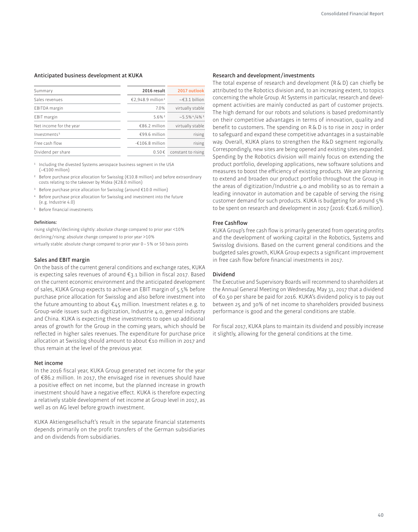#### **Anticipated business development at A**

| Summary                  | 2016 result                   | 2017 outlook        |
|--------------------------|-------------------------------|---------------------|
| Sales revenues           | €2,948.9 million <sup>1</sup> | $\sim$ €3.1 billion |
| <b>EBITDA</b> margin     | 7.0%                          | virtually stable    |
| <b>EBIT</b> margin       | $5.6%$ 2                      | $~1.5.5\%$ 4/4% 3   |
| Net income for the year  | €86.2 million                 | virtually stable    |
| Investments <sup>5</sup> | $€99.6$ million               | rising              |
| Free cash flow           | $-£106.8$ million             | rising              |
| Dividend per share       | $0.50 \in$                    | constant to rising  |

1 Including the divested Systems aerospace business segment in the USA  $(-6100 \text{ million})$ 

2 Before purchase price allocation for Swisslog (€10.8 million) and before extraordinary costs relating to the takeover by Midea (€28.0 million)

- 3 Before purchase price allocation for Swisslog (around €10.0 million)
- 4 Before purchase price allocation for Swisslog and investment into the future (e. g. Industrie 4.0)
- 5 Before inancial investments

#### **Deinitions:**

rising slightly /declining slightly: absolute change compared to prior year <10% declining /rising: absolute change compared to prior year >10% virtually stable: absolute change compared to prior year 0 – 5% or 50 basis points

#### **Sales and EBIT margin**

On the basis of the current general conditions and exchange rates, KUKA is expecting sales revenues of around  $\epsilon_{3.1}$  billion in fiscal 2017. Based on the current economic environment and the anticipated development of sales, KUKA Group expects to achieve an EBIT margin of 5.5% before purchase price allocation for Swisslog and also before investment into the future amounting to about €45 million. Investment relates e. g. to Group-wide issues such as digitization, Industrie 4.0, general industry and China. KUKA is expecting these investments to open up additional areas of growth for the Group in the coming years, which should be reflected in higher sales revenues. The expenditure for purchase price allocation at Swisslog should amount to about €10 million in 2017 and thus remain at the level of the previous year.

#### **Net income**

In the 2016 fiscal year, KUKA Group generated net income for the year of €86.2 million. In 2017, the envisaged rise in revenues should have a positive efect on net income, but the planned increase in growth investment should have a negative effect. KUKA is therefore expecting a relatively stable development of net income at Group level in 2017, as well as on AG level before growth investment.

KUKA Aktiengesellschaft's result in the separate financial statements depends primarily on the profit transfers of the German subsidiaries and on dividends from subsidiaries.

#### **Research and development /investments**

The total expense of research and development  $(R & D)$  can chiefly be attributed to the Robotics division and, to an increasing extent, to topics concerning the whole Group. At Systems in particular, research and development activities are mainly conducted as part of customer projects. The high demand for our robots and solutions is based predominantly on their competitive advantages in terms of innovation, quality and benefit to customers. The spending on R & D is to rise in 2017 in order to safeguard and expand these competitive advantages in a sustainable way. Overall, KUKA plans to strengthen the R&D segment regionally. Correspondingly, new sites are being opened and existing sites expanded. Spending by the Robotics division will mainly focus on extending the product portfolio, developing applications, new software solutions and measures to boost the eficiency of existing products. We are planning to extend and broaden our product portfolio throughout the Group in the areas of digitization /Industrie 4.0 and mobility so as to remain a leading innovator in automation and be capable of serving the rising customer demand for such products. KUKA is budgeting for around 5% to be spent on research and development in 2017 (2016: €126.6 million).

#### **Free Cashflow**

KUKA Group's free cash flow is primarily generated from operating profits and the development of working capital in the Robotics, Systems and Swisslog divisions. Based on the current general conditions and the budgeted sales growth, KUKA Group expects a significant improvement in free cash flow before financial investments in 2017.

#### **Dividend**

The Executive and Supervisory Boards will recommend to shareholders at the Annual General Meeting on Wednesday, May 31, 2017 that a dividend of €0.50 per share be paid for 2016. KUKA's dividend policy is to pay out between 25 and 30% of net income to shareholders provided business performance is good and the general conditions are stable.

For fiscal 2017, KUKA plans to maintain its dividend and possibly increase it slightly, allowing for the general conditions at the time.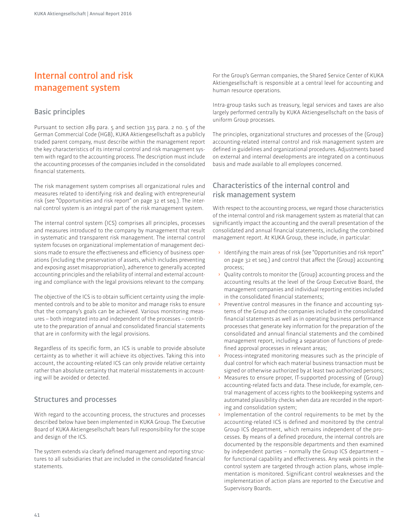## **Internal control and risk management system**

## **Basic principles**

Pursuant to section 289 para. 5 and section 315 para. 2 no. 5 of the German Commercial Code (HGB), KUKA Aktiengesellschaft as a publicly traded parent company, must describe within the management report the key characteristics of its internal control and risk management system with regard to the accounting process. The description must include the accounting processes of the companies included in the consolidated inancial statements.

The risk management system comprises all organizational rules and measures related to identifying risk and dealing with entrepreneurial risk (see "Opportunities and risk report" on page 32 et seq.). The internal control system is an integral part of the risk management system.

The internal control system (ICS) comprises all principles, processes and measures introduced to the company by management that result in systematic and transparent risk management. The internal control system focuses on organizational implementation of management decisions made to ensure the efectiveness and eficiency of business operations (including the preservation of assets, which includes preventing and exposing asset misappropriation), adherence to generally accepted accounting principles and the reliability of internal and external accounting and compliance with the legal provisions relevant to the company.

The objective of the ICS is to obtain suficient certainty using the implemented controls and to be able to monitor and manage risks to ensure that the company's goals can be achieved. Various monitoring measures – both integrated into and independent of the processes – contribute to the preparation of annual and consolidated financial statements that are in conformity with the legal provisions.

Regardless of its specific form, an ICS is unable to provide absolute certainty as to whether it will achieve its objectives. Taking this into account, the accounting-related ICS can only provide relative certainty rather than absolute certainty that material misstatements in accounting will be avoided or detected.

## **Structures and processes**

With regard to the accounting process, the structures and processes described below have been implemented in KUKA Group. The Executive Board of KUKA Aktiengesellschaft bears full responsibility for the scope and design of the ICS.

The system extends via clearly defined management and reporting structures to all subsidiaries that are included in the consolidated financial statements.

For the Group's German companies, the Shared Service Center of KUKA Aktiengesellschaft is responsible at a central level for accounting and human resource operations.

Intra-group tasks such as treasury, legal services and taxes are also largely performed centrally by KUKA Aktiengesellschaft on the basis of uniform Group processes.

The principles, organizational structures and processes of the (Group) accounting-related internal control and risk management system are defined in guidelines and organizational procedures. Adjustments based on external and internal developments are integrated on a continuous basis and made available to all employees concerned.

## **Characteristics of the internal control and risk management system**

With respect to the accounting process, we regard those characteristics of the internal control and risk management system as material that can significantly impact the accounting and the overall presentation of the consolidated and annual financial statements, including the combined management report. At KUKA Group, these include, in particular:

- **›** Identifying the main areas of risk (see "Opportunities and risk report" on page 32 et seq.) and control that afect the (Group) accounting process;
- **›** Quality controls to monitor the (Group) accounting process and the accounting results at the level of the Group Executive Board, the management companies and individual reporting entities included in the consolidated financial statements;
- Preventive control measures in the finance and accounting systems of the Group and the companies included in the consolidated inancial statements as well as in operating business performance processes that generate key information for the preparation of the consolidated and annual financial statements and the combined management report, including a separation of functions of predefined approval processes in relevant areas;
- **›** Process-integrated monitoring measures such as the principle of dual control for which each material business transaction must be signed or otherwise authorized by at least two authorized persons;
- **›** Measures to ensure proper, IT-supported processing of (Group) accounting-related facts and data. These include, for example, central management of access rights to the bookkeeping systems and automated plausibility checks when data are recorded in the reporting and consolidation system;
- **›** Implementation of the control requirements to be met by the accounting-related ICS is defined and monitored by the central Group ICS department, which remains independent of the processes. By means of a deined procedure, the internal controls are documented by the responsible departments and then examined by independent parties – normally the Group ICS department – for functional capability and efectiveness. Any weak points in the control system are targeted through action plans, whose implementation is monitored. Significant control weaknesses and the implementation of action plans are reported to the Executive and Supervisory Boards.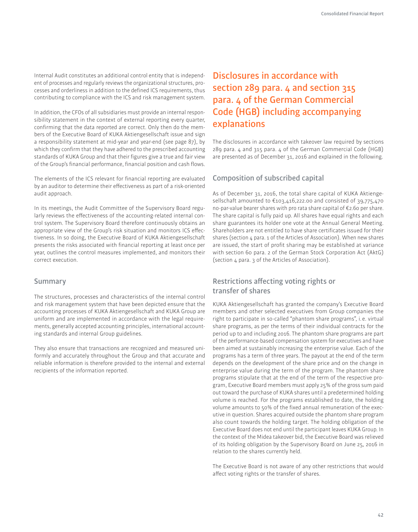Internal Audit constitutes an additional control entity that is independent of processes and regularly reviews the organizational structures, processes and orderliness in addition to the deined ICS requirements, thus contributing to compliance with the ICS and risk management system.

In addition, the CFOs of all subsidiaries must provide an internal responsibility statement in the context of external reporting every quarter, confirming that the data reported are correct. Only then do the members of the Executive Board of KUKA Aktiengesellschaft issue and sign a responsibility statement at mid-year and year-end (see page 87), by which they confirm that they have adhered to the prescribed accounting standards of KUKA Group and that their figures give a true and fair view of the Group's financial performance, financial position and cash flows.

The elements of the ICS relevant for financial reporting are evaluated by an auditor to determine their efectiveness as part of a risk-oriented audit approach.

In its meetings, the Audit Committee of the Supervisory Board regularly reviews the effectiveness of the accounting-related internal control system. The Supervisory Board therefore continuously obtains an appropriate view of the Group's risk situation and monitors ICS efectiveness. In so doing, the Executive Board of KUKA Aktiengesellschaft presents the risks associated with financial reporting at least once per year, outlines the control measures implemented, and monitors their correct execution.

## **Summary**

The structures, processes and characteristics of the internal control and risk management system that have been depicted ensure that the accounting processes of KUKA Aktiengesellschaft and KUKA Group are uniform and are implemented in accordance with the legal requirements, generally accepted accounting principles, international accounting standards and internal Group guidelines.

They also ensure that transactions are recognized and measured uniformly and accurately throughout the Group and that accurate and reliable information is therefore provided to the internal and external recipients of the information reported.

## **Disclosures in accordance with section 289 para. 4 and section 315 para. 4 of the German Commercial Code (HGB) including accompanying explanations**

The disclosures in accordance with takeover law required by sections 289 para. 4 and 315 para. 4 of the German Commercial Code (HGB) are presented as of December 31, 2016 and explained in the following.

## **Composition of subscribed capital**

As of December 31, 2016, the total share capital of KUKA Aktiengesellschaft amounted to €103,416,222.00 and consisted of 39,775,470 no-par-value bearer shares with pro rata share capital of €2.60 per share. The share capital is fully paid up. All shares have equal rights and each share guarantees its holder one vote at the Annual General Meeting. Shareholders are not entitled to have share certificates issued for their shares (section 4 para. 1 of the Articles of Association). When new shares are issued, the start of profit sharing may be established at variance with section 60 para. 2 of the German Stock Corporation Act (AktG) (section 4 para. 3 of the Articles of Association).

## **Restrictions afecting voting rights or transfer of shares**

KUKA Aktiengesellschaft has granted the company's Executive Board members and other selected executives from Group companies the right to participate in so-called "phantom share programs", i. e. virtual share programs, as per the terms of their individual contracts for the period up to and including 2016. The phantom share programs are part of the performance-based compensation system for executives and have been aimed at sustainably increasing the enterprise value. Each of the programs has a term of three years. The payout at the end of the term depends on the development of the share price and on the change in enterprise value during the term of the program. The phantom share programs stipulate that at the end of the term of the respective program, Executive Board members must apply 25% of the gross sum paid out toward the purchase of KUKA shares until a predetermined holding volume is reached. For the programs established to date, the holding volume amounts to 50% of the ixed annual remuneration of the executive in question. Shares acquired outside the phantom share program also count towards the holding target. The holding obligation of the Executive Board does not end until the participant leaves KUKA Group. In the context of the Midea takeover bid, the Executive Board was relieved of its holding obligation by the Supervisory Board on June 25, 2016 in relation to the shares currently held.

The Executive Board is not aware of any other restrictions that would afect voting rights or the transfer of shares.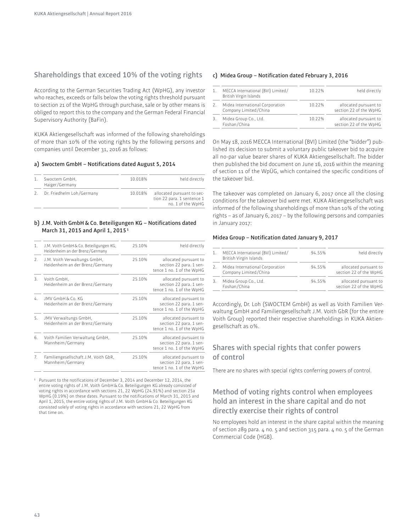## **Shareholdings that exceed 10% of the voting rights**

According to the German Securities Trading Act (WpHG), any investor who reaches, exceeds or falls below the voting rights threshold pursuant to section 21 of the WpHG through purchase, sale or by other means is obliged to report this to the company and the German Federal Financial Supervisory Authority (BaFin).

A Aktiengesellschaft was informed of the following shareholdings of more than 10% of the voting rights by the following persons and companies until December 31, 2016 as follows:

#### a) Swoctem GmbH - Notifications dated August 5, 2014

| $\mathbf{1}$ .        | Swoctem GmbH,<br>Haiger/Germany | 10.018% | held directly                                                                 |
|-----------------------|---------------------------------|---------|-------------------------------------------------------------------------------|
| $\mathcal{P}_{\cdot}$ | Dr. Friedhelm Loh/Germany       | 10.018% | allocated pursuant to sec-<br>tion 22 para. 1 sentence 1<br>no. 1 of the WpHG |

#### **b) J.M. Voith GmbH & Co. Beteiligungen KG – Notiications dated March 31, 2015 and April 1, 2015 1**

| 1. | J.M. Voith GmbH & Co. Beteiligungen KG,<br>Heidenheim an der Brenz/Germany | 25.10% | held directly                                                                 |
|----|----------------------------------------------------------------------------|--------|-------------------------------------------------------------------------------|
| 2. | J.M. Voith Verwaltungs GmbH,<br>Heidenheim an der Brenz/Germany            | 25.10% | allocated pursuant to<br>section 22 para. 1 sen-<br>tence 1 no. 1 of the WpHG |
| 3. | Voith GmbH,<br>Heidenheim an der Brenz/Germany                             | 25.10% | allocated pursuant to<br>section 22 para. 1 sen-<br>tence 1 no. 1 of the WpHG |
| 4. | JMV GmbH & Co. KG<br>Heidenheim an der Brenz/Germany                       | 25.10% | allocated pursuant to<br>section 22 para. 1 sen-<br>tence 1 no. 1 of the WpHG |
| 5. | JMV Verwaltungs GmbH,<br>Heidenheim an der Brenz/Germany                   | 25.10% | allocated pursuant to<br>section 22 para. 1 sen-<br>tence 1 no. 1 of the WpHG |
| 6. | Voith Familien Verwaltung GmbH,<br>Mannheim/Germany                        | 25.10% | allocated pursuant to<br>section 22 para. 1 sen-<br>tence 1 no. 1 of the WpHG |
| 7. | Familiengesellschaft J.M. Voith GbR,<br>Mannheim/Germany                   | 25.10% | allocated pursuant to<br>section 22 para. 1 sen-<br>tence 1 no. 1 of the WpHG |

Pursuant to the notifications of December 3, 2014 and December 12, 2014, the entire voting rights of J.M. Voith GmbH & Co. Beteiligungen KG already consisted of voting rights in accordance with sections 21, 22 WpHG (24.91%) and section 25a WpHG (0.19%) on these dates. Pursuant to the notifications of March 31, 2015 and April 1, 2015, the entire voting rights of J.M. Voith GmbH & Co. Beteiligungen KG consisted solely of voting rights in accordance with sections 21, 22 WpHG from that time on.

#### **c) Midea Group – Notiication dated February 3, 2016**

|    | MECCA International (BVI) Limited/<br>British Virgin Islands | 10.22% | held directly                                   |
|----|--------------------------------------------------------------|--------|-------------------------------------------------|
|    | Midea International Corporation<br>Company Limited/China     | 10.22% | allocated pursuant to<br>section 22 of the WpHG |
| З. | Midea Group Co., Ltd.<br>Foshan/China                        | 10.22% | allocated pursuant to<br>section 22 of the WpHG |

On May 18, 2016 MECCA International (BVI) Limited (the "bidder") published its decision to submit a voluntary public takeover bid to acquire all no-par value bearer shares of KUKA Aktiengesellschaft. The bidder then published the bid document on June 16, 2016 within the meaning of section 11 of the WpÜG, which contained the specific conditions of the takeover bid.

The takeover was completed on January 6, 2017 once all the closing conditions for the takeover bid were met. KUKA Aktiengesellschaft was informed of the following shareholdings of more than 10% of the voting rights – as of January 6, 2017 – by the following persons and companies in January 2017:

#### Midea Group - Notification dated January 9, 2017

| 1.                    | MECCA International (BVI) Limited/<br>British Virgin Islands | 94.55% | held directly                                   |
|-----------------------|--------------------------------------------------------------|--------|-------------------------------------------------|
| $\mathcal{P}_{\cdot}$ | Midea International Corporation<br>Company Limited/China     | 94.55% | allocated pursuant to<br>section 22 of the WpHG |
| 3.                    | Midea Group Co., Ltd.<br>Foshan/China                        | 94.55% | allocated pursuant to<br>section 22 of the WpHG |

Accordingly, Dr. Loh (SWOCTEM GmbH) as well as Voith Familien Verwaltung GmbH and Familiengesellschaft J.M. Voith GbR (for the entire Voith Group) reported their respective shareholdings in KUKA Aktiengesellschaft as 0%.

## **Shares with special rights that confer powers of control**

There are no shares with special rights conferring powers of control.

## **Method of voting rights control when employees hold an interest in the share capital and do not directly exercise their rights of control**

No employees hold an interest in the share capital within the meaning of section 289 para. 4 no. 5 and section 315 para. 4 no. 5 of the German Commercial Code (HGB).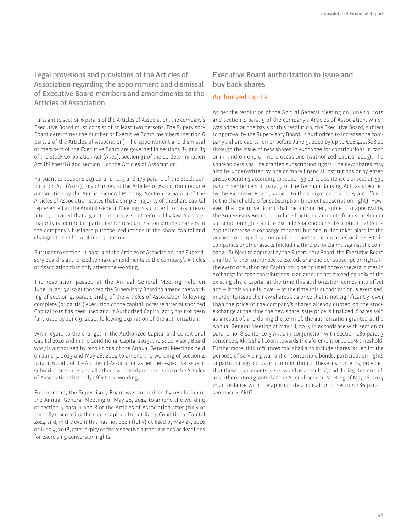**Legal provisions and provisions of the Articles of Association regarding the appointment and dismissal of Executive Board members and amendments to the Articles of Association**

Pursuant to section 6 para. 1 of the Articles of Association, the company's Executive Board must consist of at least two persons. The Supervisory Board determines the number of Executive Board members (section 6 para. 2 of the Articles of Association). The appointment and dismissal of members of the Executive Board are governed in sections 84 and 85 of the Stock Corporation Act (AktG), section 31 of the Co-determination Act (MitbestG) and section 6 of the Articles of Association.

Pursuant to sections 119 para. 1 no. 5 and 179 para. 1 of the Stock Corporation Act (AktG), any changes to the Articles of Association require a resolution by the Annual General Meeting. Section 22 para. 1 of the Articles of Association states that a simple majority of the share capital represented at the Annual General Meeting is suficient to pass a resolution, provided that a greater majority is not required by law. A greater majority is required in particular for resolutions concerning changes to the company's business purpose, reductions in the share capital and changes to the form of incorporation.

Pursuant to section 11 para. 3 of the Articles of Association, the Supervisory Board is authorized to make amendments to the company's Articles of Association that only afect the wording.

The resolution passed at the Annual General Meeting held on June 10, 2015 also authorized the Supervisory Board to amend the wording of section 4, para. 1 and 5 of the Articles of Association following complete (or partial) execution of the capital increase after Authorized Capital 2015 has been used and, if Authorized Capital 2015 has not been fully used by June 9, 2020, following expiration of the authorization.

With regard to the changes in the Authorized Capital and Conditional Capital 2010 and in the Conditional Capital 2013, the Supervisory Board was /is authorized by resolutions of the Annual General Meetings held on June 5, 2013 and May 28, 2014 to amend the wording of section 4 para. 1, 6 and 7 of the Articles of Association as per the respective issue of subscription shares and all other associated amendments to the Articles of Association that only afect the wording.

Furthermore, the Supervisory Board was authorized by resolution of the Annual General Meeting of May 28, 2014 to amend the wording of section 4 para. 1 and 8 of the Articles of Association after (fully or partially) increasing the share capital after utilizing Conditional Capital 2014 and, in the event this has not been (fully) utilized by May 25, 2016 or June 4, 2018, after expiry of the respective authorizations or deadlines for exercising conversion rights.

## **Executive Board authorization to issue and buy back shares**

#### **Authorized capital**

As per the resolution of the Annual General Meeting on June 10, 2015 and section 4 para. 5 of the company's Articles of Association, which was added on the basis of this resolution, the Executive Board, subject to approval by the Supervisory Board, is authorized to increase the company's share capital on or before June 9, 2020 by up to €46,420,808.20 through the issue of new shares in exchange for contributions in cash or in kind on one or more occasions (Authorized Capital 2015). The shareholders shall be granted subscription rights. The new shares may also be underwritten by one or more financial institutions or by enterprises operating according to section 53 para. 1 sentence 1 or section 53b para. 1 sentence 1 or para. 7 of the German Banking Act, as specified by the Executive Board, subject to the obligation that they are ofered to the shareholders for subscription (indirect subscription right). However, the Executive Board shall be authorized, subject to approval by the Supervisory Board, to exclude fractional amounts from shareholder subscription rights and to exclude shareholder subscription rights if a capital increase in exchange for contributions in kind takes place for the purpose of acquiring companies or parts of companies or interests in companies or other assets (including third-party claims against the company). Subject to approval by the Supervisory Board, the Executive Board shall be further authorized to exclude shareholder subscription rights in the event of Authorized Capital 2015 being used once or several times in exchange for cash contributions in an amount not exceeding 10% of the existing share capital at the time this authorization comes into efect and – if this value is lower – at the time this authorization is exercised, in order to issue the new shares at a price that is not significantly lower than the price of the company's shares already quoted on the stock exchange at the time the new share issue price is finalized. Shares sold as a result of, and during the term of, the authorization granted at the Annual General Meeting of May 28, 2014 in accordance with section 71 para. 1 no. 8 sentence 5 AktG in conjunction with section 186 para. 3 sentence  $\Delta$  AktG shall count towards the aforementioned 10% threshold. Furthermore, this 10% threshold shall also include shares issued for the purpose of servicing warrant or convertible bonds, participation rights or participating bonds or a combination of these instruments, provided that these instruments were issued as a result of, and during the term of, an authorization granted at the Annual General Meeting of May 28, 2014 in accordance with the appropriate application of section 186 para. 3 sentence 4 AktG.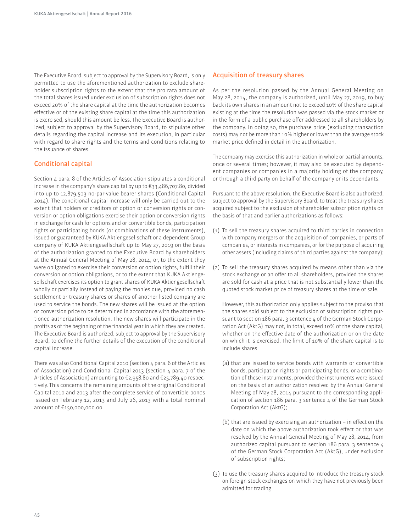The Executive Board, subject to approval by the Supervisory Board, is only permitted to use the aforementioned authorization to exclude shareholder subscription rights to the extent that the pro rata amount of the total shares issued under exclusion of subscription rights does not exceed 20% of the share capital at the time the authorization becomes efective or of the existing share capital at the time this authorization is exercised, should this amount be less. The Executive Board is authorized, subject to approval by the Supervisory Board, to stipulate other details regarding the capital increase and its execution, in particular with regard to share rights and the terms and conditions relating to the issuance of shares.

#### **Conditional capital**

Section 4 para. 8 of the Articles of Association stipulates a conditional increase in the company's share capital by up to €33,486,707.80, divided into up to 12,879,503 no-par-value bearer shares (Conditional Capital 2014). The conditional capital increase will only be carried out to the extent that holders or creditors of option or conversion rights or conversion or option obligations exercise their option or conversion rights in exchange for cash for options and or convertible bonds, participation rights or participating bonds (or combinations of these instruments), issued or guaranteed by KUKA Aktiengesellschaft or a dependent Group company of KUKA Aktiengesellschaft up to May 27, 2019 on the basis of the authorization granted to the Executive Board by shareholders at the Annual General Meeting of May 28, 2014, or, to the extent they were obligated to exercise their conversion or option rights, fulfill their conversion or option obligations, or to the extent that KUKA Aktiengesellschaft exercises its option to grant shares of KUKA Aktiengesellschaft wholly or partially instead of paying the monies due, provided no cash settlement or treasury shares or shares of another listed company are used to service the bonds. The new shares will be issued at the option or conversion price to be determined in accordance with the aforementioned authorization resolution. The new shares will participate in the profits as of the beginning of the financial year in which they are created. The Executive Board is authorized, subject to approval by the Supervisory Board, to define the further details of the execution of the conditional capital increase.

There was also Conditional Capital 2010 (section 4 para. 6 of the Articles of Association) and Conditional Capital 2013 (section 4 para. 7 of the Articles of Association) amounting to €2,958.80 and €25,789.40 respectively. This concerns the remaining amounts of the original Conditional Capital 2010 and 2013 after the complete service of convertible bonds issued on February 12, 2013 and July 26, 2013 with a total nominal amount of €150,000,000.00.

#### **Acquisition of treasury shares**

As per the resolution passed by the Annual General Meeting on May 28, 2014, the company is authorized, until May 27, 2019, to buy back its own shares in an amount not to exceed 10% of the share capital existing at the time the resolution was passed via the stock market or in the form of a public purchase offer addressed to all shareholders by the company. In doing so, the purchase price (excluding transaction costs) may not be more than 10% higher or lower than the average stock market price defined in detail in the authorization.

The company may exercise this authorization in whole or partial amounts, once or several times; however, it may also be executed by dependent companies or companies in a majority holding of the company, or through a third party on behalf of the company or its dependants.

Pursuant to the above resolution, the Executive Board is also authorized, subject to approval by the Supervisory Board, to treat the treasury shares acquired subject to the exclusion of shareholder subscription rights on the basis of that and earlier authorizations as follows:

- (1) To sell the treasury shares acquired to third parties in connection with company mergers or the acquisition of companies, or parts of companies, or interests in companies, or for the purpose of acquiring other assets (including claims of third parties against the company);
- (2) To sell the treasury shares acquired by means other than via the stock exchange or an offer to all shareholders, provided the shares are sold for cash at a price that is not substantially lower than the quoted stock market price of treasury shares at the time of sale.

 However, this authorization only applies subject to the proviso that the shares sold subject to the exclusion of subscription rights pursuant to section 186 para. 3 sentence 4 of the German Stock Corporation Act (AktG) may not, in total, exceed 10% of the share capital, whether on the efective date of the authorization or on the date on which it is exercised. The limit of 10% of the share capital is to include shares

- (a) that are issued to service bonds with warrants or convertible bonds, participation rights or participating bonds, or a combination of these instruments, provided the instruments were issued on the basis of an authorization resolved by the Annual General Meeting of May 28, 2014 pursuant to the corresponding application of section 186 para. 3 sentence 4 of the German Stock Corporation Act (AktG);
- (b) that are issued by exercising an authorization  $-$  in effect on the date on which the above authorization took efect or that was resolved by the Annual General Meeting of May 28, 2014, from authorized capital pursuant to section 186 para. 3 sentence 4 of the German Stock Corporation Act (AktG), under exclusion of subscription rights;
- (3) To use the treasury shares acquired to introduce the treasury stock on foreign stock exchanges on which they have not previously been admitted for trading.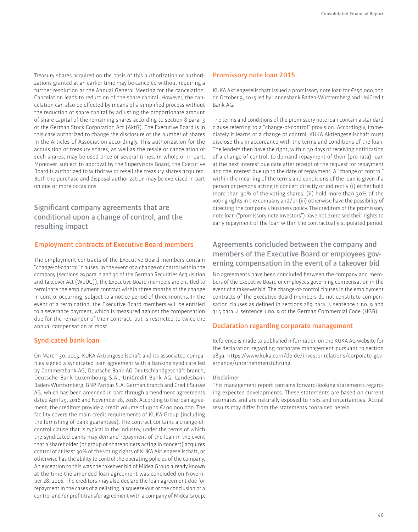Treasury shares acquired on the basis of this authorization or authorizations granted at an earlier time may be canceled without requiring a further resolution at the Annual General Meeting for the cancelation. Cancelation leads to reduction of the share capital. However, the cancelation can also be effected by means of a simplified process without the reduction of share capital by adjusting the proportionate amount of share capital of the remaining shares according to section 8 para. 3 of the German Stock Corporation Act (AktG). The Executive Board is in this case authorized to change the disclosure of the number of shares in the Articles of Association accordingly. This authorization for the acquisition of treasury shares, as well as the resale or cancelation of such shares, may be used once or several times, in whole or in part. Moreover, subject to approval by the Supervisory Board, the Executive Board is authorized to withdraw or resell the treasury shares acquired. Both the purchase and disposal authorization may be exercised in part on one or more occasions.

## **Significant company agreements that are conditional upon a change of control, and the resulting impact**

#### **Employment contracts of Executive Board members**

The employment contracts of the Executive Board members contain "change-of-control" clauses. In the event of a change of control within the company (sections 29 para. 2 and 30 of the German Securities Acquisition and Takeover Act (WpÜG)), the Executive Board members are entitled to terminate the employment contract within three months of the change in control occurring, subject to a notice period of three months. In the event of a termination, the Executive Board members will be entitled to a severance payment, which is measured against the compensation due for the remainder of their contract, but is restricted to twice the annual compensation at most.

#### **Syndicated bank loan**

On March 30, 2015, KUKA Aktiengesellschaft and its associated companies signed a syndicated loan agreement with a banking syndicate led by Commerzbank AG, Deutsche Bank AG Deutschlandgeschäft branch, Deutsche Bank Luxembourg S.A., UniCredit Bank AG, Landesbank Baden-Württemberg, BNP Paribas S.A. German branch and Credit Suisse AG, which has been amended in part through amendment agreements dated April 29, 2016 and November 28, 2016. According to the loan agreement, the creditors provide a credit volume of up to €400,000,000. The facility covers the main credit requirements of KUKA Group (including the furnishing of bank guarantees). The contract contains a change-ofcontrol clause that is typical in the industry, under the terms of which the syndicated banks may demand repayment of the loan in the event that a shareholder (or group of shareholders acting in concert) acquires control of at least 30% of the voting rights of KUKA Aktiengesellschaft, or otherwise has the ability to control the operating policies of the company. An exception to this was the takeover bid of Midea Group already known at the time the amended loan agreement was concluded on November 28, 2016. The creditors may also declare the loan agreement due for repayment in the cases of a delisting, a squeeze-out or the conclusion of a control and/or profit transfer agreement with a company of Midea Group.

#### **Promissory note loan 2015**

A Aktiengesellschaft issued a promissory note loan for €250,000,000 on October 9, 2015 led by Landesbank Baden-Württemberg and UniCredit Bank AG.

The terms and conditions of the promissory note loan contain a standard clause referring to a "change-of-control" provision. Accordingly, immediately it learns of a change of control, KUKA Aktiengesellschaft must disclose this in accordance with the terms and conditions of the loan. The lenders then have the right, within 30 days of receiving notification of a change of control, to demand repayment of their (pro rata) loan at the next interest due date after receipt of the request for repayment and the interest due up to the date of repayment. A "change of control" within the meaning of the terms and conditions of the loan is given if a person or persons acting in concert directly or indirectly (i) either hold more than 30% of the voting shares, (ii) hold more than 30% of the voting rights in the company and /or (iii) otherwise have the possibility of directing the company's business policy. The creditors of the promissory note loan ("promissory note investors") have not exercised their rights to early repayment of the loan within the contractually stipulated period.

## **Agreements concluded between the company and members of the Executive Board or employees governing compensation in the event of a takeover bid**

No agreements have been concluded between the company and members of the Executive Board or employees governing compensation in the event of a takeover bid. The change-of-control clauses in the employment contracts of the Executive Board members do not constitute compensation clauses as defined in sections 289 para. 4 sentence 1 no. 9 and 315 para. 4 sentence 1 no. 9 of the German Commercial Code (HGB).

#### **Declaration regarding corporate management**

Reference is made to published information on the KUKA AG website for the declaration regarding corporate management pursuant to section 289a: https://www.kuka.com/de-de/investor-relations/corporate-governance/unternehmensführung.

#### **Disclaimer**

This management report contains forward-looking statements regarding expected developments. These statements are based on current estimates and are naturally exposed to risks and uncertainties. Actual results may difer from the statements contained herein.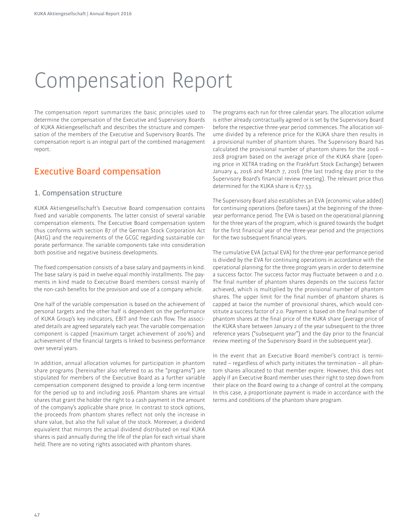# Compensation Report

The compensation report summarizes the basic principles used to determine the compensation of the Executive and Supervisory Boards of KUKA Aktiengesellschaft and describes the structure and compensation of the members of the Executive and Supervisory Boards. The compensation report is an integral part of the combined management report.

## **Executive Board compensation**

## **1. Compensation structure**

A Aktiengesellschaft's Executive Board compensation contains fixed and variable components. The latter consist of several variable compensation elements. The Executive Board compensation system thus conforms with section 87 of the German Stock Corporation Act (AktG) and the requirements of the GCGC regarding sustainable corporate performance. The variable components take into consideration both positive and negative business developments.

The fixed compensation consists of a base salary and payments in kind. The base salary is paid in twelve equal monthly installments. The payments in kind made to Executive Board members consist mainly of the non-cash benefits for the provision and use of a company vehicle.

One half of the variable compensation is based on the achievement of personal targets and the other half is dependent on the performance of KUKA Group's key indicators, EBIT and free cash flow. The associated details are agreed separately each year. The variable compensation component is capped (maximum target achievement of 200%) and achievement of the financial targets is linked to business performance over several years.

In addition, annual allocation volumes for participation in phantom share programs (hereinafter also referred to as the "programs") are stipulated for members of the Executive Board as a further variable compensation component designed to provide a long-term incentive for the period up to and including 2016. Phantom shares are virtual shares that grant the holder the right to a cash payment in the amount of the company's applicable share price. In contrast to stock options, the proceeds from phantom shares reflect not only the increase in share value, but also the full value of the stock. Moreover, a dividend equivalent that mirrors the actual dividend distributed on real KUKA shares is paid annually during the life of the plan for each virtual share held. There are no voting rights associated with phantom shares.

The programs each run for three calendar years. The allocation volume is either already contractually agreed or is set by the Supervisory Board before the respective three-year period commences. The allocation volume divided by a reference price for the KUKA share then results in a provisional number of phantom shares. The Supervisory Board has calculated the provisional number of phantom shares for the 2016 – 2018 program based on the average price of the KUKA share (opening price in XETRA trading on the Frankfurt Stock Exchange) between January 4, 2016 and March 7, 2016 (the last trading day prior to the Supervisory Board's financial review meeting). The relevant price thus determined for the KUKA share is  $\epsilon$ 77.53.

The Supervisory Board also establishes an EVA (economic value added) for continuing operations (before taxes) at the beginning of the threeyear performance period. The EVA is based on the operational planning for the three years of the program, which is geared towards the budget for the first financial year of the three-year period and the projections for the two subsequent financial years.

The cumulative EVA (actual EVA) for the three-year performance period is divided by the EVA for continuing operations in accordance with the operational planning for the three program years in order to determine a success factor. The success factor may fluctuate between o and 2.0. The final number of phantom shares depends on the success factor achieved, which is multiplied by the provisional number of phantom shares. The upper limit for the final number of phantom shares is capped at twice the number of provisional shares, which would constitute a success factor of 2.0. Payment is based on the final number of phantom shares at the final price of the KUKA share (average price of the KUKA share between January 2 of the year subsequent to the three reference years ("subsequent year") and the day prior to the financial review meeting of the Supervisory Board in the subsequent year).

In the event that an Executive Board member's contract is terminated – regardless of which party initiates the termination – all phantom shares allocated to that member expire. However, this does not apply if an Executive Board member uses their right to step down from their place on the Board owing to a change of control at the company. In this case, a proportionate payment is made in accordance with the terms and conditions of the phantom share program.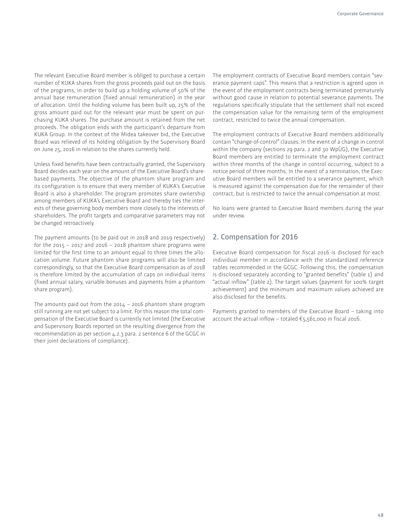The relevant Executive Board member is obliged to purchase a certain number of KUKA shares from the gross proceeds paid out on the basis of the programs, in order to build up a holding volume of 50% of the annual base remuneration (fixed annual remuneration) in the year of allocation. Until the holding volume has been built up, 25% of the gross amount paid out for the relevant year must be spent on purchasing KUKA shares. The purchase amount is retained from the net proceeds. The obligation ends with the participant's departure from KUKA Group. In the context of the Midea takeover bid, the Executive Board was relieved of its holding obligation by the Supervisory Board on June 25, 2016 in relation to the shares currently held.

Unless fixed benefits have been contractually granted, the Supervisory Board decides each year on the amount of the Executive Board's sharebased payments. The objective of the phantom share program and its configuration is to ensure that every member of KUKA's Executive Board is also a shareholder. The program promotes share ownership among members of KUKA's Executive Board and thereby ties the interests of these governing body members more closely to the interests of shareholders. The profit targets and comparative parameters may not be changed retroactively.

The payment amounts (to be paid out in 2018 and 2019 respectively) for the 2015 – 2017 and 2016 – 2018 phantom share programs were limited for the first time to an amount equal to three times the allocation volume. Future phantom share programs will also be limited correspondingly, so that the Executive Board compensation as of 2018 is therefore limited by the accumulation of caps on individual items (fixed annual salary, variable bonuses and payments from a phantom share program).

The amounts paid out from the 2014 – 2016 phantom share program still running are not yet subject to a limit. For this reason the total compensation of the Executive Board is currently not limited (the Executive and Supervisory Boards reported on the resulting divergence from the recommendation as per section 4.2.3 para. 2 sentence 6 of the GCGC in their joint declarations of compliance).

The employment contracts of Executive Board members contain "severance payment caps". This means that a restriction is agreed upon in the event of the employment contracts being terminated prematurely without good cause in relation to potential severance payments. The regulations specifically stipulate that the settlement shall not exceed the compensation value for the remaining term of the employment contract, restricted to twice the annual compensation.

The employment contracts of Executive Board members additionally contain "change-of-control" clauses. In the event of a change in control within the company (sections 29 para. 2 and 30 WpÜG), the Executive Board members are entitled to terminate the employment contract within three months of the change in control occurring, subject to a notice period of three months. In the event of a termination, the Executive Board members will be entitled to a severance payment, which is measured against the compensation due for the remainder of their contract, but is restricted to twice the annual compensation at most.

No loans were granted to Executive Board members during the year under review.

## **2. Compensation for 2016**

Executive Board compensation for fiscal 2016 is disclosed for each individual member in accordance with the standardized reference tables recommended in the GCGC. Following this, the compensation is disclosed separately according to "granted benefits" (table 1) and "actual inflow" (table 2). The target values (payment for 100% target achievement) and the minimum and maximum values achieved are also disclosed for the benefits.

Payments granted to members of the Executive Board – taking into account the actual inflow – totaled  $\epsilon$ 5,561,000 in fiscal 2016.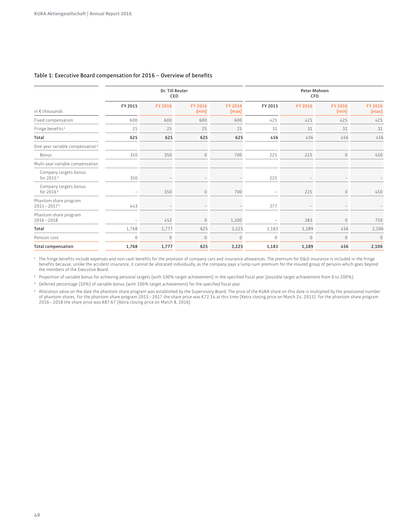#### **Table 1: Executive Board compensation for 2016 – Overview of beneits**

|                                                | Dr. Till Reuter<br>CEO   |                          |                          | Peter Mohnen<br>CFO |                          |                          |                          |                  |
|------------------------------------------------|--------------------------|--------------------------|--------------------------|---------------------|--------------------------|--------------------------|--------------------------|------------------|
| in $\epsilon$ thousands                        | FY 2015                  | FY 2016                  | FY 2016<br>(min)         | FY 2016<br>(max)    | FY 2015                  | FY 2016                  | FY 2016<br>(min)         | FY 2016<br>(max) |
| Fixed compensation                             | 600                      | 600                      | 600                      | 600                 | 425                      | 425                      | 425                      | 425              |
| Fringe benefits <sup>1</sup>                   | 25                       | 25                       | 25                       | 25                  | 31                       | 31                       | 31                       | 31               |
| Total                                          | 625                      | 625                      | 625                      | 625                 | 456                      | 456                      | 456                      | 456              |
| One-year variable compensation <sup>2</sup>    |                          |                          |                          |                     |                          |                          |                          |                  |
| Bonus                                          | 350                      | 350                      | $\mathbf 0$              | 700                 | 225                      | 225                      | $\mathbb O$              | 450              |
| Multi-year variable compensation               |                          |                          |                          |                     |                          |                          |                          |                  |
| Company targets bonus<br>for 2015 <sup>3</sup> | 350                      | $\overline{\phantom{a}}$ | $\overline{\phantom{m}}$ |                     | 225                      | $\overline{\phantom{m}}$ | $\qquad \qquad -$        |                  |
| Company targets bonus<br>for 2016 <sup>3</sup> | $\overline{\phantom{a}}$ | 350                      | $\mathbb O$              | 700                 | $\overline{\phantom{a}}$ | 225                      | $\mathbf{0}$             | 450              |
| Phantom share program<br>$2015 - 20174$        | 443                      | $\overline{\phantom{a}}$ | $\overline{\phantom{m}}$ |                     | 277                      | $\overline{\phantom{m}}$ | $\overline{\phantom{a}}$ |                  |
| Phantom share program<br>$2016 - 2018$         |                          | 452                      | $\mathbf{0}$             | 1,200               | $\overline{\phantom{a}}$ | 283                      | $\mathbf{0}$             | 750              |
| Total                                          | 1,768                    | 1,777                    | 625                      | 3,225               | 1,183                    | 1,189                    | 456                      | 2,106            |
| Pension cost                                   | $\Omega$                 | $\mathbf{0}$             | $\mathbf{0}$             | $\mathbf{0}$        | $\mathbf{0}$             | $\mathbf{0}$             | $\mathbf{0}$             | $\mathbf{0}$     |
| <b>Total compensation</b>                      | 1,768                    | 1,777                    | 625                      | 3,225               | 1,183                    | 1,189                    | 456                      | 2,106            |

<sup>1</sup> The fringe benefits include expenses and non-cash benefits for the provision of company cars and insurance allowances. The premium for D&O insurance is included in the fringe beneits because, unlike the accident insurance, it cannot be allocated individually, as the company pays a lump-sum premium for the insured group of persons which goes beyond the members of the Executive Board.

<sup>2</sup> Proportion of variable bonus for achieving personal targets (with 100% target achievement) in the specified fiscal year (possible target achievement from 0 to 200%).

<sup>3</sup> Deferred percentage (50%) of variable bonus (with 100% target achievement) for the specified fiscal year.

4 Allocation value on the date the phantom share program was established by the Supervisory Board. The price of the KUKA share on this date is multiplied by the provisional number of phantom shares. For the phantom share program 2015 – 2017 the share price was €72.14 at this time (Xetra closing price on March 24, 2015). For the phantom share program 2016 – 2018 the share price was €87.67 (Xetra closing price on March 8, 2016)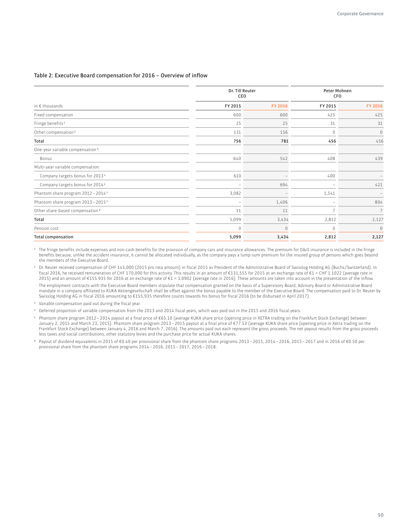#### **Table 2: Executive Board compensation for 2016 – Overview of inlow**

|                                                | Dr. Till Reuter<br>CEO |          | <b>Peter Mohnen</b><br>CFO |                |  |
|------------------------------------------------|------------------------|----------|----------------------------|----------------|--|
| in $\epsilon$ thousands                        | FY 2015                | FY 2016  | FY 2015                    | FY 2016        |  |
| Fixed compensation                             | 600                    | 600      | 425                        | 425            |  |
| Fringe benefits <sup>1</sup>                   | 25                     | 25       | 31                         | 31             |  |
| Other compensation <sup>2</sup>                | 131                    | 156      | $\mathbf 0$                | $\mathbf{0}$   |  |
| Total                                          | 756                    | 781      | 456                        | 456            |  |
| One-year variable compensation <sup>3</sup> :  |                        |          |                            |                |  |
| Bonus                                          | 640                    | 542      | 408                        | 439            |  |
| Multi-year variable compensation:              |                        |          |                            |                |  |
| Company targets bonus for 2013 <sup>4</sup>    | 610                    |          | 400                        |                |  |
| Company targets bonus for 2014 <sup>4</sup>    |                        | 694      | ۰                          | 421            |  |
| Phantom share program 2012 - 2014 <sup>5</sup> | 3,082                  |          | 1,541                      |                |  |
| Phantom share program 2013 - 2015 <sup>5</sup> |                        | 1,406    | ۰                          | 804            |  |
| Other share-based compensation <sup>6</sup>    | 11                     | 11       | $\overline{7}$             | $\overline{7}$ |  |
| Total                                          | 5,099                  | 3,434    | 2,812                      | 2,127          |  |
| Pension cost                                   | $\mathbf{0}$           | $\Omega$ | $\mathbf{0}$               | $\mathbf{0}$   |  |
| <b>Total compensation</b>                      | 5,099                  | 3,434    | 2,812                      | 2,127          |  |

<sup>1</sup> The fringe benefits include expenses and non-cash benefits for the provision of company cars and insurance allowances. The premium for D&O insurance is included in the fringe beneits because, unlike the accident insurance, it cannot be allocated individually, as the company pays a lump-sum premium for the insured group of persons which goes beyond the members of the Executive Board.

<sup>2</sup> Dr. Reuter received compensation of CHF 145,000 (2015 pro rata amount) in fiscal 2015 as President of the Administrative Board of Swisslog Holding AG (Buchs/Switzerland). In iscal 2016, he received remuneration of CHF 170,000 for this activity. This results in an amount of €131,555 for 2015 at an exchange rate of €1 = CHF 1.1022 (average rate in 2015) and an amount of €155.935 for 2016 at an exchange rate of €1 = 1.0902 (average rate in 2016). These amounts are taken into account in the presentation of the inlow. The employment contracts with the Executive Board members stipulate that compensation granted on the basis of a Supervisory Board, Advisory Board or Administrative Board

mandate in a company afiliated to A Aktiengesellschaft shall be ofset against the bonus payable to the member of the Executive Board. The compensation paid to Dr. Reuter by Swisslog Holding AG in iscal 2016 amounting to €155,935 therefore counts towards his bonus for iscal 2016 (to be disbursed in April 2017).

<sup>3</sup> Variable compensation paid out during the fiscal year.

4 Deferred proportion of variable compensation from the 2013 and 2014 iscal years, which was paid out in the 2015 and 2016 iscal years.

- 5 Phantom share program 2012 2014 payout at a final price of €65.10 (average KUKA share price (opening price in XETRA trading on the Frankfurt Stock Exchange) between January 2, 2015 and March 23, 2015). Phantom share program 2013–2015 payout at a final price of €77.53 (average KUKA share price (opening price in Xetra trading on the Frankfurt Stock Exchange) between January 4, 2016 and March 7, 2016). The amounts paid out each represent the gross proceeds. The net payout results from the gross proceeds less taxes and social contributions, other statutory levies and the purchase price for actual KUKA shares.
- 6 Payout of dividend equivalents in 2015 of €0.40 per provisional share from the phantom share programs 2013 2015, 2014 2016, 2015 2017 and in 2016 of €0.50 per provisional share from the phantom share programs 2014 – 2016, 2015 – 2017, 2016 – 2018.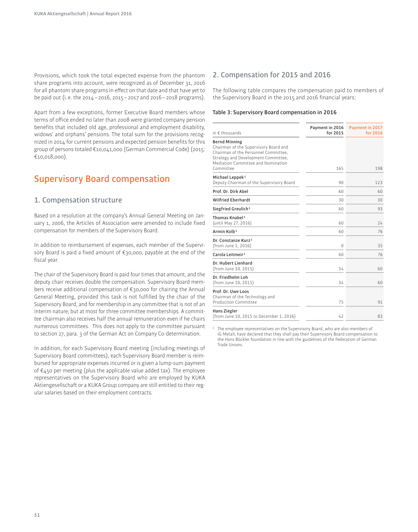Provisions, which took the total expected expense from the phantom share programs into account, were recognized as of December 31, 2016 for all phantom share programs in efect on that date and that have yet to be paid out (i. e. the 2014 – 2016, 2015 – 2017 and 2016 – 2018 programs).

Apart from a few exceptions, former Executive Board members whose terms of ofice ended no later than 2008 were granted company pension benefits that included old age, professional and employment disability, widows' and orphans' pensions. The total sum for the provisions recognized in 2014 for current pensions and expected pension beneits for this group of persons totaled €10,041,000 (German Commercial Code) (2015: €10,018,000).

## **Supervisory Board compensation**

#### **1. Compensation structure**

Based on a resolution at the company's Annual General Meeting on January 1, 2006, the Articles of Association were amended to include fixed compensation for members of the Supervisory Board.

In addition to reimbursement of expenses, each member of the Supervisory Board is paid a fixed amount of €30,000, payable at the end of the fiscal year.

The chair of the Supervisory Board is paid four times that amount, and the deputy chair receives double the compensation. Supervisory Board members receive additional compensation of €30,000 for chairing the Annual General Meeting, provided this task is not fulilled by the chair of the Supervisory Board, and for membership in any committee that is not of an interim nature, but at most for three committee memberships. A committee chairman also receives half the annual remuneration even if he chairs numerous committees. This does not apply to the committee pursuant to section 27, para. 3 of the German Act on Company Co-determination.

In addition, for each Supervisory Board meeting (including meetings of Supervisory Board committees), each Supervisory Board member is reimbursed for appropriate expenses incurred or is given a lump-sum payment of €450 per meeting (plus the applicable value added tax). The employee representatives on the Supervisory Board who are employed by KUKA Aktiengesellschaft or a KUKA Group company are still entitled to their regular salaries based on their employment contracts.

#### **2. Compensation for 2015 and 2016**

The following table compares the compensation paid to members of the Supervisory Board in the 2015 and 2016 inancial years:

#### **Table 3: Supervisory Board compensation in 2016**

| in $\epsilon$ thousands                                                                                                                                                                         | Payment in 2016<br>for 2015 | Payment in 2017<br>for 2016 |
|-------------------------------------------------------------------------------------------------------------------------------------------------------------------------------------------------|-----------------------------|-----------------------------|
| <b>Bernd Minning</b><br>Chairman of the Supervisory Board and<br>Chairman of the Personnel Committee,<br>Strategy and Development Committee,<br>Mediation Committee and Nomination<br>Committee | 165                         | 198                         |
| Michael Leppek <sup>1</sup>                                                                                                                                                                     |                             |                             |
| Deputy Chairman of the Supervisory Board                                                                                                                                                        | 90                          | 123                         |
| Prof. Dr. Dirk Abel                                                                                                                                                                             | 60                          | 60                          |
| <b>Wilfried Eberhardt</b>                                                                                                                                                                       | 30                          | 30                          |
| Siegfried Greulich <sup>1</sup>                                                                                                                                                                 | 60                          | 93                          |
| Thomas Knabel <sup>1</sup><br>(until May 27, 2016)                                                                                                                                              | 60                          | 74                          |
| Armin Kolb <sup>1</sup>                                                                                                                                                                         | 60                          | 76                          |
| Dr. Constanze Kurz <sup>1</sup><br>(from June 1, 2016)                                                                                                                                          | 0                           | 35                          |
| Carola Leitmeir <sup>1</sup>                                                                                                                                                                    | 60                          | 76                          |
| Dr. Hubert Lienhard<br>(from June 10, 2015)                                                                                                                                                     | 34                          | 60                          |
| Dr. Friedhelm Loh<br>(from June 10, 2015)                                                                                                                                                       | 34                          | 60                          |
| Prof. Dr. Uwe Loos<br>Chairman of the Technology and<br><b>Production Committee</b>                                                                                                             | 75                          | 91                          |
| Hans Ziegler<br>(from June 10, 2015 to December 1, 2016)                                                                                                                                        | 47                          | 83                          |

<sup>1</sup> The employee representatives on the Supervisory Board, who are also members of IG Metall, have declared that they shall pay their Supervisory Board compensation to the Hans Böckler foundation in line with the guidelines of the Federation of German Trade Unions.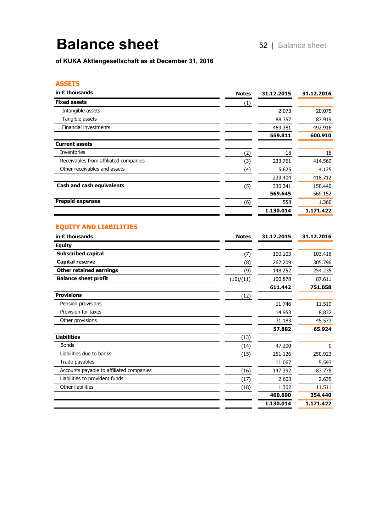## **Balance sheet** 52

of KUKA Aktiengesellschaft as at December 31, 2016

#### **ASSETS**

| in $\epsilon$ thousands               | <b>Notes</b>     | 31.12.2015 | 31.12.2016 |
|---------------------------------------|------------------|------------|------------|
| <b>Fixed assets</b>                   | $\left(1\right)$ |            |            |
| Intangible assets                     |                  | 2.073      | 20.075     |
| Tangible assets                       |                  | 88.357     | 87.919     |
| Financial investments                 |                  | 469.381    | 492.916    |
|                                       |                  | 559.811    | 600.910    |
| <b>Current assets</b>                 |                  |            |            |
| Inventories                           | (2)              | 18         | 18         |
| Receivables from affiliated companies | (3)              | 233.761    | 414.569    |
| Other receivables and assets          | (4)              | 5.625      | 4.125      |
|                                       |                  | 239.404    | 418.712    |
| <b>Cash and cash equivalents</b>      | (5)              | 330.241    | 150.440    |
|                                       |                  | 569.645    | 569.152    |
| <b>Prepaid expenses</b>               | (6)              | 558        | 1.360      |
|                                       |                  | 1.130.014  | 1.171.422  |

## **EQUITY AND LIABILITIES**

| in $\epsilon$ thousands                  | <b>Notes</b> | 31.12.2015 | 31.12.2016   |
|------------------------------------------|--------------|------------|--------------|
| <b>Equity</b>                            |              |            |              |
| <b>Subscribed capital</b>                | (7)          | 100.103    | 103.416      |
| <b>Capital reserve</b>                   | (8)          | 262.209    | 305.796      |
| <b>Other retained earnings</b>           | (9)          | 148.252    | 254.235      |
| <b>Balance sheet profit</b>              | (10)/(11)    | 100.878    | 87.611       |
|                                          |              | 611.442    | 751.058      |
| <b>Provisions</b>                        | (12)         |            |              |
| Pension provisions                       |              | 11.746     | 11.519       |
| Provision for taxes                      |              | 14.953     | 8.832        |
| Other provisions                         |              | 31.183     | 45.573       |
|                                          |              | 57.882     | 65.924       |
| <b>Liabilities</b>                       | (13)         |            |              |
| <b>Bonds</b>                             | (14)         | 47.200     | $\mathbf{0}$ |
| Liabilities due to banks                 | (15)         | 251.126    | 250.923      |
| Trade payables                           |              | 11.067     | 5.593        |
| Accounts payable to affiliated companies | (16)         | 147.392    | 83.778       |
| Liabilities to provident funds           | (17)         | 2.603      | 2.635        |
| Other liabilities                        | (18)         | 1.302      | 11.511       |
|                                          |              | 460.690    | 354.440      |
|                                          |              | 1.130.014  | 1.171.422    |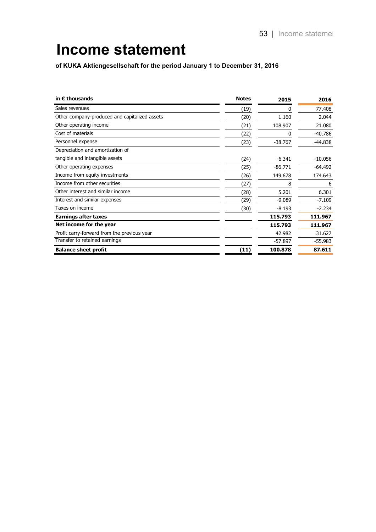## **Income statement**

of KUKA Aktiengesellschaft for the period January 1 to December 31, 2016

| in $\epsilon$ thousands                       | <b>Notes</b> | 2015      | 2016      |
|-----------------------------------------------|--------------|-----------|-----------|
| Sales revenues                                | (19)         | 0         | 77,408    |
| Other company-produced and capitalized assets | (20)         | 1.160     | 2.044     |
| Other operating income                        | (21)         | 108.907   | 21.080    |
| Cost of materials                             | (22)         | 0         | $-40.786$ |
| Personnel expense                             | (23)         | $-38.767$ | $-44.838$ |
| Depreciation and amortization of              |              |           |           |
| tangible and intangible assets                | (24)         | $-6.341$  | $-10.056$ |
| Other operating expenses                      | (25)         | $-86.771$ | $-64.492$ |
| Income from equity investments                | (26)         | 149.678   | 174.643   |
| Income from other securities                  | (27)         | 8         | 6         |
| Other interest and similar income             | (28)         | 5.201     | 6.301     |
| Interest and similar expenses                 | (29)         | $-9.089$  | $-7.109$  |
| Taxes on income                               | (30)         | $-8.193$  | $-2.234$  |
| <b>Earnings after taxes</b>                   |              | 115.793   | 111.967   |
| Net income for the year                       |              | 115.793   | 111.967   |
| Profit carry-forward from the previous year   |              | 42.982    | 31.627    |
| Transfer to retained earnings                 |              | $-57.897$ | $-55.983$ |
| <b>Balance sheet profit</b>                   | (11)         | 100.878   | 87.611    |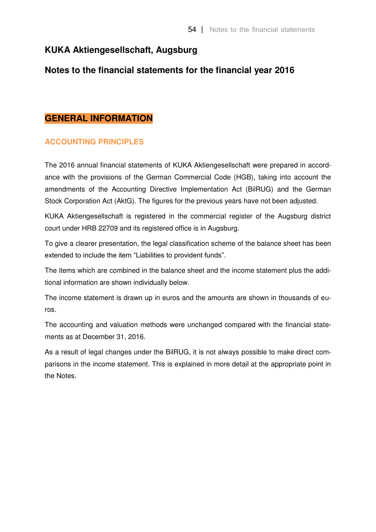## **KUKA Aktiengesellschaft, Augsburg**

## **Notes to the financial statements for the financial year 2016**

## **GENERAL INFORMATION**

## **ACCOUNTING PRINCIPLES**

The 2016 annual financial statements of KUKA Aktiengesellschaft were prepared in accordance with the provisions of the German Commercial Code (HGB), taking into account the amendments of the Accounting Directive Implementation Act (BilRUG) and the German Stock Corporation Act (AktG). The figures for the previous years have not been adjusted.

KUKA Aktiengesellschaft is registered in the commercial register of the Augsburg district court under HRB 22709 and its registered office is in Augsburg.

To give a clearer presentation, the legal classification scheme of the balance sheet has been extended to include the item "Liabilities to provident funds".

The items which are combined in the balance sheet and the income statement plus the additional information are shown individually below.

The income statement is drawn up in euros and the amounts are shown in thousands of euros.

The accounting and valuation methods were unchanged compared with the financial statements as at December 31, 2016.

As a result of legal changes under the BilRUG, it is not always possible to make direct comparisons in the income statement. This is explained in more detail at the appropriate point in the Notes.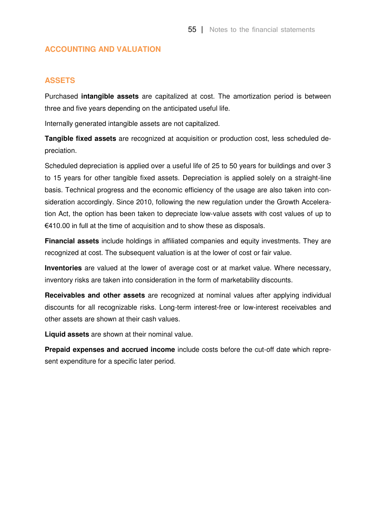## **ACCOUNTING AND VALUATION**

## **ASSETS**

Purchased **intangible assets** are capitalized at cost. The amortization period is between three and five years depending on the anticipated useful life.

Internally generated intangible assets are not capitalized.

**Tangible fixed assets** are recognized at acquisition or production cost, less scheduled depreciation.

Scheduled depreciation is applied over a useful life of 25 to 50 years for buildings and over 3 to 15 years for other tangible fixed assets. Depreciation is applied solely on a straight-line basis. Technical progress and the economic efficiency of the usage are also taken into consideration accordingly. Since 2010, following the new regulation under the Growth Acceleration Act, the option has been taken to depreciate low-value assets with cost values of up to €410.00 in full at the time of acquisition and to show these as disposals.

**Financial assets** include holdings in affiliated companies and equity investments. They are recognized at cost. The subsequent valuation is at the lower of cost or fair value.

**Inventories** are valued at the lower of average cost or at market value. Where necessary, inventory risks are taken into consideration in the form of marketability discounts.

**Receivables and other assets** are recognized at nominal values after applying individual discounts for all recognizable risks. Long-term interest-free or low-interest receivables and other assets are shown at their cash values.

**Liquid assets** are shown at their nominal value.

**Prepaid expenses and accrued income** include costs before the cut-off date which represent expenditure for a specific later period.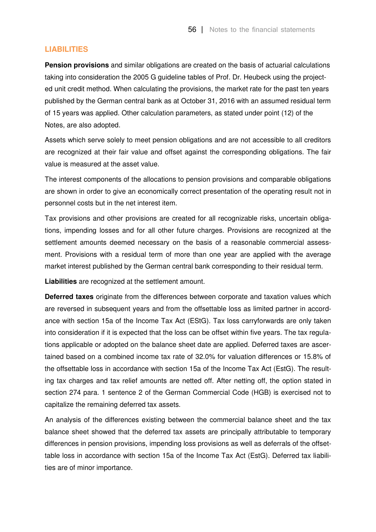## **LIABILITIES**

**Pension provisions** and similar obligations are created on the basis of actuarial calculations taking into consideration the 2005 G guideline tables of Prof. Dr. Heubeck using the projected unit credit method. When calculating the provisions, the market rate for the past ten years published by the German central bank as at October 31, 2016 with an assumed residual term of 15 years was applied. Other calculation parameters, as stated under point (12) of the Notes, are also adopted.

Assets which serve solely to meet pension obligations and are not accessible to all creditors are recognized at their fair value and offset against the corresponding obligations. The fair value is measured at the asset value.

The interest components of the allocations to pension provisions and comparable obligations are shown in order to give an economically correct presentation of the operating result not in personnel costs but in the net interest item.

Tax provisions and other provisions are created for all recognizable risks, uncertain obligations, impending losses and for all other future charges. Provisions are recognized at the settlement amounts deemed necessary on the basis of a reasonable commercial assessment. Provisions with a residual term of more than one year are applied with the average market interest published by the German central bank corresponding to their residual term.

**Liabilities** are recognized at the settlement amount.

**Deferred taxes** originate from the differences between corporate and taxation values which are reversed in subsequent years and from the offsettable loss as limited partner in accordance with section 15a of the Income Tax Act (EStG). Tax loss carryforwards are only taken into consideration if it is expected that the loss can be offset within five years. The tax regulations applicable or adopted on the balance sheet date are applied. Deferred taxes are ascertained based on a combined income tax rate of 32.0% for valuation differences or 15.8% of the offsettable loss in accordance with section 15a of the Income Tax Act (EstG). The resulting tax charges and tax relief amounts are netted off. After netting off, the option stated in section 274 para. 1 sentence 2 of the German Commercial Code (HGB) is exercised not to capitalize the remaining deferred tax assets.

An analysis of the differences existing between the commercial balance sheet and the tax balance sheet showed that the deferred tax assets are principally attributable to temporary differences in pension provisions, impending loss provisions as well as deferrals of the offsettable loss in accordance with section 15a of the Income Tax Act (EstG). Deferred tax liabilities are of minor importance.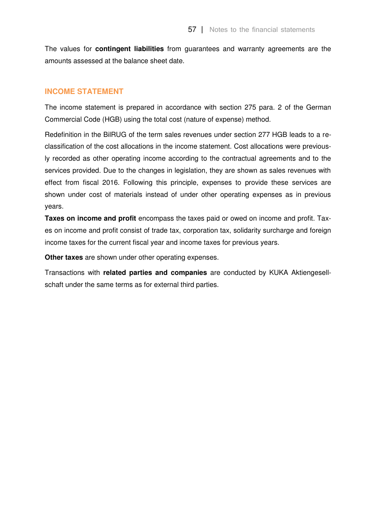The values for **contingent liabilities** from guarantees and warranty agreements are the amounts assessed at the balance sheet date.

## **INCOME STATEMENT**

The income statement is prepared in accordance with section 275 para. 2 of the German Commercial Code (HGB) using the total cost (nature of expense) method.

Redefinition in the BilRUG of the term sales revenues under section 277 HGB leads to a reclassification of the cost allocations in the income statement. Cost allocations were previously recorded as other operating income according to the contractual agreements and to the services provided. Due to the changes in legislation, they are shown as sales revenues with effect from fiscal 2016. Following this principle, expenses to provide these services are shown under cost of materials instead of under other operating expenses as in previous years.

**Taxes on income and profit** encompass the taxes paid or owed on income and profit. Taxes on income and profit consist of trade tax, corporation tax, solidarity surcharge and foreign income taxes for the current fiscal year and income taxes for previous years.

**Other taxes** are shown under other operating expenses.

Transactions with **related parties and companies** are conducted by KUKA Aktiengesellschaft under the same terms as for external third parties.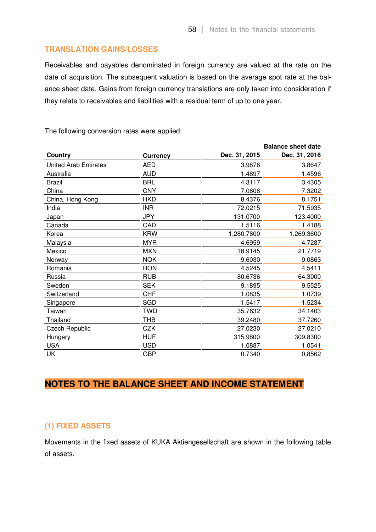## **TRANSLATION GAINS/LOSSES**

Receivables and payables denominated in foreign currency are valued at the rate on the date of acquisition. The subsequent valuation is based on the average spot rate at the balance sheet date. Gains from foreign currency translations are only taken into consideration if they relate to receivables and liabilities with a residual term of up to one year.

**Balance sheet date Country Currency Dec. 31, 2015 Dec. 31, 2016**  United Arab Emirates **AED** 4.9876 3.9876 3.8647 Australia AUD 1.4897 1.4596 Brazil BRL 4.3117 3.4305 China CNY 7.0608 7.3202 China, Hong Kong **HKD** 8.4376 8.1751 India INR 72.0215 71.5935 Japan JPY 131.0700 123.4000 Canada CAD 1.5116 1.4188 Korea 1,280.7800 KRW 1,280.7800 1,269.3600 Malaysia MYR 4.6959 4.7287 Mexico MXN 18.9145 21.7719 Norway NOK 9.6030 9.0863 Romania RON 4.5245 4.5411 Russia RUB 80.6736 64.3000 Sweden SEK 9.1895 9.5525 Switzerland **CHF** CHF 1.0835 1.0739 Singapore SGD SGD 1.5417 1.5234 Taiwan TWD 35.7632 34.1403 Thailand THB 39.2480 37.7260 Czech Republic CZK 27.0230 27.0210 Hungary HUF 315.9800 309.8300 USA USD 1.0887 1.0541 UK GBP 0.7340 0.8562

The following conversion rates were applied:

## **NOTES TO THE BALANCE SHEET AND INCOME STATEMENT**

## **(1) FIXED ASSETS**

Movements in the fixed assets of KUKA Aktiengesellschaft are shown in the following table of assets.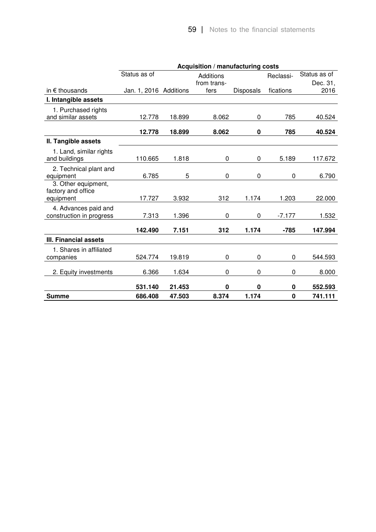|                                                        | Acquisition / manufacturing costs |        |             |           |           |              |  |
|--------------------------------------------------------|-----------------------------------|--------|-------------|-----------|-----------|--------------|--|
|                                                        | Status as of                      |        | Additions   |           | Reclassi- | Status as of |  |
|                                                        |                                   |        | from trans- |           |           | Dec. 31,     |  |
| in $\epsilon$ thousands                                | Jan. 1, 2016 Additions            |        | fers        | Disposals | fications | 2016         |  |
| I. Intangible assets                                   |                                   |        |             |           |           |              |  |
| 1. Purchased rights                                    |                                   |        |             |           |           |              |  |
| and similar assets                                     | 12.778                            | 18.899 | 8.062       | 0         | 785       | 40.524       |  |
|                                                        | 12.778                            | 18.899 | 8.062       | $\bf{0}$  | 785       | 40.524       |  |
| II. Tangible assets                                    |                                   |        |             |           |           |              |  |
| 1. Land, similar rights<br>and buildings               | 110.665                           | 1.818  | 0           | 0         | 5.189     | 117.672      |  |
| 2. Technical plant and<br>equipment                    | 6.785                             | 5      | 0           | 0         | 0         | 6.790        |  |
| 3. Other equipment,<br>factory and office<br>equipment | 17.727                            | 3.932  | 312         | 1.174     | 1.203     | 22.000       |  |
|                                                        |                                   |        |             |           |           |              |  |
| 4. Advances paid and<br>construction in progress       | 7.313                             | 1.396  | 0           | 0         | $-7.177$  | 1.532        |  |
|                                                        | 142.490                           | 7.151  | 312         | 1.174     | $-785$    | 147.994      |  |
| <b>III. Financial assets</b>                           |                                   |        |             |           |           |              |  |
| 1. Shares in affiliated<br>companies                   | 524.774                           | 19.819 | 0           | 0         | 0         | 544.593      |  |
| 2. Equity investments                                  | 6.366                             | 1.634  | 0           | 0         | 0         | 8.000        |  |
|                                                        | 531.140                           | 21.453 | 0           | 0         | 0         | 552.593      |  |
| <b>Summe</b>                                           | 686.408                           | 47.503 | 8.374       | 1.174     | $\bf{0}$  | 741.111      |  |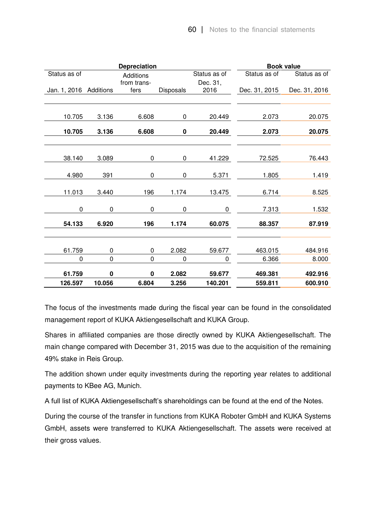|                        |             | <b>Depreciation</b> |             |              |               | <b>Book value</b> |
|------------------------|-------------|---------------------|-------------|--------------|---------------|-------------------|
| Status as of           |             | <b>Additions</b>    |             | Status as of | Status as of  | Status as of      |
|                        |             | from trans-         |             | Dec. 31,     |               |                   |
| Jan. 1, 2016 Additions |             | fers                | Disposals   | 2016         | Dec. 31, 2015 | Dec. 31, 2016     |
|                        |             |                     |             |              |               |                   |
| 10.705                 | 3.136       | 6.608               | 0           | 20.449       | 2.073         | 20.075            |
|                        |             |                     |             |              |               |                   |
| 10.705                 | 3.136       | 6.608               | 0           | 20.449       | 2.073         | 20.075            |
|                        |             |                     |             |              |               |                   |
| 38.140                 | 3.089       | 0                   | 0           | 41.229       | 72.525        | 76.443            |
|                        |             |                     |             |              |               |                   |
| 4.980                  | 391         | 0                   | 0           | 5.371        | 1.805         | 1.419             |
|                        |             |                     |             |              |               |                   |
| 11.013                 | 3.440       | 196                 | 1.174       | 13.475       | 6.714         | 8.525             |
| $\mathbf 0$            | $\mathbf 0$ | $\mathbf 0$         | $\mathbf 0$ | 0            | 7.313         | 1.532             |
|                        |             |                     |             |              |               |                   |
| 54.133                 | 6.920       | 196                 | 1.174       | 60.075       | 88.357        | 87.919            |
|                        |             |                     |             |              |               |                   |
| 61.759                 | 0           | 0                   | 2.082       | 59.677       | 463.015       | 484.916           |
| $\mathbf 0$            | 0           | $\mathbf 0$         | $\pmb{0}$   | $\pmb{0}$    | 6.366         | 8.000             |
| 61.759                 | 0           | 0                   | 2.082       | 59.677       | 469.381       | 492.916           |
|                        |             |                     |             |              |               |                   |
| 126.597                | 10.056      | 6.804               | 3.256       | 140.201      | 559.811       | 600.910           |

The focus of the investments made during the fiscal year can be found in the consolidated management report of KUKA Aktiengesellschaft and KUKA Group.

Shares in affiliated companies are those directly owned by KUKA Aktiengesellschaft. The main change compared with December 31, 2015 was due to the acquisition of the remaining 49% stake in Reis Group.

The addition shown under equity investments during the reporting year relates to additional payments to KBee AG, Munich.

A full list of KUKA Aktiengesellschaft's shareholdings can be found at the end of the Notes.

During the course of the transfer in functions from KUKA Roboter GmbH and KUKA Systems GmbH, assets were transferred to KUKA Aktiengesellschaft. The assets were received at their gross values.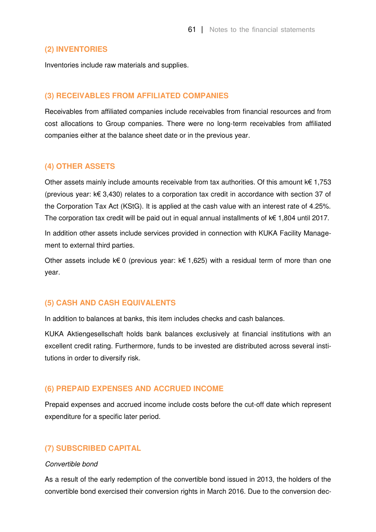## **(2) INVENTORIES**

Inventories include raw materials and supplies.

## **(3) RECEIVABLES FROM AFFILIATED COMPANIES**

Receivables from affiliated companies include receivables from financial resources and from cost allocations to Group companies. There were no long-term receivables from affiliated companies either at the balance sheet date or in the previous year.

## **(4) OTHER ASSETS**

Other assets mainly include amounts receivable from tax authorities. Of this amount  $k \in 1,753$ (previous year: k€ 3,430) relates to a corporation tax credit in accordance with section 37 of the Corporation Tax Act (KStG). It is applied at the cash value with an interest rate of 4.25%. The corporation tax credit will be paid out in equal annual installments of k€ 1,804 until 2017.

In addition other assets include services provided in connection with KUKA Facility Management to external third parties.

Other assets include k€ 0 (previous year: k€ 1,625) with a residual term of more than one year.

## **(5) CASH AND CASH EQUIVALENTS**

In addition to balances at banks, this item includes checks and cash balances.

KUKA Aktiengesellschaft holds bank balances exclusively at financial institutions with an excellent credit rating. Furthermore, funds to be invested are distributed across several institutions in order to diversify risk.

## **(6) PREPAID EXPENSES AND ACCRUED INCOME**

Prepaid expenses and accrued income include costs before the cut-off date which represent expenditure for a specific later period.

## **(7) SUBSCRIBED CAPITAL**

## *Convertible bond*

As a result of the early redemption of the convertible bond issued in 2013, the holders of the convertible bond exercised their conversion rights in March 2016. Due to the conversion dec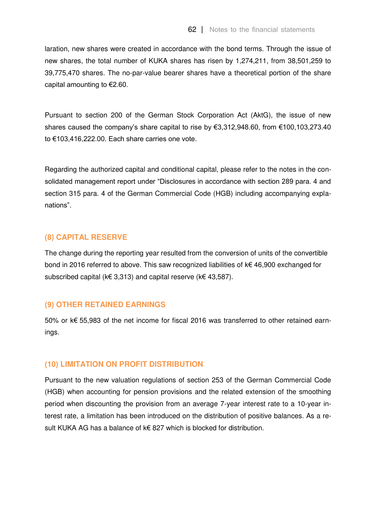laration, new shares were created in accordance with the bond terms. Through the issue of new shares, the total number of KUKA shares has risen by 1,274,211, from 38,501,259 to 39,775,470 shares. The no-par-value bearer shares have a theoretical portion of the share capital amounting to €2.60.

Pursuant to section 200 of the German Stock Corporation Act (AktG), the issue of new shares caused the company's share capital to rise by  $\epsilon$ 3,312,948.60, from  $\epsilon$ 100,103,273.40 to €103,416,222.00. Each share carries one vote.

Regarding the authorized capital and conditional capital, please refer to the notes in the consolidated management report under "Disclosures in accordance with section 289 para. 4 and section 315 para. 4 of the German Commercial Code (HGB) including accompanying explanations".

## **(8) CAPITAL RESERVE**

The change during the reporting year resulted from the conversion of units of the convertible bond in 2016 referred to above. This saw recognized liabilities of k€ 46,900 exchanged for subscribed capital (k€ 3,313) and capital reserve (k€ 43,587).

## **(9) OTHER RETAINED EARNINGS**

50% or k€ 55,983 of the net income for fiscal 2016 was transferred to other retained earnings.

## **(10) LIMITATION ON PROFIT DISTRIBUTION**

Pursuant to the new valuation regulations of section 253 of the German Commercial Code (HGB) when accounting for pension provisions and the related extension of the smoothing period when discounting the provision from an average 7-year interest rate to a 10-year interest rate, a limitation has been introduced on the distribution of positive balances. As a result KUKA AG has a balance of k€ 827 which is blocked for distribution.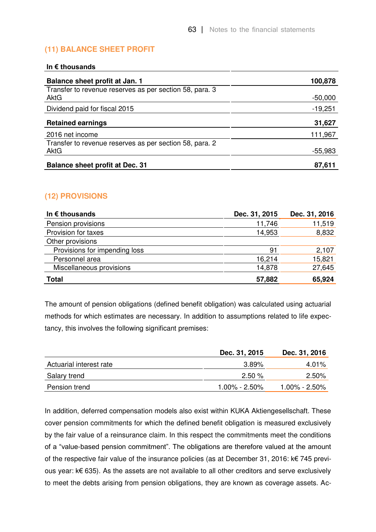## **(11) BALANCE SHEET PROFIT**

## **In € thousands**

| Balance sheet profit at Jan. 1                                         | 100,878   |
|------------------------------------------------------------------------|-----------|
| Transfer to revenue reserves as per section 58, para. 3<br><b>AktG</b> | $-50,000$ |
| Dividend paid for fiscal 2015                                          | $-19,251$ |
| <b>Retained earnings</b>                                               | 31,627    |
| 2016 net income                                                        | 111,967   |
| Transfer to revenue reserves as per section 58, para. 2<br>AktG        | $-55,983$ |
| <b>Balance sheet profit at Dec. 31</b>                                 | 87,611    |

## **(12) PROVISIONS**

| In $\epsilon$ thousands       | Dec. 31, 2015 | Dec. 31, 2016 |
|-------------------------------|---------------|---------------|
| Pension provisions            | 11,746        | 11,519        |
| Provision for taxes           | 14,953        | 8,832         |
| Other provisions              |               |               |
| Provisions for impending loss | 91            | 2,107         |
| Personnel area                | 16,214        | 15,821        |
| Miscellaneous provisions      | 14,878        | 27,645        |
| <b>Total</b>                  | 57,882        | 65,924        |

The amount of pension obligations (defined benefit obligation) was calculated using actuarial methods for which estimates are necessary. In addition to assumptions related to life expectancy, this involves the following significant premises:

|                         | Dec. 31, 2015    | Dec. 31, 2016 |
|-------------------------|------------------|---------------|
| Actuarial interest rate | $3.89\%$         | $4.01\%$      |
| Salary trend            | 2.50%            | 2.50%         |
| Pension trend           | $1.00\%$ - 2.50% | 1.00% - 2.50% |

In addition, deferred compensation models also exist within KUKA Aktiengesellschaft. These cover pension commitments for which the defined benefit obligation is measured exclusively by the fair value of a reinsurance claim. In this respect the commitments meet the conditions of a "value-based pension commitment". The obligations are therefore valued at the amount of the respective fair value of the insurance policies (as at December 31, 2016: k€ 745 previous year: k€ 635). As the assets are not available to all other creditors and serve exclusively to meet the debts arising from pension obligations, they are known as coverage assets. Ac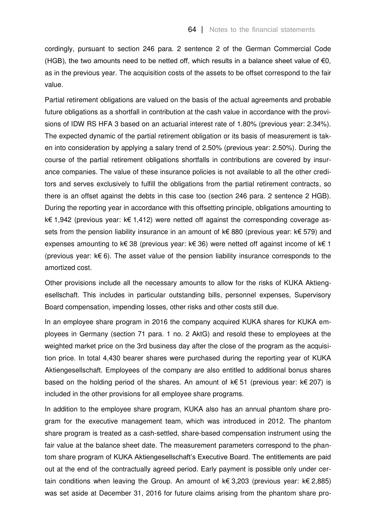cordingly, pursuant to section 246 para. 2 sentence 2 of the German Commercial Code (HGB), the two amounts need to be netted off, which results in a balance sheet value of  $\epsilon$ 0, as in the previous year. The acquisition costs of the assets to be offset correspond to the fair value.

Partial retirement obligations are valued on the basis of the actual agreements and probable future obligations as a shortfall in contribution at the cash value in accordance with the provisions of IDW RS HFA 3 based on an actuarial interest rate of 1.80% (previous year: 2.34%). The expected dynamic of the partial retirement obligation or its basis of measurement is taken into consideration by applying a salary trend of 2.50% (previous year: 2.50%). During the course of the partial retirement obligations shortfalls in contributions are covered by insurance companies. The value of these insurance policies is not available to all the other creditors and serves exclusively to fulfill the obligations from the partial retirement contracts, so there is an offset against the debts in this case too (section 246 para. 2 sentence 2 HGB). During the reporting year in accordance with this offsetting principle, obligations amounting to k€ 1,942 (previous year: k€ 1,412) were netted off against the corresponding coverage assets from the pension liability insurance in an amount of k€ 880 (previous year: k€ 579) and expenses amounting to k€ 38 (previous year: k€ 36) were netted off against income of k€ 1 (previous year: k€ 6). The asset value of the pension liability insurance corresponds to the amortized cost.

Other provisions include all the necessary amounts to allow for the risks of KUKA Aktiengesellschaft. This includes in particular outstanding bills, personnel expenses, Supervisory Board compensation, impending losses, other risks and other costs still due.

In an employee share program in 2016 the company acquired KUKA shares for KUKA employees in Germany (section 71 para. 1 no. 2 AktG) and resold these to employees at the weighted market price on the 3rd business day after the close of the program as the acquisition price. In total 4,430 bearer shares were purchased during the reporting year of KUKA Aktiengesellschaft. Employees of the company are also entitled to additional bonus shares based on the holding period of the shares. An amount of k€ 51 (previous year: k€ 207) is included in the other provisions for all employee share programs.

In addition to the employee share program, KUKA also has an annual phantom share program for the executive management team, which was introduced in 2012. The phantom share program is treated as a cash-settled, share-based compensation instrument using the fair value at the balance sheet date. The measurement parameters correspond to the phantom share program of KUKA Aktiengesellschaft's Executive Board. The entitlements are paid out at the end of the contractually agreed period. Early payment is possible only under certain conditions when leaving the Group. An amount of  $k \in \{3,203\}$  (previous year:  $k \in \{2,885\}$ ) was set aside at December 31, 2016 for future claims arising from the phantom share pro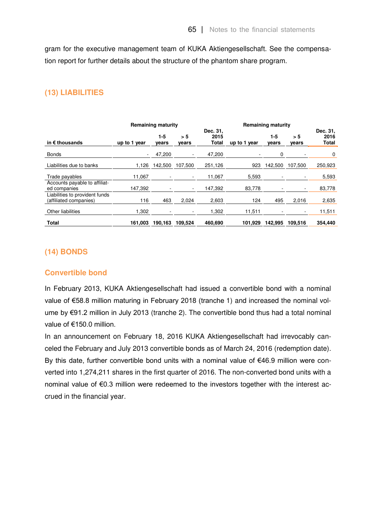gram for the executive management team of KUKA Aktiengesellschaft. See the compensation report for further details about the structure of the phantom share program.

## **(13) LIABILITIES**

|                                                          | <b>Remaining maturity</b> |              |                          |                           | <b>Remaining maturity</b> |              |              |                           |
|----------------------------------------------------------|---------------------------|--------------|--------------------------|---------------------------|---------------------------|--------------|--------------|---------------------------|
| in $\epsilon$ thousands                                  | up to 1 year              | 1-5<br>vears | > 5<br>vears             | Dec. 31,<br>2015<br>Total | up to 1 year              | 1-5<br>vears | > 5<br>years | Dec. 31,<br>2016<br>Total |
| <b>Bonds</b>                                             | $\sim$                    | 47,200       |                          | 47,200                    |                           | 0            |              | 0                         |
| Liabilities due to banks                                 | 1.126                     | 142.500      | 107.500                  | 251,126                   | 923                       | 142.500      | 107,500      | 250,923                   |
| Trade payables                                           | 11.067                    |              |                          | 11,067                    | 5,593                     |              |              | 5,593                     |
| Accounts payable to affiliat-<br>ed companies            | 147,392                   |              | $\overline{\phantom{0}}$ | 147,392                   | 83,778                    |              | ۰            | 83,778                    |
| Liabilities to provident funds<br>(affiliated companies) | 116                       | 463          | 2,024                    | 2,603                     | 124                       | 495          | 2,016        | 2,635                     |
| Other liabilities                                        | 1,302                     |              | -                        | 1,302                     | 11,511                    |              | ٠            | 11,511                    |
| <b>Total</b>                                             | 161,003                   | 190.163      | 109.524                  | 460,690                   | 101.929                   | 142.995      | 109.516      | 354,440                   |

## **(14) BONDS**

## **Convertible bond**

In February 2013, KUKA Aktiengesellschaft had issued a convertible bond with a nominal value of €58.8 million maturing in February 2018 (tranche 1) and increased the nominal volume by €91.2 million in July 2013 (tranche 2). The convertible bond thus had a total nominal value of €150.0 million.

In an announcement on February 18, 2016 KUKA Aktiengesellschaft had irrevocably canceled the February and July 2013 convertible bonds as of March 24, 2016 (redemption date). By this date, further convertible bond units with a nominal value of €46.9 million were converted into 1,274,211 shares in the first quarter of 2016. The non-converted bond units with a nominal value of €0.3 million were redeemed to the investors together with the interest accrued in the financial year.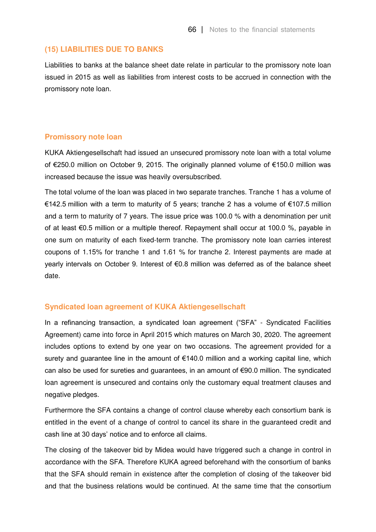#### **(15) LIABILITIES DUE TO BANKS**

Liabilities to banks at the balance sheet date relate in particular to the promissory note loan issued in 2015 as well as liabilities from interest costs to be accrued in connection with the promissory note loan.

## **Promissory note loan**

KUKA Aktiengesellschaft had issued an unsecured promissory note loan with a total volume of €250.0 million on October 9, 2015. The originally planned volume of €150.0 million was increased because the issue was heavily oversubscribed.

The total volume of the loan was placed in two separate tranches. Tranche 1 has a volume of €142.5 million with a term to maturity of 5 years; tranche 2 has a volume of €107.5 million and a term to maturity of 7 years. The issue price was 100.0 % with a denomination per unit of at least €0.5 million or a multiple thereof. Repayment shall occur at 100.0 %, payable in one sum on maturity of each fixed-term tranche. The promissory note loan carries interest coupons of 1.15% for tranche 1 and 1.61 % for tranche 2. Interest payments are made at yearly intervals on October 9. Interest of €0.8 million was deferred as of the balance sheet date.

## **Syndicated loan agreement of KUKA Aktiengesellschaft**

In a refinancing transaction, a syndicated loan agreement ("SFA" - Syndicated Facilities Agreement) came into force in April 2015 which matures on March 30, 2020. The agreement includes options to extend by one year on two occasions. The agreement provided for a surety and guarantee line in the amount of €140.0 million and a working capital line, which can also be used for sureties and guarantees, in an amount of €90.0 million. The syndicated loan agreement is unsecured and contains only the customary equal treatment clauses and negative pledges.

Furthermore the SFA contains a change of control clause whereby each consortium bank is entitled in the event of a change of control to cancel its share in the guaranteed credit and cash line at 30 days' notice and to enforce all claims.

The closing of the takeover bid by Midea would have triggered such a change in control in accordance with the SFA. Therefore KUKA agreed beforehand with the consortium of banks that the SFA should remain in existence after the completion of closing of the takeover bid and that the business relations would be continued. At the same time that the consortium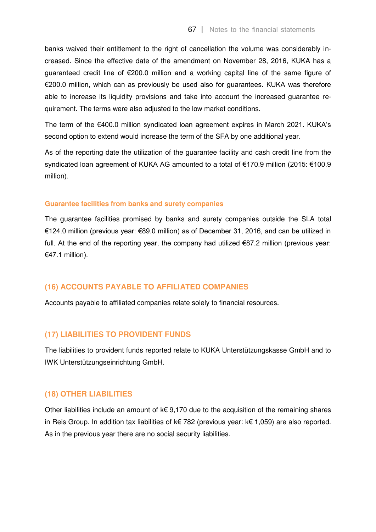banks waived their entitlement to the right of cancellation the volume was considerably increased. Since the effective date of the amendment on November 28, 2016, KUKA has a guaranteed credit line of €200.0 million and a working capital line of the same figure of €200.0 million, which can as previously be used also for guarantees. KUKA was therefore able to increase its liquidity provisions and take into account the increased guarantee requirement. The terms were also adjusted to the low market conditions.

The term of the €400.0 million syndicated loan agreement expires in March 2021. KUKA's second option to extend would increase the term of the SFA by one additional year.

As of the reporting date the utilization of the guarantee facility and cash credit line from the syndicated loan agreement of KUKA AG amounted to a total of €170.9 million (2015: €100.9 million).

#### **Guarantee facilities from banks and surety companies**

The guarantee facilities promised by banks and surety companies outside the SLA total €124.0 million (previous year: €89.0 million) as of December 31, 2016, and can be utilized in full. At the end of the reporting year, the company had utilized  $€87.2$  million (previous year: €47.1 million).

## **(16) ACCOUNTS PAYABLE TO AFFILIATED COMPANIES**

Accounts payable to affiliated companies relate solely to financial resources.

## **(17) LIABILITIES TO PROVIDENT FUNDS**

The liabilities to provident funds reported relate to KUKA Unterstützungskasse GmbH and to IWK Unterstützungseinrichtung GmbH.

## **(18) OTHER LIABILITIES**

Other liabilities include an amount of  $k \in 9,170$  due to the acquisition of the remaining shares in Reis Group. In addition tax liabilities of k€ 782 (previous year: k€ 1,059) are also reported. As in the previous year there are no social security liabilities.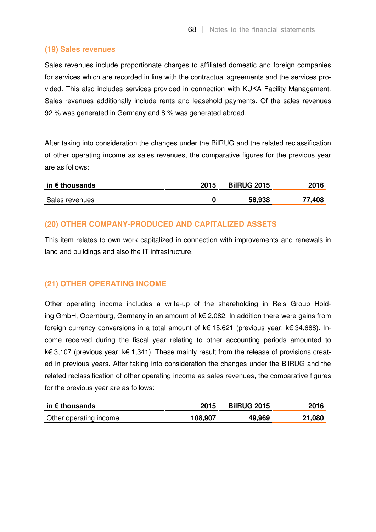## **(19) Sales revenues**

Sales revenues include proportionate charges to affiliated domestic and foreign companies for services which are recorded in line with the contractual agreements and the services provided. This also includes services provided in connection with KUKA Facility Management. Sales revenues additionally include rents and leasehold payments. Of the sales revenues 92 % was generated in Germany and 8 % was generated abroad.

After taking into consideration the changes under the BilRUG and the related reclassification of other operating income as sales revenues, the comparative figures for the previous year are as follows:

| in $\epsilon$ thousands | 2015 | <b>BilRUG 2015</b> | 2016   |
|-------------------------|------|--------------------|--------|
| Sales revenues          |      | 58,938             | 77,408 |

## **(20) OTHER COMPANY-PRODUCED AND CAPITALIZED ASSETS**

This item relates to own work capitalized in connection with improvements and renewals in land and buildings and also the IT infrastructure.

## **(21) OTHER OPERATING INCOME**

Other operating income includes a write-up of the shareholding in Reis Group Holding GmbH, Obernburg, Germany in an amount of k€ 2,082. In addition there were gains from foreign currency conversions in a total amount of k€ 15,621 (previous year: k€ 34,688). Income received during the fiscal year relating to other accounting periods amounted to k€ 3,107 (previous year: k€ 1,341). These mainly result from the release of provisions created in previous years. After taking into consideration the changes under the BilRUG and the related reclassification of other operating income as sales revenues, the comparative figures for the previous year are as follows:

| in $\epsilon$ thousands | 2015    | <b>BilRUG 2015</b> | 2016   |
|-------------------------|---------|--------------------|--------|
| Other operating income  | 108,907 | 49,969             | 21,080 |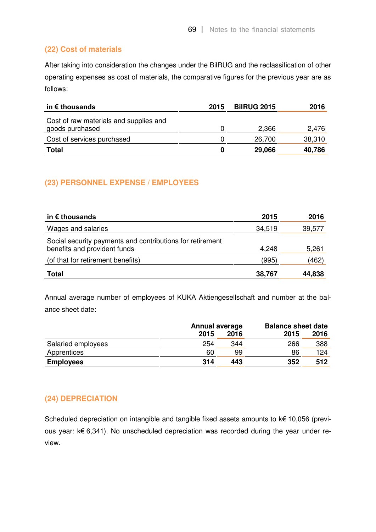## **(22) Cost of materials**

After taking into consideration the changes under the BilRUG and the reclassification of other operating expenses as cost of materials, the comparative figures for the previous year are as follows:

| in $\epsilon$ thousands                                   | 2015 | <b>BilRUG 2015</b> | 2016   |
|-----------------------------------------------------------|------|--------------------|--------|
| Cost of raw materials and supplies and<br>goods purchased |      | 2,366              | 2,476  |
| Cost of services purchased                                |      | 26,700             | 38,310 |
| <b>Total</b>                                              |      | 29,066             | 40,786 |

## **(23) PERSONNEL EXPENSE / EMPLOYEES**

| in $\epsilon$ thousands                                                                   | 2015   | 2016   |
|-------------------------------------------------------------------------------------------|--------|--------|
| Wages and salaries                                                                        | 34,519 | 39,577 |
| Social security payments and contributions for retirement<br>benefits and provident funds | 4,248  | 5,261  |
| (of that for retirement benefits)                                                         | (995)  | (462)  |
| <b>Total</b>                                                                              | 38,767 | 44,838 |

Annual average number of employees of KUKA Aktiengesellschaft and number at the balance sheet date:

|                    | <b>Annual average</b> |      | <b>Balance sheet date</b> |      |
|--------------------|-----------------------|------|---------------------------|------|
|                    | 2015                  | 2016 | 2015                      | 2016 |
| Salaried employees | 254                   | 344  | 266                       | 388  |
| Apprentices        | 60                    | 99   | 86                        | 124  |
| <b>Employees</b>   | 314                   | 443  | 352                       | 512  |

## **(24) DEPRECIATION**

Scheduled depreciation on intangible and tangible fixed assets amounts to k€ 10,056 (previous year: k€ 6,341). No unscheduled depreciation was recorded during the year under review.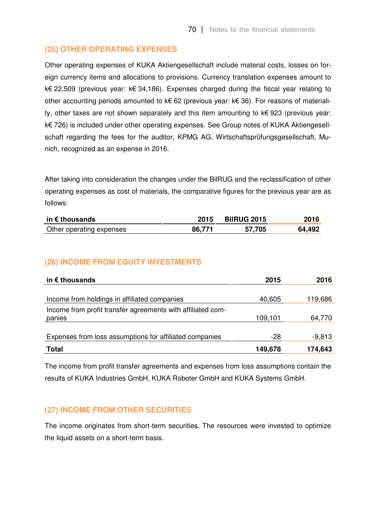#### **(25) OTHER OPERATING EXPENSES**

Other operating expenses of KUKA Aktiengesellschaft include material costs, losses on foreign currency items and allocations to provisions. Currency translation expenses amount to k€ 22,509 (previous year: k€ 34,186). Expenses charged during the fiscal year relating to other accounting periods amounted to k€ 62 (previous year: k€ 36). For reasons of materiality, other taxes are not shown separately and this item amounting to  $k \in \{923\}$  (previous year: k€ 726) is included under other operating expenses. See Group notes of KUKA Aktiengesellschaft regarding the fees for the auditor, KPMG AG, Wirtschaftsprüfungsgesellschaft, Munich, recognized as an expense in 2016.

After taking into consideration the changes under the BilRUG and the reclassification of other operating expenses as cost of materials, the comparative figures for the previous year are as follows:

| in $\epsilon$ thousands  | 2015   | <b>BilRUG 2015</b> | 2016   |
|--------------------------|--------|--------------------|--------|
| Other operating expenses | 86.771 | 57,705             | 64,492 |

#### **(26) INCOME FROM EQUITY INVESTMENTS**

| in $\epsilon$ thousands                                     | 2015    | 2016     |
|-------------------------------------------------------------|---------|----------|
|                                                             |         |          |
| Income from holdings in affiliated companies                | 40,605  | 119,686  |
| Income from profit transfer agreements with affiliated com- |         |          |
| panies                                                      | 109,101 | 64,770   |
|                                                             |         |          |
| Expenses from loss assumptions for affiliated companies     | -28     | $-9,813$ |
| <b>Total</b>                                                | 149,678 | 174,643  |

The income from profit transfer agreements and expenses from loss assumptions contain the results of KUKA Industries GmbH, KUKA Roboter GmbH and KUKA Systems GmbH.

#### **(27) INCOME FROM OTHER SECURITIES**

The income originates from short-term securities. The resources were invested to optimize the liquid assets on a short-term basis.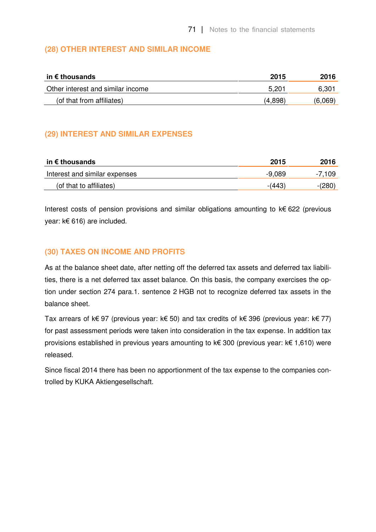### **(28) OTHER INTEREST AND SIMILAR INCOME**

| in € thousands                    | 2015    | 2016    |
|-----------------------------------|---------|---------|
| Other interest and similar income | 5,201   | 6,30'   |
| (of that from affiliates)         | (4.898) | (6,069) |

### **(29) INTEREST AND SIMILAR EXPENSES**

| in € thousands                | 2015     | 2016     |
|-------------------------------|----------|----------|
| Interest and similar expenses | $-9,089$ | -7,109   |
| (of that to affiliates)       | $-(443)$ | $-(280)$ |

Interest costs of pension provisions and similar obligations amounting to k€ 622 (previous year: k€ 616) are included.

### **(30) TAXES ON INCOME AND PROFITS**

As at the balance sheet date, after netting off the deferred tax assets and deferred tax liabilities, there is a net deferred tax asset balance. On this basis, the company exercises the option under section 274 para.1. sentence 2 HGB not to recognize deferred tax assets in the balance sheet.

Tax arrears of k€ 97 (previous year: k€ 50) and tax credits of k€ 396 (previous year: k€ 77) for past assessment periods were taken into consideration in the tax expense. In addition tax provisions established in previous years amounting to k€ 300 (previous year: k€ 1,610) were released.

Since fiscal 2014 there has been no apportionment of the tax expense to the companies controlled by KUKA Aktiengesellschaft.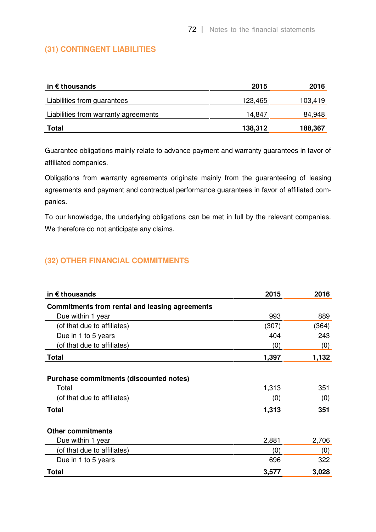### **(31) CONTINGENT LIABILITIES**

| in € thousands                       | 2015    | 2016    |
|--------------------------------------|---------|---------|
| Liabilities from guarantees          | 123,465 | 103,419 |
| Liabilities from warranty agreements | 14,847  | 84,948  |
| <b>Total</b>                         | 138,312 | 188,367 |

Guarantee obligations mainly relate to advance payment and warranty guarantees in favor of affiliated companies.

Obligations from warranty agreements originate mainly from the guaranteeing of leasing agreements and payment and contractual performance guarantees in favor of affiliated companies.

To our knowledge, the underlying obligations can be met in full by the relevant companies. We therefore do not anticipate any claims.

### **(32) OTHER FINANCIAL COMMITMENTS**

| in $\epsilon$ thousands                          | 2015  | 2016  |
|--------------------------------------------------|-------|-------|
| Commitments from rental and leasing agreements   |       |       |
| Due within 1 year                                | 993   | 889   |
| (of that due to affiliates)                      | (307) | (364) |
| Due in 1 to 5 years                              | 404   | 243   |
| (of that due to affiliates)                      | (0)   | (0)   |
| <b>Total</b>                                     | 1,397 | 1,132 |
| Purchase commitments (discounted notes)<br>Total | 1,313 | 351   |
| (of that due to affiliates)                      | (0)   | (0)   |
|                                                  |       |       |
| <b>Total</b>                                     | 1,313 | 351   |
| <b>Other commitments</b>                         |       |       |
| Due within 1 year                                | 2,881 | 2,706 |
| (of that due to affiliates)                      | (0)   | (0)   |
| Due in 1 to 5 years                              | 696   | 322   |
| <b>Total</b>                                     | 3,577 | 3,028 |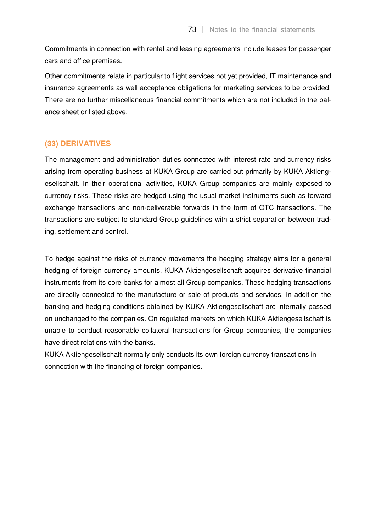Commitments in connection with rental and leasing agreements include leases for passenger cars and office premises.

Other commitments relate in particular to flight services not yet provided, IT maintenance and insurance agreements as well acceptance obligations for marketing services to be provided. There are no further miscellaneous financial commitments which are not included in the balance sheet or listed above.

#### **(33) DERIVATIVES**

The management and administration duties connected with interest rate and currency risks arising from operating business at KUKA Group are carried out primarily by KUKA Aktiengesellschaft. In their operational activities, KUKA Group companies are mainly exposed to currency risks. These risks are hedged using the usual market instruments such as forward exchange transactions and non-deliverable forwards in the form of OTC transactions. The transactions are subject to standard Group guidelines with a strict separation between trading, settlement and control.

To hedge against the risks of currency movements the hedging strategy aims for a general hedging of foreign currency amounts. KUKA Aktiengesellschaft acquires derivative financial instruments from its core banks for almost all Group companies. These hedging transactions are directly connected to the manufacture or sale of products and services. In addition the banking and hedging conditions obtained by KUKA Aktiengesellschaft are internally passed on unchanged to the companies. On regulated markets on which KUKA Aktiengesellschaft is unable to conduct reasonable collateral transactions for Group companies, the companies have direct relations with the banks.

KUKA Aktiengesellschaft normally only conducts its own foreign currency transactions in connection with the financing of foreign companies.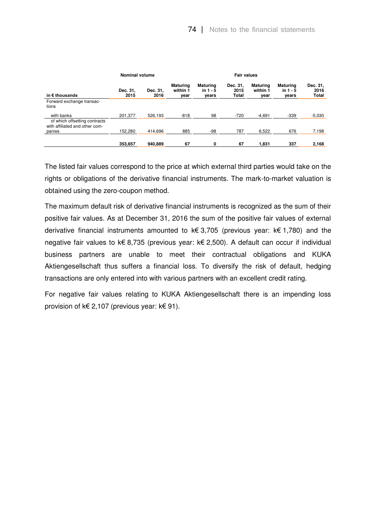|                                                                           | Nominal volume   |                  |                                     |                                        | <b>Fair values</b>        |                                     |                                        |                           |
|---------------------------------------------------------------------------|------------------|------------------|-------------------------------------|----------------------------------------|---------------------------|-------------------------------------|----------------------------------------|---------------------------|
| in $\epsilon$ thousands                                                   | Dec. 31,<br>2015 | Dec. 31,<br>2016 | <b>Maturing</b><br>within 1<br>year | <b>Maturing</b><br>in $1 - 5$<br>years | Dec. 31,<br>2015<br>Total | <b>Maturing</b><br>within 1<br>year | <b>Maturing</b><br>in $1 - 5$<br>years | Dec. 31,<br>2016<br>Total |
| Forward exchange transac-<br>tions                                        |                  |                  |                                     |                                        |                           |                                     |                                        |                           |
| with banks                                                                | 201.377          | 526.193          | $-818$                              | 98                                     | $-720$                    | $-4.691$                            | $-339$                                 | $-5,030$                  |
| of which offsetting contracts<br>with affiliated and other com-<br>panies | 152.280          | 414.696          | 885                                 | -98                                    | 787                       | 6.522                               | 676                                    | 7,198                     |
|                                                                           | 353.657          | 940.889          | 67                                  | 0                                      | 67                        | 1.831                               | 337                                    | 2,168                     |

The listed fair values correspond to the price at which external third parties would take on the rights or obligations of the derivative financial instruments. The mark-to-market valuation is obtained using the zero-coupon method.

The maximum default risk of derivative financial instruments is recognized as the sum of their positive fair values. As at December 31, 2016 the sum of the positive fair values of external derivative financial instruments amounted to k€ 3,705 (previous year: k€ 1,780) and the negative fair values to k€ 8,735 (previous year: k€ 2,500). A default can occur if individual business partners are unable to meet their contractual obligations and KUKA Aktiengesellschaft thus suffers a financial loss. To diversify the risk of default, hedging transactions are only entered into with various partners with an excellent credit rating.

For negative fair values relating to KUKA Aktiengesellschaft there is an impending loss provision of k€ 2,107 (previous year: k€ 91).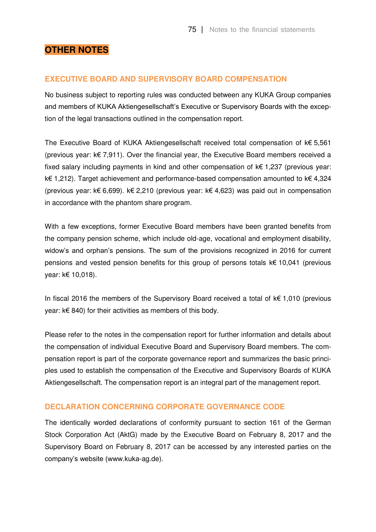## **OTHER NOTES**

#### **EXECUTIVE BOARD AND SUPERVISORY BOARD COMPENSATION**

No business subject to reporting rules was conducted between any KUKA Group companies and members of KUKA Aktiengesellschaft's Executive or Supervisory Boards with the exception of the legal transactions outlined in the compensation report.

The Executive Board of KUKA Aktiengesellschaft received total compensation of k€ 5,561 (previous year: k€ 7,911). Over the financial year, the Executive Board members received a fixed salary including payments in kind and other compensation of  $k \in 1,237$  (previous year: k€ 1,212). Target achievement and performance-based compensation amounted to k€ 4,324 (previous year: k€ 6,699). k€ 2,210 (previous year: k€ 4,623) was paid out in compensation in accordance with the phantom share program.

With a few exceptions, former Executive Board members have been granted benefits from the company pension scheme, which include old-age, vocational and employment disability, widow's and orphan's pensions. The sum of the provisions recognized in 2016 for current pensions and vested pension benefits for this group of persons totals k€ 10,041 (previous year: k€ 10,018).

In fiscal 2016 the members of the Supervisory Board received a total of k€ 1,010 (previous year: k€ 840) for their activities as members of this body.

Please refer to the notes in the compensation report for further information and details about the compensation of individual Executive Board and Supervisory Board members. The compensation report is part of the corporate governance report and summarizes the basic principles used to establish the compensation of the Executive and Supervisory Boards of KUKA Aktiengesellschaft. The compensation report is an integral part of the management report.

#### **DECLARATION CONCERNING CORPORATE GOVERNANCE CODE**

The identically worded declarations of conformity pursuant to section 161 of the German Stock Corporation Act (AktG) made by the Executive Board on February 8, 2017 and the Supervisory Board on February 8, 2017 can be accessed by any interested parties on the company's website (www.kuka-ag.de).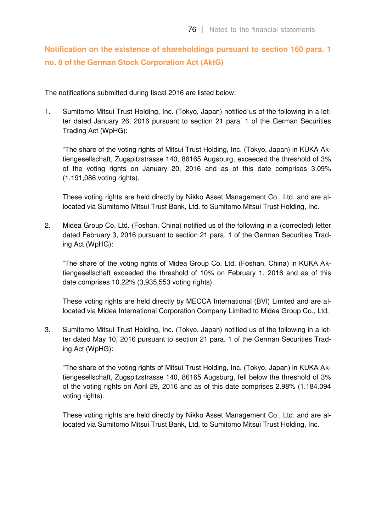# **Notification on the existence of shareholdings pursuant to section 160 para. 1 no. 8 of the German Stock Corporation Act (AktG)**

The notifications submitted during fiscal 2016 are listed below:

1. Sumitomo Mitsui Trust Holding, Inc. (Tokyo, Japan) notified us of the following in a letter dated January 26, 2016 pursuant to section 21 para. 1 of the German Securities Trading Act (WpHG):

"The share of the voting rights of Mitsui Trust Holding, Inc. (Tokyo, Japan) in KUKA Aktiengesellschaft, Zugspitzstrasse 140, 86165 Augsburg, exceeded the threshold of 3% of the voting rights on January 20, 2016 and as of this date comprises 3.09% (1,191,086 voting rights).

These voting rights are held directly by Nikko Asset Management Co., Ltd. and are allocated via Sumitomo Mitsui Trust Bank, Ltd. to Sumitomo Mitsui Trust Holding, Inc.

2. Midea Group Co. Ltd. (Foshan, China) notified us of the following in a (corrected) letter dated February 3, 2016 pursuant to section 21 para. 1 of the German Securities Trading Act (WpHG):

"The share of the voting rights of Midea Group Co. Ltd. (Foshan, China) in KUKA Aktiengesellschaft exceeded the threshold of 10% on February 1, 2016 and as of this date comprises 10.22% (3,935,553 voting rights).

These voting rights are held directly by MECCA International (BVI) Limited and are allocated via Midea International Corporation Company Limited to Midea Group Co., Ltd.

3. Sumitomo Mitsui Trust Holding, Inc. (Tokyo, Japan) notified us of the following in a letter dated May 10, 2016 pursuant to section 21 para. 1 of the German Securities Trading Act (WpHG):

"The share of the voting rights of Mitsui Trust Holding, Inc. (Tokyo, Japan) in KUKA Aktiengesellschaft, Zugspitzstrasse 140, 86165 Augsburg, fell below the threshold of 3% of the voting rights on April 29, 2016 and as of this date comprises 2.98% (1.184.094 voting rights).

These voting rights are held directly by Nikko Asset Management Co., Ltd. and are allocated via Sumitomo Mitsui Trust Bank, Ltd. to Sumitomo Mitsui Trust Holding, Inc.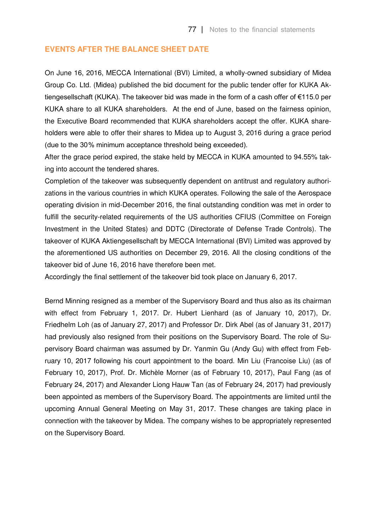#### **EVENTS AFTER THE BALANCE SHEET DATE**

On June 16, 2016, MECCA International (BVI) Limited, a wholly-owned subsidiary of Midea Group Co. Ltd. (Midea) published the bid document for the public tender offer for KUKA Aktiengesellschaft (KUKA). The takeover bid was made in the form of a cash offer of €115.0 per KUKA share to all KUKA shareholders. At the end of June, based on the fairness opinion, the Executive Board recommended that KUKA shareholders accept the offer. KUKA shareholders were able to offer their shares to Midea up to August 3, 2016 during a grace period (due to the 30% minimum acceptance threshold being exceeded).

After the grace period expired, the stake held by MECCA in KUKA amounted to 94.55% taking into account the tendered shares.

Completion of the takeover was subsequently dependent on antitrust and regulatory authorizations in the various countries in which KUKA operates. Following the sale of the Aerospace operating division in mid-December 2016, the final outstanding condition was met in order to fulfill the security-related requirements of the US authorities CFIUS (Committee on Foreign Investment in the United States) and DDTC (Directorate of Defense Trade Controls). The takeover of KUKA Aktiengesellschaft by MECCA International (BVI) Limited was approved by the aforementioned US authorities on December 29, 2016. All the closing conditions of the takeover bid of June 16, 2016 have therefore been met.

Accordingly the final settlement of the takeover bid took place on January 6, 2017.

Bernd Minning resigned as a member of the Supervisory Board and thus also as its chairman with effect from February 1, 2017. Dr. Hubert Lienhard (as of January 10, 2017), Dr. Friedhelm Loh (as of January 27, 2017) and Professor Dr. Dirk Abel (as of January 31, 2017) had previously also resigned from their positions on the Supervisory Board. The role of Supervisory Board chairman was assumed by Dr. Yanmin Gu (Andy Gu) with effect from February 10, 2017 following his court appointment to the board. Min Liu (Francoise Liu) (as of February 10, 2017), Prof. Dr. Michèle Morner (as of February 10, 2017), Paul Fang (as of February 24, 2017) and Alexander Liong Hauw Tan (as of February 24, 2017) had previously been appointed as members of the Supervisory Board. The appointments are limited until the upcoming Annual General Meeting on May 31, 2017. These changes are taking place in connection with the takeover by Midea. The company wishes to be appropriately represented on the Supervisory Board.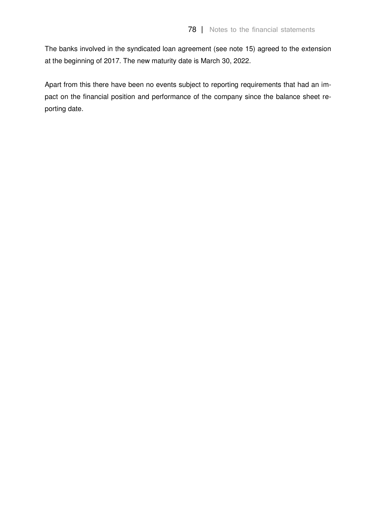The banks involved in the syndicated loan agreement (see note 15) agreed to the extension at the beginning of 2017. The new maturity date is March 30, 2022.

Apart from this there have been no events subject to reporting requirements that had an impact on the financial position and performance of the company since the balance sheet reporting date.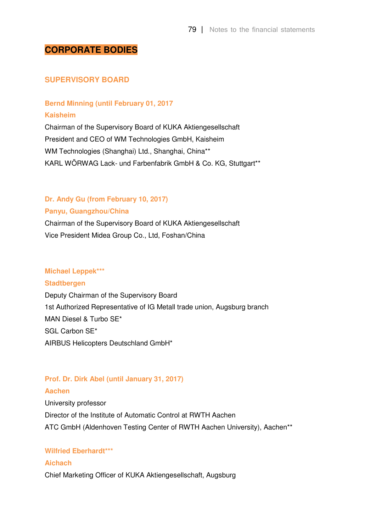### **CORPORATE BODIES**

#### **SUPERVISORY BOARD**

# **Bernd Minning (until February 01, 2017**

**Kaisheim** 

Chairman of the Supervisory Board of KUKA Aktiengesellschaft President and CEO of WM Technologies GmbH, Kaisheim WM Technologies (Shanghai) Ltd., Shanghai, China\*\* KARL WÖRWAG Lack- und Farbenfabrik GmbH & Co. KG, Stuttgart\*\*

#### **Dr. Andy Gu (from February 10, 2017)**

#### **Panyu, Guangzhou/China**

Chairman of the Supervisory Board of KUKA Aktiengesellschaft Vice President Midea Group Co., Ltd, Foshan/China

#### **Michael Leppek\*\*\***

#### **Stadtbergen**

Deputy Chairman of the Supervisory Board 1st Authorized Representative of IG Metall trade union, Augsburg branch MAN Diesel & Turbo SE\* SGL Carbon SE\* AIRBUS Helicopters Deutschland GmbH\*

#### **Prof. Dr. Dirk Abel (until January 31, 2017)**

#### **Aachen**

University professor Director of the Institute of Automatic Control at RWTH Aachen ATC GmbH (Aldenhoven Testing Center of RWTH Aachen University), Aachen\*\*

#### **Wilfried Eberhardt\*\*\***

#### **Aichach**

Chief Marketing Officer of KUKA Aktiengesellschaft, Augsburg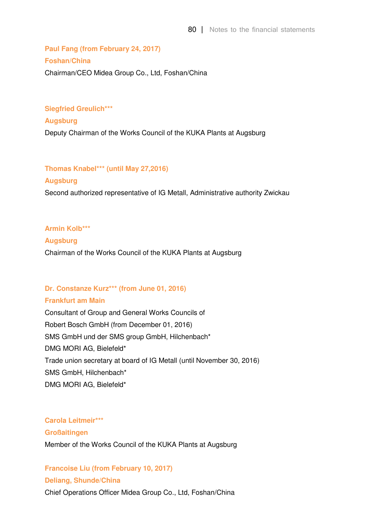# **Paul Fang (from February 24, 2017) Foshan/China**  Chairman/CEO Midea Group Co., Ltd, Foshan/China

#### **Siegfried Greulich\*\*\***

**Augsburg**  Deputy Chairman of the Works Council of the KUKA Plants at Augsburg

#### **Thomas Knabel\*\*\* (until May 27,2016)**

#### **Augsburg**

Second authorized representative of IG Metall, Administrative authority Zwickau

**Armin Kolb\*\*\*** 

#### **Augsburg**

Chairman of the Works Council of the KUKA Plants at Augsburg

#### **Dr. Constanze Kurz\*\*\* (from June 01, 2016)**

#### **Frankfurt am Main**

Consultant of Group and General Works Councils of Robert Bosch GmbH (from December 01, 2016) SMS GmbH und der SMS group GmbH, Hilchenbach\* DMG MORI AG, Bielefeld\* Trade union secretary at board of IG Metall (until November 30, 2016) SMS GmbH, Hilchenbach\* DMG MORI AG, Bielefeld\*

**Carola Leitmeir\*\*\* Großaitingen**  Member of the Works Council of the KUKA Plants at Augsburg

**Francoise Liu (from February 10, 2017) Deliang, Shunde/China**  Chief Operations Officer Midea Group Co., Ltd, Foshan/China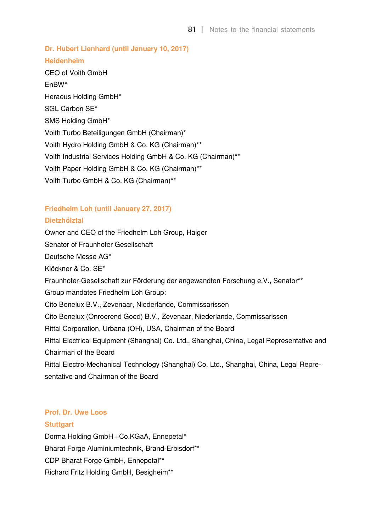81 | Notes to the financial statements

**Dr. Hubert Lienhard (until January 10, 2017) Heidenheim**  CEO of Voith GmbH EnBW\* Heraeus Holding GmbH\* SGL Carbon SE\* SMS Holding GmbH\* Voith Turbo Beteiligungen GmbH (Chairman)\* Voith Hydro Holding GmbH & Co. KG (Chairman)\*\* Voith Industrial Services Holding GmbH & Co. KG (Chairman)\*\* Voith Paper Holding GmbH & Co. KG (Chairman)\*\* Voith Turbo GmbH & Co. KG (Chairman)\*\*

#### **Friedhelm Loh (until January 27, 2017)**

#### **Dietzhölztal**

Owner and CEO of the Friedhelm Loh Group, Haiger Senator of Fraunhofer Gesellschaft Deutsche Messe AG\* Klöckner & Co. SE\* Fraunhofer-Gesellschaft zur Förderung der angewandten Forschung e.V., Senator\*\* Group mandates Friedhelm Loh Group: Cito Benelux B.V., Zevenaar, Niederlande, Commissarissen Cito Benelux (Onroerend Goed) B.V., Zevenaar, Niederlande, Commissarissen Rittal Corporation, Urbana (OH), USA, Chairman of the Board Rittal Electrical Equipment (Shanghai) Co. Ltd., Shanghai, China, Legal Representative and Chairman of the Board Rittal Electro-Mechanical Technology (Shanghai) Co. Ltd., Shanghai, China, Legal Representative and Chairman of the Board

# **Prof. Dr. Uwe Loos**

#### **Stuttgart**

Dorma Holding GmbH +Co.KGaA, Ennepetal\* Bharat Forge Aluminiumtechnik, Brand-Erbisdorf\*\* CDP Bharat Forge GmbH, Ennepetal\*\* Richard Fritz Holding GmbH, Besigheim\*\*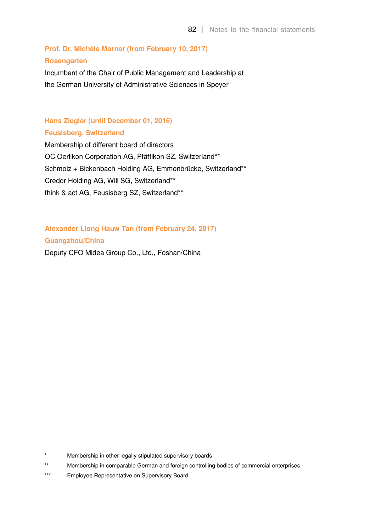# **Prof. Dr. Michèle Morner (from February 10, 2017) Rosengarten**

Incumbent of the Chair of Public Management and Leadership at the German University of Administrative Sciences in Speyer

### **Hans Ziegler (until December 01, 2016) Feusisberg, Switzerland**

Membership of different board of directors OC Oerlikon Corporation AG, Pfäffikon SZ, Switzerland\*\* Schmolz + Bickenbach Holding AG, Emmenbrücke, Switzerland\*\* Credor Holding AG, Will SG, Switzerland\*\* think & act AG, Feusisberg SZ, Switzerland\*\*

**Alexander Liong Hauw Tan (from February 24, 2017) Guangzhou/China** 

Deputy CFO Midea Group Co., Ltd., Foshan/China

Membership in other legally stipulated supervisory boards

<sup>\*\*</sup> Membership in comparable German and foreign controlling bodies of commercial enterprises

<sup>\*\*\*</sup> Employee Representative on Supervisory Board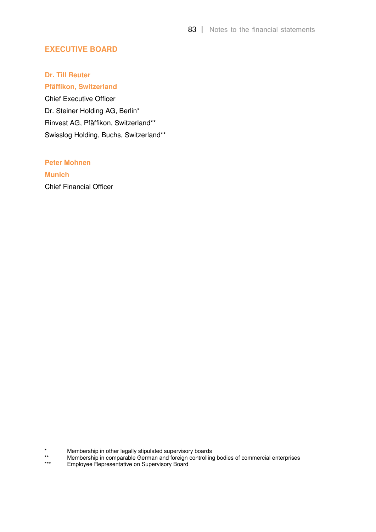### **EXECUTIVE BOARD**

#### **Dr. Till Reuter**

**Pfäffikon, Switzerland**  Chief Executive Officer Dr. Steiner Holding AG, Berlin\* Rinvest AG, Pfäffikon, Switzerland\*\* Swisslog Holding, Buchs, Switzerland\*\*

#### **Peter Mohnen**

**Munich**  Chief Financial Officer

\* Membership in other legally stipulated supervisory boards

\*\* Membership in comparable German and foreign controlling bodies of commercial enterprises

Employee Representative on Supervisory Board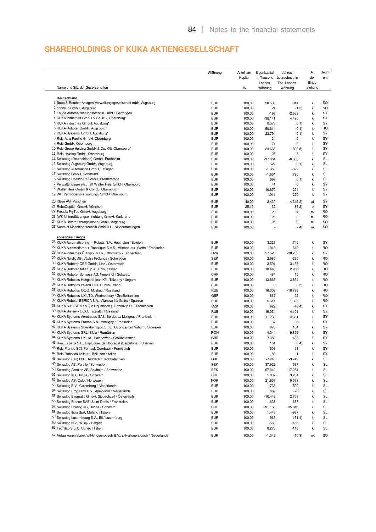### **SHAREHOLDINGS OF KUKA AKTIENGESELLSCHAFT**

|                                                                            | Währung    | Anteil am<br>Kapital | Eigenkapital<br>in Tausend<br>Landes- | Jahres-<br>überschuss in<br>Tsd. Landes- | Art<br>der<br>Einbe- | Segm<br>ent |
|----------------------------------------------------------------------------|------------|----------------------|---------------------------------------|------------------------------------------|----------------------|-------------|
| Name und Sitz der Gesellschaften                                           |            | $\%$                 | währung                               | währung                                  | ziehung              |             |
| Deutschland                                                                |            |                      |                                       |                                          |                      |             |
| 1 Bopp & Reuther Anlagen-Verwaltungsgesellschaft mbH, Augsburg             | <b>EUR</b> | 100,00               | 20.530                                | 814                                      | k                    | SO          |
| 2 connyun GmbH, Augsburg                                                   | <b>EUR</b> | 100,00               | 24                                    | $-1$ 5)                                  | k                    | SO          |
| 3 Faude Automatisierungstechnik GmbH, Gärtringen                           | <b>EUR</b> | 100,00               | $-199$                                | $-2.563$                                 | $\sf k$              | SY          |
| 4 KUKA Industries GmbH & Co. KG, Obernburg*                                | <b>EUR</b> | 100,00               | $-38.141$                             | 4.420                                    | k                    | SY          |
| 5 KUKA Industries GmbH, Augsburg*                                          | <b>EUR</b> | 100,00               | 8.573                                 | 01)                                      | k                    | SY          |
| 6 KUKA Roboter GmbH, Augsburg*                                             | <b>EUR</b> | 100,00               | 50.614                                | 01)                                      | k                    | <b>RO</b>   |
| 7 KUKA Systems GmbH, Augsburg*                                             | <b>EUR</b> | 100,00               | 23.794                                | 01)                                      | k                    | SY          |
| 8 Reis Asia Pacific GmbH, Obernburg                                        | <b>EUR</b> | 100,00               | 24                                    | 0                                        | k                    | SY          |
| 9 Reis GmbH, Obernburg                                                     | <b>EUR</b> | 100,00               | 71                                    | 0                                        | $\sf k$              | SY          |
| 10 Reis Group Holding GmbH & Co. KG, Obernburg*                            | <b>EUR</b> | 100,00               | 24.666                                | $-8925$                                  | k                    | SY          |
| 11 Reis Holding GmbH, Obernburg                                            | <b>EUR</b> | 100,00               | 25                                    | -7                                       | k                    | SY          |
| 12 Swisslog (Deutschland) GmbH, Puchheim                                   | <b>EUR</b> | 100,00               | $-97.054$                             | $-6.363$                                 | $\sf k$              | <b>SL</b>   |
| 13 Swisslog Augsburg GmbH, Augsburg                                        | <b>EUR</b> | 100,00               | 529                                   | 01)                                      | k                    | SL          |
| 14 Swisslog Automation GmbH, Ettlingen                                     | <b>EUR</b> | 100,00               | $-1.358$                              | $-322$                                   | k                    | <b>SL</b>   |
| 15 Swisslog GmbH, Dortmund                                                 | <b>EUR</b> | 100,00               | $-1.654$                              | 790                                      | k                    | <b>SL</b>   |
| 16 Swisslog Healthcare GmbH, Westerstede                                   | <b>EUR</b> | 100,00               | 699                                   | 01)                                      | k                    | SL          |
| 17 Verwaltungsgesellschaft Walter Reis GmbH, Obernburg                     | <b>EUR</b> | 100,00               | 41                                    | 0                                        | k                    | SY          |
| 18 Walter Reis GmbH & Co KG, Obernburg*                                    | <b>EUR</b> | 100,00               | 10.670                                | 254                                      | $\sf k$              | SY          |
| 19 WR Vermögensverwaltungs GmbH, Obernburg                                 | <b>EUR</b> | 100,00               | 1.911                                 | $-270$                                   | k                    | SY          |
| 20 KBee AG, München                                                        | <b>EUR</b> | 40,00                | 2.430                                 | $-4.3152$                                | at                   | SY          |
| 21 RoboCeption GmbH, München                                               | <b>EUR</b> | 25,10                | 132                                   | $-852$                                   | b                    | SY          |
| 22 Freadix FryTec GmbH, Augsburg                                           | <b>EUR</b> | 100,00               | 20                                    | $-4$                                     | nk                   | <b>RO</b>   |
| 23 IWK Unterstützungseinrichtung GmbH, Karlsruhe                           | <b>EUR</b> | 100,00               | 26                                    | 0                                        | nk                   | RO          |
| 24 KUKA Unterstützungskasse GmbH, Augsburg                                 | <b>EUR</b> | 100,00               | 25                                    | 0                                        | nk                   | SO          |
| 25 Schmidt Maschinentechnik GmbH i.L., Niederstotzingen                    | <b>EUR</b> | 100,00               |                                       | $- 4)$                                   | nk                   | SO          |
|                                                                            |            |                      |                                       |                                          |                      |             |
| sonstiges Europa                                                           |            |                      |                                       |                                          |                      |             |
| 26 KUKA Automatisering + Robots N.V., Houthalen / Belgien                  | <b>EUR</b> | 100,00               | 3.221                                 | 745                                      | k                    | SY          |
| 27 KUKA Automatisme + Robotique S.A.S., Villebon-sur-Yvette / Frankreich   | <b>EUR</b> | 100,00               | 1.913                                 | 612                                      | $\sf k$              | <b>RO</b>   |
| 28 KUKA Industries ČR spol. s r.o., Chomutov / Tschechien                  | CZK        | 100,00               | 57.528                                | $-38.289$                                | k                    | SY          |
| 29 KUKA Nordic AB, Västra Frölunda / Schweden                              | <b>SEK</b> | 100,00               | 2.985                                 | $-295$                                   | k                    | RO          |
| 30 KUKA Roboter CEE GmbH, Linz / Österreich                                | <b>EUR</b> | 100,00               | 3.591                                 | 3.136                                    | k                    | <b>RO</b>   |
| 31 KUKA Roboter Italia S.p.A., Rivoli / Italien                            | <b>EUR</b> | 100,00               | 10.443                                | 2.955                                    | k                    | RO          |
| 32 KUKA Roboter Schweiz AG, Neuenhof / Schweiz                             | CHF        | 100,00               | 484                                   | 15                                       | $\sf k$              | <b>RO</b>   |
| 33 KUKA Robotics Hungária Ipari Kft., Taksony / Ungarn                     | <b>EUR</b> | 100,00               | 13.865                                | 3.864                                    | k                    | <b>RO</b>   |
| 34 KUKA Robotics Ireland LTD, Dublin / Irland                              | <b>EUR</b> | 100,00               | 0                                     | 0.5)                                     | k                    | RO          |
| 35 KUKA Robotics OOO, Moskau / Russland                                    | <b>RUB</b> | 100,00               | 16.303                                | $-16.789$                                | k                    | RO          |
| 36 KUKA Robotics UK LTD, Wednesbury / Großbritannien                       | GBP        | 100,00               | 867                                   | 22                                       | k                    | RO          |
| 37 KUKA Robots IBÉRICA S.A., Vilanova i la Geltrú / Spanien                | <b>EUR</b> | 100,00               | 5.611                                 | 1.326                                    | k                    | <b>RO</b>   |
| 38 KUKA S-BASE s.r.o. (in Liquidation), Roznov p.R. / Tschechien           | CZK        | 100,00               | 922                                   | $-464$                                   | k                    | SY          |
| 39 KUKA Sistemy OOO, Togliatti / Russland                                  | <b>RUB</b> | 100,00               | 19.054                                | $-4.101$                                 | k                    | SY          |
| 40 KUKA Systems Aerospace SAS, Bordeaux-Merignac / Frankreich              | <b>EUR</b> | 100,00               | 11.233                                | 4.381                                    | k                    | SY          |
| 41 KUKA Systems France S.A., Montigny / Frankreich                         | <b>EUR</b> | 100,00               | 37                                    | 36                                       | k                    | SY          |
| 42 KUKA Systems Slowakei, spol. S r.o., Dubnica nad Váhom / Slowakei       | <b>EUR</b> | 100,00               | 875                                   | 104                                      | k                    | SY          |
| 43 KUKA Systems SRL, Sibiu / Rumänien                                      | <b>RON</b> | 100,00               | $-4.044$                              | $-9.899$                                 | k                    | SY          |
| 44 KUKA Systems UK Ltd., Halesowen / Großbritannien                        | <b>GBP</b> | 100,00               | 7.389                                 | 438                                      | k                    | SY          |
| 45 Reis Espana S.L., Esplugues de Llobregat (Barcelona) / Spanien          | <b>EUR</b> | 100,00               | 151                                   | 04)                                      | k                    | SY          |
| 46 Reis France SCI. Pontault Combault / Frankreich                         |            |                      |                                       |                                          | k                    | SY          |
| 47 Reis Robotics Italia srl, Bellusco / Italien                            | <b>EUR</b> | 100,00               | 501                                   | 13                                       |                      |             |
|                                                                            | <b>EUR</b> | 100,00               | 180                                   | 1                                        | k                    | SY          |
| 48 Swisslog (UK) Ltd., Redditch / Großbritannien                           | GBP        | 100,00               | $-7.943$                              | $-3.749$                                 | k                    | SL          |
| 49 Swisslog AB, Partille / Schweden                                        | <b>SEK</b> | 100,00               | 37.922                                | 567                                      | k                    | SL          |
| 50 Swisslog Accalon AB, Boxholm / Schweden                                 | <b>SEK</b> | 100,00               | 67.340                                | 17.254                                   | k                    | <b>SL</b>   |
| 51 Swisslog AG, Buchs / Schweiz                                            | CHF        | 100,00               | 5.832                                 | 3.264                                    | k                    | SL          |
| 52 Swisslog AS, Oslo / Norwegen                                            | <b>NOK</b> | 100,00               | 21.636                                | 9.573                                    | k                    | SL          |
| 53 Swisslog B.V., Culemborg / Niederlande                                  | <b>EUR</b> | 100,00               | 1.733                                 | 520                                      | k                    | SL          |
| 54 Swisslog Ergotrans B.V., Apeldoorn / Niederlande                        | <b>EUR</b> | 100,00               | 869                                   | $-76$                                    | k                    | SL          |
| 55 Swisslog Evomatic GmbH, Sipbachzell / Österreich                        | <b>EUR</b> | 100,00               | $-10.442$                             | 2.758                                    | k                    | <b>SL</b>   |
| 56 Swisslog France SAS, Saint-Denis / Frankreich                           | <b>EUR</b> | 100,00               | $-1.638$                              | 667                                      | k                    | SL          |
| 57 Swisslog Holding AG, Buchs / Schweiz                                    | CHF        | 100,00               | 291.166                               | 35.810                                   | k                    | SL          |
| 58 Swisslog Italia SpA, Mailand / Italien                                  | <b>EUR</b> | 100,00               | 1.443                                 | $-987$                                   | k                    | SL          |
| 59 Swisslog Luxembourg S.A., Ell / Luxemburg                               | <b>EUR</b> | 100,00               | $-963$                                | 1614)                                    | k                    | SL          |
| 60 Swisslog N.V., Wilrijk / Belgien                                        |            |                      |                                       |                                          |                      |             |
| 61 Tecnilab S.p.A., Cuneo / Italien                                        | <b>EUR</b> | 100,00               | $-566$                                | $-456$                                   | k                    | SL<br>SL    |
|                                                                            | <b>EUR</b> | 100,00               | 8.275                                 | $-110$                                   | k                    |             |
| 62 Metaalwarenfabriek 's-Hertogenbosch B.V., s-Hertogenbosch / Niederlande | <b>EUR</b> | 100,00               | $-1.042$                              | $-103$                                   | nk                   | SO          |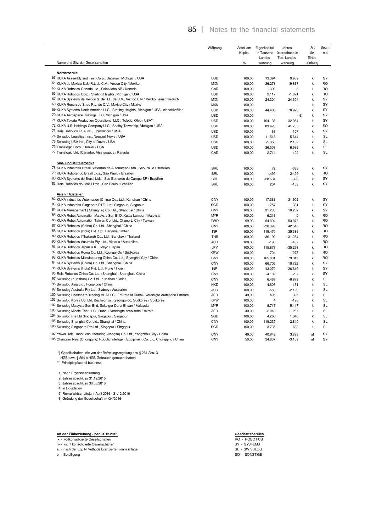### 85 | Notes to the financial statements

|                                                                                           | Währung    | Anteil am<br>Kapital | Eigenkapital<br>in Tausend<br>Landes- | Jahres-<br>überschuss in<br>Tsd. Landes- | Art<br>der<br>Einbe- | Segm<br>ent |
|-------------------------------------------------------------------------------------------|------------|----------------------|---------------------------------------|------------------------------------------|----------------------|-------------|
| Name und Sitz der Gesellschaften                                                          |            | $\%$                 | währung                               | währung                                  | ziehung              |             |
| Nordamerika                                                                               |            |                      |                                       |                                          |                      |             |
| 63 KUKA Assembly and Test Corp., Saginaw, Michigan / USA                                  | <b>USD</b> | 100,00               | 13.394                                | 9.989                                    | k                    | SY          |
| 64 KUKA de Mexico S.de R.L.de C.V., Mexico City / Mexiko                                  | <b>MXN</b> | 100,00               | 36.271                                | 19.867                                   | k                    | <b>RO</b>   |
| 65 KUKA Robotics Canada Ltd., Saint John NB / Kanada                                      | CAD        | 100,00               | 1.392                                 | 6                                        | k                    | RO          |
| 66 KUKA Robotics Corp., Sterling Heights, Michigan / USA                                  | <b>USD</b> | 100,00               | 2.117                                 | $-1.021$                                 | k                    | <b>RO</b>   |
| 67 KUKA Systems de Mexico S. de R.L. de C.V., Mexico City / Mexiko, einschließlich        | <b>MXN</b> | 100,00               | 24.304                                | 24.304                                   | k                    | SY          |
| 68 KUKA Recursos S. de R.L. de C.V., Mexico City / Mexiko                                 | <b>MXN</b> | 100,00               |                                       |                                          | k                    | SY          |
| 69 KUKA Systems North America LLC., Sterling Heights, Michigan / USA, einschließlich      | <b>USD</b> | 100,00               | 44.406                                | 76.928                                   | k                    | SY          |
| 70 KUKA Aerospace Holdings LLC, Michigan / USA                                            | <b>USD</b> | 100,00               |                                       | $-6)$                                    | k                    | SY          |
| 71 KUKA Toledo Production Operations, LLC., Toledo, Ohio / USA**                          | <b>USD</b> | 100,00               | 104.136                               | 32.954                                   | k                    | SY          |
| 72 KUKA U.S. Holdings Company LLC., Shelby Township, Michigan / USA                       | <b>USD</b> | 100,00               | 83.470                                | 41.735                                   | k                    | SO          |
| 73 Reis Robotics USA Inc., Elgin/Illinois / USA                                           | <b>USD</b> | 100,00               | $-68$                                 | 107                                      | k                    | SY          |
| 74 Swisslog Logistics, Inc., Newport News / USA                                           | <b>USD</b> | 100,00               | 11.518                                | 5.644                                    | k                    | <b>SL</b>   |
| 75 Swisslog USA Inc., City of Dover / USA                                                 | <b>USD</b> | 100,00               | $-5.360$                              | 2.182                                    | k                    | SL          |
| 76 Translogic Corp., Denver / USA                                                         | <b>USD</b> | 100,00               | 36.503                                | 6.986                                    | k                    | <b>SL</b>   |
| 77 Translogic Ltd. (Canada), Mississauga / Kanada                                         | CAD        | 100,00               | 2.714                                 | 422                                      | k                    | <b>SL</b>   |
| Süd- und Mittelamerika                                                                    |            |                      |                                       |                                          |                      |             |
| 78 KUKA Industries Brasil Sistemas de Automoção Ltda., Sao Paulo / Brasilien              | <b>BRL</b> | 100,00               | 72                                    | $-336$                                   | k                    | SY          |
| 79 KUKA Roboter do Brasil Ltda., Sao Paulo / Brasilien                                    | <b>BRL</b> | 100,00               | $-1.499$                              | $-2.429$                                 | k                    | RO          |
| 80 KUKA Systems do Brasil Ltda., Sao Bernardo do Campo SP / Brasilien                     | <b>BRL</b> | 100,00               | $-28.634$                             | $-326$                                   | k                    | SY          |
| 81 Reis Robotics do Brasil Ltda., Sao Paulo / Brasilien                                   | <b>BRL</b> | 100,00               | 204                                   | $-153$                                   | k                    | SY          |
| Asien / Austalien                                                                         |            |                      |                                       |                                          |                      |             |
| 82 KUKA Industries Automation (China) Co., Ltd., Kunshan / China                          | CNY        | 100,00               | 17.361                                | 31.902                                   | k                    | SY          |
| 83 KUKA Industries Singapore PTE. Ltd., Singapur / Singapur                               | SGD        | 100,00               | 1.757                                 | 381                                      | k                    | SY          |
| 84 KUKA Management (Shanghai) Co. Ltd., Shanghai / China                                  | <b>CNY</b> | 100,00               | 31.235                                | 10.269                                   | k                    | SY          |
| 85 KUKA Robot Automation Malaysia Sdn BhD, Kuala Lumpur / Malaysia                        | <b>MYR</b> | 100,00               | 6.213                                 | 0                                        | k                    | <b>RO</b>   |
| 86 KUKA Robot Automation Taiwan Co. Ltd., Chung-Li City / Taiwan                          | <b>TWD</b> | 99,90                | $-54.094$                             | $-53.873$                                | k                    | <b>RO</b>   |
| 87 KUKA Robotics (China) Co. Ltd., Shanghai / China                                       | CNY        | 100,00               | 226.395                               | 42.540                                   | k                    | <b>RO</b>   |
| 88 KUKA Robotics (India) Pvt. Ltd., Haryana / Indien                                      | <b>INR</b> | 100,00               | 119.470                               | 35.386                                   | k                    | <b>RO</b>   |
| 89 KUKA Robotics (Thailand) Co., Ltd., Bangkok / Thailand                                 | THB        | 100,00               | $-36.190$                             | $-31.284$                                | k                    | <b>RO</b>   |
| 90 KUKA Robotics Australia Pty. Ltd., Victoria / Australien                               | <b>AUD</b> | 100,00               | $-190$                                | $-407$                                   | k                    | <b>RO</b>   |
| 91 KUKA Robotics Japan K.K., Tokyo / Japan                                                | <b>JPY</b> | 100,00               | 115.873                               | $-35.293$                                | k                    | <b>RO</b>   |
| 92 KUKA Robotics Korea Co. Ltd., Kyunggi-Do / Südkorea                                    | <b>KRW</b> | 100,00               | $-704$                                | $-1.275$                                 | k                    | <b>RO</b>   |
| 93 KUKA Robotics Manufacturing China Co. Ltd., Shanghai City / China                      | CNY        | 100,00               | 165.801                               | 79.045                                   | k                    | <b>RO</b>   |
| 94 KUKA Systems (China) Co. Ltd., Shanghai / China                                        | CNY        | 100,00               | 66.705                                | 19.722                                   | k                    | SY          |
| 95 KUKA Systems (India) Pvt. Ltd., Pune / Indien                                          | <b>INR</b> | 100,00               | $-43.270$                             | $-26.649$                                | k                    | SY          |
| 96 Reis Robotics China Co. Ltd. (Shanghai), Shanghai / China                              | CNY        | 100,00               | $-4.102$                              | $-207$                                   | k                    | SY          |
| 97 Swisslog (Kunshan) Co. Ltd., Kunshan / China                                           | <b>CNY</b> | 100,00               | 6.469                                 | $-6.879$                                 | k                    | <b>SL</b>   |
| 98 Swisslog Asia Ltd., Hongkong / China                                                   | <b>HKD</b> | 100,00               | 4.806                                 | $-131$                                   | k                    | SL          |
| 99 Swisslog Australia Pty Ltd., Sydney / Australien                                       | <b>AUD</b> | 100,00               | $-583$                                | $-2.120$                                 | k                    | SL          |
| 100 Swisslog Healthcare Trading MEA LLC., Emirate of Dubai / Vereinigte Arabische Emirate | <b>AED</b> | 49,00                | 495                                   | 395                                      | k                    | <b>SL</b>   |
| 101 Swisslog Korea Co. Ltd, Bucheon si, Kyeonggi-do, Südkorea / Südkorea                  | KRW        | 100,00               | $\overline{4}$                        | $-196$                                   | k                    | SL          |
| 102 Swisslog Malaysia Sdn Bhd, Selangor Darul Ehsan / Malaysia                            | <b>MYR</b> | 100,00               | 8.717                                 | 5.447                                    | k                    | SL          |
| 103 Swisslog Middle East LLC., Dubai / Vereinigte Arabische Emirate                       | <b>AED</b> | 49,00                | $-2.940$                              | $-1.267$                                 | k                    | <b>SL</b>   |
| 104 Swisslog Pte Ltd Singapur, Singapur / Singapur                                        | SGD        | 100,00               | 4.266                                 | 1.840                                    | k                    | SL          |
| 105 Swisslog Shanghai Co. Ltd., Shanghai / China                                          | <b>CNY</b> | 100,00               | 119.235                               | 2.840                                    | k                    | SL          |
| 106 Swisslog Singapore Pte Ltd., Singapur / Singapur                                      | SGD        | 100,00               | 3.735                                 | 663                                      | k                    | SL          |
| 107 Yawei Reis Robot Manufacturing (Jiangsu) Co. Ltd., Yangzhou City / China              | CNY        | 49,00                | 40.942                                | 3.893                                    | at                   | SY          |
| 108 Chang'an Reis (Chongqing) Robotic Intelligent Equipment Co. Ltd, Chongqing / China    | CNY        | 50,00                | 24.837                                | $-3.162$                                 | at                   | SY          |

\*) Gesellschaften, die von der Befreiungsregelung des § 264 Abs. 3

HGB bzw. § 264 b HGB Gebrauch gemacht haben

\*\*) Principle place of business

1) Nach Ergebnisabführung

2) Jahresabschluss 31.12.2015

3) Jahresabschluss 30.06.2016

4) in Liquidation

5) Rumpfwirtschaftsjahr April 2016 - 31.12.2016

6) Gründung der Gesellschaft im Q4/2016

#### **Art der Einbeziehung - per 31.12.2016**

#### k - vollkonsolidierte Gesellschaften

nk - nicht konsolidierte Gesellschaften

at - nach der Equity Methode bilanzierte Finanzanlage SL - SWISSLOG

b - Beteiligung SO - SONSTIGE

**Geschäftsbereich<br>RO - ROBOTICS<br>SY - SYSTEMS<br>SL - SWISSLOG<br>SO - SONSTIGE** 

- 
- 
-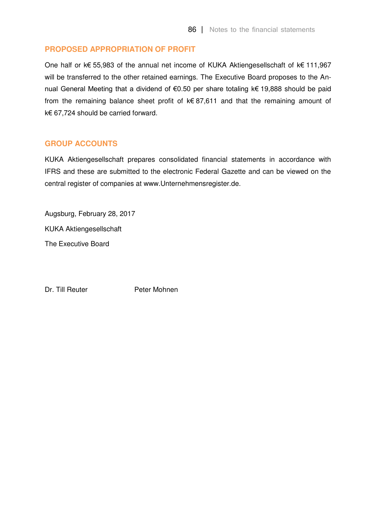### **PROPOSED APPROPRIATION OF PROFIT**

One half or k€ 55,983 of the annual net income of KUKA Aktiengesellschaft of k€ 111,967 will be transferred to the other retained earnings. The Executive Board proposes to the Annual General Meeting that a dividend of €0.50 per share totaling k€ 19,888 should be paid from the remaining balance sheet profit of k€ 87,611 and that the remaining amount of k€ 67,724 should be carried forward.

#### **GROUP ACCOUNTS**

KUKA Aktiengesellschaft prepares consolidated financial statements in accordance with IFRS and these are submitted to the electronic Federal Gazette and can be viewed on the central register of companies at www.Unternehmensregister.de.

Augsburg, February 28, 2017 KUKA Aktiengesellschaft The Executive Board

Dr. Till Reuter Peter Mohnen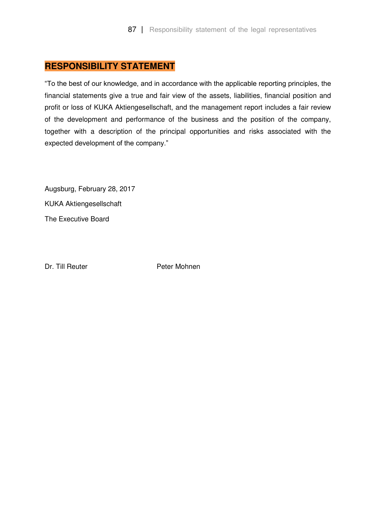# **RESPONSIBILITY STATEMENT**

"To the best of our knowledge, and in accordance with the applicable reporting principles, the financial statements give a true and fair view of the assets, liabilities, financial position and profit or loss of KUKA Aktiengesellschaft, and the management report includes a fair review of the development and performance of the business and the position of the company, together with a description of the principal opportunities and risks associated with the expected development of the company."

Augsburg, February 28, 2017 KUKA Aktiengesellschaft The Executive Board

Dr. Till Reuter **Peter Mohnen**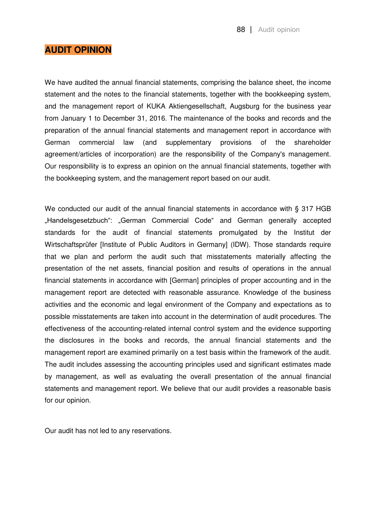### **AUDIT OPINION**

We have audited the annual financial statements, comprising the balance sheet, the income statement and the notes to the financial statements, together with the bookkeeping system, and the management report of KUKA Aktiengesellschaft, Augsburg for the business year from January 1 to December 31, 2016. The maintenance of the books and records and the preparation of the annual financial statements and management report in accordance with German commercial law (and supplementary provisions of the shareholder agreement/articles of incorporation) are the responsibility of the Company's management. Our responsibility is to express an opinion on the annual financial statements, together with the bookkeeping system, and the management report based on our audit.

We conducted our audit of the annual financial statements in accordance with § 317 HGB "Handelsgesetzbuch": "German Commercial Code" and German generally accepted standards for the audit of financial statements promulgated by the Institut der Wirtschaftsprüfer [Institute of Public Auditors in Germany] (IDW). Those standards require that we plan and perform the audit such that misstatements materially affecting the presentation of the net assets, financial position and results of operations in the annual financial statements in accordance with [German] principles of proper accounting and in the management report are detected with reasonable assurance. Knowledge of the business activities and the economic and legal environment of the Company and expectations as to possible misstatements are taken into account in the determination of audit procedures. The effectiveness of the accounting-related internal control system and the evidence supporting the disclosures in the books and records, the annual financial statements and the management report are examined primarily on a test basis within the framework of the audit. The audit includes assessing the accounting principles used and significant estimates made by management, as well as evaluating the overall presentation of the annual financial statements and management report. We believe that our audit provides a reasonable basis for our opinion.

Our audit has not led to any reservations.